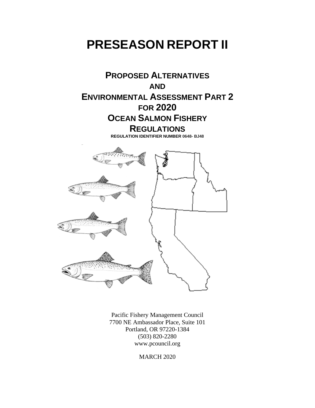# **PRESEASON REPORT II**



Pacific Fishery Management Council 7700 NE Ambassador Place, Suite 101 Portland, OR 97220-1384 (503) 820-2280 www.pcouncil.org

MARCH 2020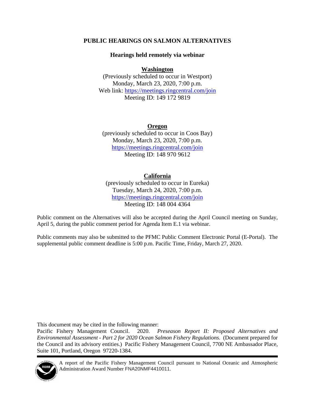#### **PUBLIC HEARINGS ON SALMON ALTERNATIVES**

#### **Hearings held remotely via webinar**

#### **Washington**

(Previously scheduled to occur in Westport) Monday, March 23, 2020, 7:00 p.m. Web link:<https://meetings.ringcentral.com/join> Meeting ID: 149 172 9819

#### **Oregon**

(previously scheduled to occur in Coos Bay) Monday, March 23, 2020, 7:00 p.m. <https://meetings.ringcentral.com/join> Meeting ID: 148 970 9612

#### **California**

(previously scheduled to occur in Eureka) Tuesday, March 24, 2020, 7:00 p.m. <https://meetings.ringcentral.com/join> Meeting ID: 148 004 4364

Public comment on the Alternatives will also be accepted during the April Council meeting on Sunday, April 5, during the public comment period for Agenda Item E.1 via webinar.

Public comments may also be submitted to the PFMC Public Comment Electronic Portal [\(E-Portal\)](https://pfmc.psmfc.org/). The supplemental public comment deadline is 5:00 p.m. Pacific Time, Friday, March 27, 2020.

This document may be cited in the following manner:

Pacific Fishery Management Council. 2020. *Preseason Report II: Proposed Alternatives and Environmental Assessment - Part 2 for 2020 Ocean Salmon Fishery Regulations.* (Document prepared for the Council and its advisory entities.) Pacific Fishery Management Council, 7700 NE Ambassador Place, Suite 101, Portland, Oregon 97220-1384.



A report of the Pacific Fishery Management Council pursuant to National Oceanic and Atmospheric Administration Award Number FNA20NMF4410011.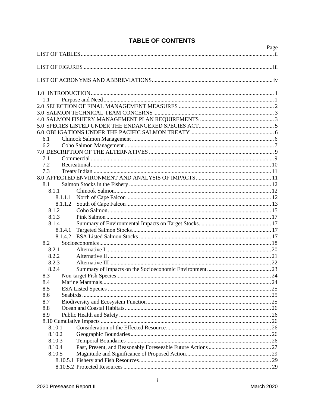|        |         | Page |
|--------|---------|------|
|        |         |      |
|        |         |      |
|        |         |      |
|        |         |      |
| 1.1    |         |      |
|        |         |      |
|        |         |      |
|        |         |      |
|        |         |      |
|        |         |      |
| 6.1    |         |      |
| 6.2    |         |      |
|        |         |      |
| 7.1    |         |      |
| 7.2    |         |      |
| 7.3    |         |      |
|        |         |      |
| 8.1    |         |      |
| 8.1.1  |         |      |
|        | 8.1.1.1 |      |
|        | 8.1.1.2 |      |
| 8.1.2  |         |      |
| 8.1.3  |         |      |
| 8.1.4  |         |      |
|        | 8.1.4.1 |      |
|        | 8.1.4.2 |      |
| 8.2    |         |      |
| 8.2.1  |         |      |
| 8.2.2  |         |      |
| 8.2.3  |         |      |
| 8.2.4  |         |      |
| 8.3    |         |      |
| 8.4    |         |      |
| 8.5    |         |      |
| 8.6    |         |      |
| 8.7    |         |      |
| 8.8    |         |      |
| 8.9    |         |      |
|        |         |      |
| 8.10.1 |         |      |
| 8.10.2 |         |      |
| 8.10.3 |         |      |
| 8.10.4 |         |      |
| 8.10.5 |         |      |
|        |         |      |
|        |         |      |

# **TABLE OF CONTENTS**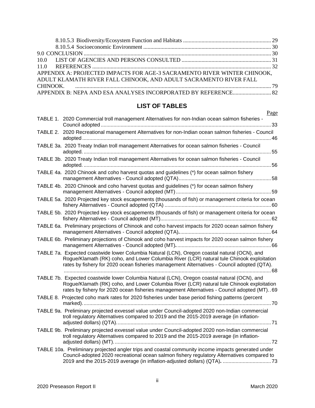| APPENDIX A: PROJECTED IMPACTS FOR AGE-3 SACRAMENTO RIVER WINTER CHINOOK, |  |
|--------------------------------------------------------------------------|--|
| ADULT KLAMATH RIVER FALL CHINOOK, AND ADULT SACRAMENTO RIVER FALL        |  |
|                                                                          |  |
| APPENDIX B: NEPA AND ESA ANALYSES INCORPORATED BY REFERENCE 82           |  |

## **LIST OF TABLES**

| Page                                                                                                                                                                                                                                                                                      |
|-------------------------------------------------------------------------------------------------------------------------------------------------------------------------------------------------------------------------------------------------------------------------------------------|
| TABLE 1. 2020 Commercial troll management Alternatives for non-Indian ocean salmon fisheries -                                                                                                                                                                                            |
| TABLE 2. 2020 Recreational management Alternatives for non-Indian ocean salmon fisheries - Council                                                                                                                                                                                        |
| TABLE 3a. 2020 Treaty Indian troll management Alternatives for ocean salmon fisheries - Council                                                                                                                                                                                           |
| TABLE 3b. 2020 Treaty Indian troll management Alternatives for ocean salmon fisheries - Council                                                                                                                                                                                           |
| TABLE 4a. 2020 Chinook and coho harvest quotas and guidelines (*) for ocean salmon fishery                                                                                                                                                                                                |
| TABLE 4b. 2020 Chinook and coho harvest quotas and guidelines (*) for ocean salmon fishery                                                                                                                                                                                                |
| TABLE 5a. 2020 Projected key stock escapements (thousands of fish) or management criteria for ocean                                                                                                                                                                                       |
| TABLE 5b. 2020 Projected key stock escapements (thousands of fish) or management criteria for ocean                                                                                                                                                                                       |
| TABLE 6a. Preliminary projections of Chinook and coho harvest impacts for 2020 ocean salmon fishery                                                                                                                                                                                       |
| TABLE 6b. Preliminary projections of Chinook and coho harvest impacts for 2020 ocean salmon fishery                                                                                                                                                                                       |
| TABLE 7a. Expected coastwide lower Columbia Natural (LCN), Oregon coastal natural (OCN), and<br>Rogue/Klamath (RK) coho, and Lower Columbia River (LCR) natural tule Chinook exploitation<br>rates by fishery for 2020 ocean fisheries management Alternatives - Council adopted (QTA).   |
| TABLE 7b. Expected coastwide lower Columbia Natural (LCN), Oregon coastal natural (OCN), and<br>Rogue/Klamath (RK) coho, and Lower Columbia River (LCR) natural tule Chinook exploitation<br>rates by fishery for 2020 ocean fisheries management Alternatives - Council adopted (MT). 69 |
| TABLE 8. Projected coho mark rates for 2020 fisheries under base period fishing patterns (percent                                                                                                                                                                                         |
| TABLE 9a. Preliminary projected exvessel value under Council-adopted 2020 non-Indian commercial<br>troll regulatory Alternatives compared to 2019 and the 2015-2019 average (in inflation-                                                                                                |
| TABLE 9b. Preliminary projected exvessel value under Council-adopted 2020 non-Indian commercial<br>troll regulatory Alternatives compared to 2019 and the 2015-2019 average (in inflation-                                                                                                |
| TABLE 10a. Preliminary projected angler trips and coastal community income impacts generated under<br>Council-adopted 2020 recreational ocean salmon fishery regulatory Alternatives compared to                                                                                          |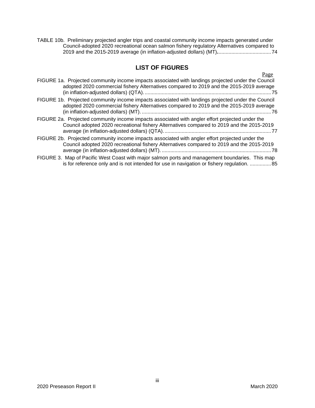TABLE 10b. Preliminary projected angler trips and coastal community income impacts generated under Council-adopted 2020 recreational ocean salmon fishery regulatory Alternatives compared to 2019 and the 2015-2019 average (in inflation-adjusted dollars) (MT)**.**.....................................74

#### **LIST OF FIGURES**

| FIGURE 1a. Projected community income impacts associated with landings projected under the Council<br>adopted 2020 commercial fishery Alternatives compared to 2019 and the 2015-2019 average | <u>Page</u> |
|-----------------------------------------------------------------------------------------------------------------------------------------------------------------------------------------------|-------------|
| FIGURE 1b. Projected community income impacts associated with landings projected under the Council<br>adopted 2020 commercial fishery Alternatives compared to 2019 and the 2015-2019 average |             |
| FIGURE 2a. Projected community income impacts associated with angler effort projected under the<br>Council adopted 2020 recreational fishery Alternatives compared to 2019 and the 2015-2019  |             |
| FIGURE 2b. Projected community income impacts associated with angler effort projected under the<br>Council adopted 2020 recreational fishery Alternatives compared to 2019 and the 2015-2019  |             |
| FIGURE 3. Map of Pacific West Coast with major salmon ports and management boundaries. This map<br>is for reference only and is not intended for use in navigation or fishery regulation.  85 |             |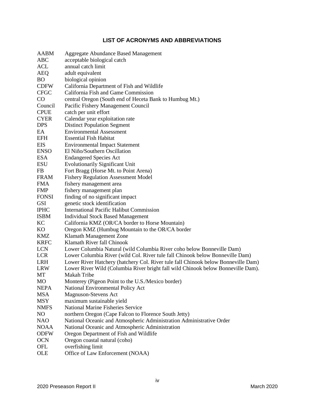#### **LIST OF ACRONYMS AND ABBREVIATIONS**

| <b>AABM</b>  | <b>Aggregate Abundance Based Management</b>                                       |
|--------------|-----------------------------------------------------------------------------------|
| ABC          | acceptable biological catch                                                       |
| ACL          | annual catch limit                                                                |
| <b>AEQ</b>   | adult equivalent                                                                  |
| <b>BO</b>    | biological opinion                                                                |
| <b>CDFW</b>  | California Department of Fish and Wildlife                                        |
| <b>CFGC</b>  | California Fish and Game Commission                                               |
| $\rm CO$     | central Oregon (South end of Heceta Bank to Humbug Mt.)                           |
| Council      |                                                                                   |
|              | Pacific Fishery Management Council                                                |
| <b>CPUE</b>  | catch per unit effort                                                             |
| <b>CYER</b>  | Calendar year exploitation rate                                                   |
| <b>DPS</b>   | <b>Distinct Population Segment</b>                                                |
| EA           | <b>Environmental Assessment</b>                                                   |
| <b>EFH</b>   | <b>Essential Fish Habitat</b>                                                     |
| <b>EIS</b>   | <b>Environmental Impact Statement</b>                                             |
| <b>ENSO</b>  | El Niño/Southern Oscillation                                                      |
| <b>ESA</b>   | <b>Endangered Species Act</b>                                                     |
| <b>ESU</b>   | <b>Evolutionarily Significant Unit</b>                                            |
| FB           | Fort Bragg (Horse Mt. to Point Arena)                                             |
| <b>FRAM</b>  | <b>Fishery Regulation Assessment Model</b>                                        |
| <b>FMA</b>   | fishery management area                                                           |
| <b>FMP</b>   | fishery management plan                                                           |
| <b>FONSI</b> | finding of no significant impact                                                  |
| <b>GSI</b>   | genetic stock identification                                                      |
| <b>IPHC</b>  | <b>International Pacific Halibut Commission</b>                                   |
| <b>ISBM</b>  | <b>Individual Stock Based Management</b>                                          |
| KC           | California KMZ (OR/CA border to Horse Mountain)                                   |
| KO           |                                                                                   |
|              | Oregon KMZ (Humbug Mountain to the OR/CA border                                   |
| KMZ          | Klamath Management Zone                                                           |
| <b>KRFC</b>  | Klamath River fall Chinook                                                        |
| <b>LCN</b>   | Lower Columbia Natural (wild Columbia River coho below Bonneville Dam)            |
| <b>LCR</b>   | Lower Columbia River (wild Col. River tule fall Chinook below Bonneville Dam)     |
| <b>LRH</b>   | Lower River Hatchery (hatchery Col. River tule fall Chinook below Bonneville Dam) |
| <b>LRW</b>   | Lower River Wild (Columbia River bright fall wild Chinook below Bonneville Dam).  |
| MT           | Makah Tribe                                                                       |
| MO           | Monterey (Pigeon Point to the U.S./Mexico border)                                 |
| <b>NEPA</b>  | National Environmental Policy Act                                                 |
| <b>MSA</b>   | Magnuson-Stevens Act                                                              |
| <b>MSY</b>   | maximum sustainable yield                                                         |
| <b>NMFS</b>  | <b>National Marine Fisheries Service</b>                                          |
| NO           | northern Oregon (Cape Falcon to Florence South Jetty)                             |
| <b>NAO</b>   | National Oceanic and Atmospheric Administration Administrative Order              |
| <b>NOAA</b>  | National Oceanic and Atmospheric Administration                                   |
| <b>ODFW</b>  | Oregon Department of Fish and Wildlife                                            |
| <b>OCN</b>   | Oregon coastal natural (coho)                                                     |
| OFL          | overfishing limit                                                                 |
| OLE          | Office of Law Enforcement (NOAA)                                                  |
|              |                                                                                   |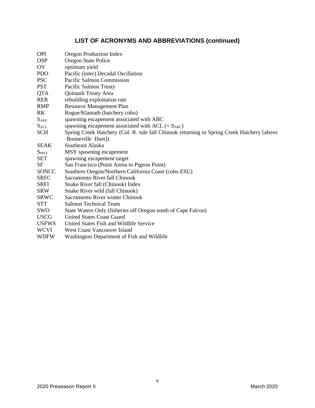# **LIST OF ACRONYMS AND ABBREVIATIONS (continued)**

| <b>OPI</b>     | Oregon Production Index                                                                    |
|----------------|--------------------------------------------------------------------------------------------|
| <b>OSP</b>     | Oregon State Police                                                                        |
| OY             | optimum yield                                                                              |
| <b>PDO</b>     | Pacific (inter) Decadal Oscillation                                                        |
| <b>PSC</b>     | Pacific Salmon Commission                                                                  |
| <b>PST</b>     | Pacific Salmon Treaty                                                                      |
| <b>QTA</b>     | <b>Quinault Treaty Area</b>                                                                |
| <b>RER</b>     | rebuilding exploitation rate                                                               |
| <b>RMP</b>     | <b>Resource Management Plan</b>                                                            |
| R <sub>K</sub> | Rogue/Klamath (hatchery coho)                                                              |
| $S_{ABC}$      | spawning escapement associated with ABC                                                    |
| <b>SACL</b>    | spawning escapement associated with ACL $(= S_{ABC})$                                      |
| <b>SCH</b>     | Spring Creek Hatchery (Col. R. tule fall Chinook returning to Spring Creek Hatchery [above |
|                | Bonneville Dam])                                                                           |
| <b>SEAK</b>    | Southeast Alaska                                                                           |
| $S_{MSY}$      | MSY spawning escapement                                                                    |
| <b>SET</b>     | spawning escapement target                                                                 |
| <b>SF</b>      | San Francisco (Point Arena to Pigeon Point)                                                |
| <b>SONCC</b>   | Southern Oregon/Northern California Coast (coho ESU)                                       |
| <b>SRFC</b>    | Sacramento River fall Chinook                                                              |
| <b>SRFI</b>    | Snake River fall (Chinook) Index                                                           |
| <b>SRW</b>     | Snake River wild (fall Chinook)                                                            |
| <b>SRWC</b>    | Sacramento River winter Chinook                                                            |
| <b>STT</b>     | <b>Salmon Technical Team</b>                                                               |
| SWO            | State Waters Only (fisheries off Oregon south of Cape Falcon)                              |
| <b>USCG</b>    | <b>United States Coast Guard</b>                                                           |
| <b>USFWS</b>   | United States Fish and Wildlife Service                                                    |
| <b>WCVI</b>    | <b>West Coast Vancouver Island</b>                                                         |
| <b>WDFW</b>    | Washington Department of Fish and Wildlife                                                 |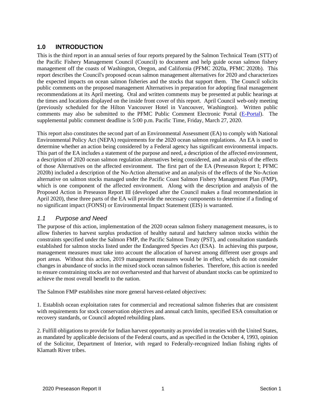#### **1.0 INTRODUCTION**

This is the third report in an annual series of four reports prepared by the Salmon Technical Team (STT) of the Pacific Fishery Management Council (Council) to document and help guide ocean salmon fishery management off the coasts of Washington, Oregon, and California (PFMC 2020a, PFMC 2020b). This report describes the Council's proposed ocean salmon management alternatives for 2020 and characterizes the expected impacts on ocean salmon fisheries and the stocks that support them. The Council solicits public comments on the proposed management Alternatives in preparation for adopting final management recommendations at its April meeting. Oral and written comments may be presented at public hearings at the times and locations displayed on the inside front cover of this report. April Council web-only meeting (previously scheduled for the Hilton Vancouver Hotel in Vancouver, Washington). Written public comments may also be submitted to the PFMC Public Comment Electronic Portal [\(E-Portal\)](https://pfmc.psmfc.org/). The supplemental public comment deadline is 5:00 p.m. Pacific Time, Friday, March 27, 2020.

This report also constitutes the second part of an Environmental Assessment (EA) to comply with National Environmental Policy Act (NEPA) requirements for the 2020 ocean salmon regulations. An EA is used to determine whether an action being considered by a Federal agency has significant environmental impacts. This part of the EA includes a statement of the purpose and need, a description of the affected environment, a description of 2020 ocean salmon regulation alternatives being considered, and an analysis of the effects of those Alternatives on the affected environment. The first part of the EA (Preseason Report I; PFMC 2020b) included a description of the No-Action alternative and an analysis of the effects of the No-Action alternative on salmon stocks managed under the Pacific Coast Salmon Fishery Management Plan (FMP), which is one component of the affected environment. Along with the description and analysis of the Proposed Action in Preseason Report III (developed after the Council makes a final recommendation in April 2020), these three parts of the EA will provide the necessary components to determine if a finding of no significant impact (FONSI) or Environmental Impact Statement (EIS) is warranted.

#### *1.1 Purpose and Need*

The purpose of this action, implementation of the 2020 ocean salmon fishery management measures, is to allow fisheries to harvest surplus production of healthy natural and hatchery salmon stocks within the constraints specified under the Salmon FMP, the Pacific Salmon Treaty (PST), and consultation standards established for salmon stocks listed under the Endangered Species Act (ESA). In achieving this purpose, management measures must take into account the allocation of harvest among different user groups and port areas. Without this action, 2019 management measures would be in effect, which do not consider changes in abundance of stocks in the mixed stock ocean salmon fisheries. Therefore, this action is needed to ensure constraining stocks are not overharvested and that harvest of abundant stocks can be optimized to achieve the most overall benefit to the nation.

The Salmon FMP establishes nine more general harvest-related objectives:

1. Establish ocean exploitation rates for commercial and recreational salmon fisheries that are consistent with requirements for stock conservation objectives and annual catch limits, specified ESA consultation or recovery standards, or Council adopted rebuilding plans.

2. Fulfill obligations to provide for Indian harvest opportunity as provided in treaties with the United States, as mandated by applicable decisions of the Federal courts, and as specified in the October 4, 1993, opinion of the Solicitor, Department of Interior, with regard to Federally-recognized Indian fishing rights of Klamath River tribes.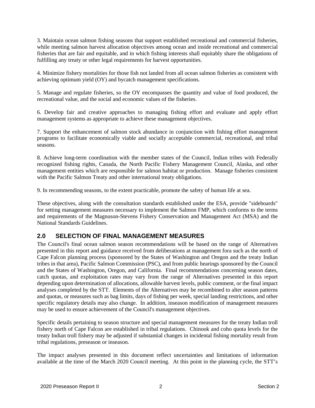3. Maintain ocean salmon fishing seasons that support established recreational and commercial fisheries, while meeting salmon harvest allocation objectives among ocean and inside recreational and commercial fisheries that are fair and equitable, and in which fishing interests shall equitably share the obligations of fulfilling any treaty or other legal requirements for harvest opportunities.

4. Minimize fishery mortalities for those fish not landed from all ocean salmon fisheries as consistent with achieving optimum yield (OY) and bycatch management specifications.

5. Manage and regulate fisheries, so the OY encompasses the quantity and value of food produced, the recreational value, and the social and economic values of the fisheries.

6. Develop fair and creative approaches to managing fishing effort and evaluate and apply effort management systems as appropriate to achieve these management objectives.

7. Support the enhancement of salmon stock abundance in conjunction with fishing effort management programs to facilitate economically viable and socially acceptable commercial, recreational, and tribal seasons.

8. Achieve long-term coordination with the member states of the Council, Indian tribes with Federally recognized fishing rights, Canada, the North Pacific Fishery Management Council, Alaska, and other management entities which are responsible for salmon habitat or production. Manage fisheries consistent with the Pacific Salmon Treaty and other international treaty obligations.

9. In recommending seasons, to the extent practicable, promote the safety of human life at sea.

These objectives, along with the consultation standards established under the ESA, provide "sideboards" for setting management measures necessary to implement the Salmon FMP, which conforms to the terms and requirements of the Magnuson-Stevens Fishery Conservation and Management Act (MSA) and the National Standards Guidelines.

## **2.0 SELECTION OF FINAL MANAGEMENT MEASURES**

The Council's final ocean salmon season recommendations will be based on the range of Alternatives presented in this report and guidance received from deliberations at management fora such as the north of Cape Falcon planning process (sponsored by the States of Washington and Oregon and the treaty Indian tribes in that area), Pacific Salmon Commission (PSC), and from public hearings sponsored by the Council and the States of Washington, Oregon, and California. Final recommendations concerning season dates, catch quotas, and exploitation rates may vary from the range of Alternatives presented in this report depending upon determination of allocations, allowable harvest levels, public comment, or the final impact analyses completed by the STT. Elements of the Alternatives may be recombined to alter season patterns and quotas, or measures such as bag limits, days of fishing per week, special landing restrictions, and other specific regulatory details may also change. In addition, inseason modification of management measures may be used to ensure achievement of the Council's management objectives.

Specific details pertaining to season structure and special management measures for the treaty Indian troll fishery north of Cape Falcon are established in tribal regulations. Chinook and coho quota levels for the treaty Indian troll fishery may be adjusted if substantial changes in incidental fishing mortality result from tribal regulations, preseason or inseason.

The impact analyses presented in this document reflect uncertainties and limitations of information available at the time of the March 2020 Council meeting. At this point in the planning cycle, the STT's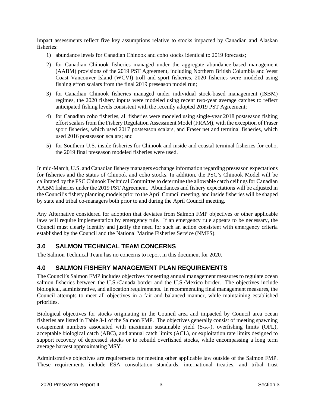impact assessments reflect five key assumptions relative to stocks impacted by Canadian and Alaskan fisheries:

- 1) abundance levels for Canadian Chinook and coho stocks identical to 2019 forecasts;
- 2) for Canadian Chinook fisheries managed under the aggregate abundance-based management (AABM) provisions of the 2019 PST Agreement, including Northern British Columbia and West Coast Vancouver Island (WCVI) troll and sport fisheries, 2020 fisheries were modeled using fishing effort scalars from the final 2019 preseason model run;
- 3) for Canadian Chinook fisheries managed under individual stock-based management (ISBM) regimes, the 2020 fishery inputs were modeled using recent two-year average catches to reflect anticipated fishing levels consistent with the recently adopted 2019 PST Agreement;
- 4) for Canadian coho fisheries, all fisheries were modeled using single-year 2018 postseason fishing effort scalars from the Fishery Regulation Assessment Model (FRAM), with the exception of Fraser sport fisheries, which used 2017 postseason scalars, and Fraser net and terminal fisheries, which used 2016 postseason scalars; and
- 5) for Southern U.S. inside fisheries for Chinook and inside and coastal terminal fisheries for coho, the 2019 final preseason modeled fisheries were used.

In mid-March, U.S. and Canadian fishery managers exchange information regarding preseason expectations for fisheries and the status of Chinook and coho stocks. In addition, the PSC's Chinook Model will be calibrated by the PSC Chinook Technical Committee to determine the allowable catch ceilings for Canadian AABM fisheries under the 2019 PST Agreement. Abundances and fishery expectations will be adjusted in the Council's fishery planning models prior to the April Council meeting, and inside fisheries will be shaped by state and tribal co-managers both prior to and during the April Council meeting.

Any Alternative considered for adoption that deviates from Salmon FMP objectives or other applicable laws will require implementation by emergency rule. If an emergency rule appears to be necessary, the Council must clearly identify and justify the need for such an action consistent with emergency criteria established by the Council and the National Marine Fisheries Service (NMFS).

## **3.0 SALMON TECHNICAL TEAM CONCERNS**

The Salmon Technical Team has no concerns to report in this document for 2020.

## **4.0 SALMON FISHERY MANAGEMENT PLAN REQUIREMENTS**

The Council's Salmon FMP includes objectives for setting annual management measures to regulate ocean salmon fisheries between the U.S./Canada border and the U.S./Mexico border. The objectives include biological, administrative, and allocation requirements. In recommending final management measures, the Council attempts to meet all objectives in a fair and balanced manner, while maintaining established priorities.

Biological objectives for stocks originating in the Council area and impacted by Council area ocean fisheries are listed in Table 3-1 of the Salmon FMP. The objectives generally consist of meeting spawning escapement numbers associated with maximum sustainable yield (S<sub>MSY</sub>), overfishing limits (OFL), acceptable biological catch (ABC), and annual catch limits (ACL), or exploitation rate limits designed to support recovery of depressed stocks or to rebuild overfished stocks, while encompassing a long term average harvest approximating MSY.

Administrative objectives are requirements for meeting other applicable law outside of the Salmon FMP. These requirements include ESA consultation standards, international treaties, and tribal trust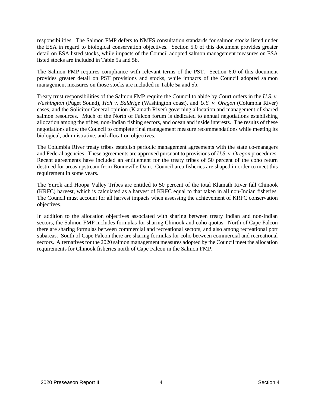responsibilities. The Salmon FMP defers to NMFS consultation standards for salmon stocks listed under the ESA in regard to biological conservation objectives. Section 5.0 of this document provides greater detail on ESA listed stocks, while impacts of the Council adopted salmon management measures on ESA listed stocks are included in Table 5a and 5b.

The Salmon FMP requires compliance with relevant terms of the PST. Section 6.0 of this document provides greater detail on PST provisions and stocks, while impacts of the Council adopted salmon management measures on those stocks are included in Table 5a and 5b.

Treaty trust responsibilities of the Salmon FMP require the Council to abide by Court orders in the *U.S. v. Washington* (Puget Sound), *Hoh v. Baldrige* (Washington coast), and *U.S. v. Oregon* (Columbia River) cases, and the Solicitor General opinion (Klamath River) governing allocation and management of shared salmon resources. Much of the North of Falcon forum is dedicated to annual negotiations establishing allocation among the tribes, non-Indian fishing sectors, and ocean and inside interests. The results of these negotiations allow the Council to complete final management measure recommendations while meeting its biological, administrative, and allocation objectives.

The Columbia River treaty tribes establish periodic management agreements with the state co-managers and Federal agencies. These agreements are approved pursuant to provisions of *U.S. v. Oregon* procedures. Recent agreements have included an entitlement for the treaty tribes of 50 percent of the coho return destined for areas upstream from Bonneville Dam. Council area fisheries are shaped in order to meet this requirement in some years.

The Yurok and Hoopa Valley Tribes are entitled to 50 percent of the total Klamath River fall Chinook (KRFC) harvest, which is calculated as a harvest of KRFC equal to that taken in all non-Indian fisheries. The Council must account for all harvest impacts when assessing the achievement of KRFC conservation objectives.

In addition to the allocation objectives associated with sharing between treaty Indian and non-Indian sectors, the Salmon FMP includes formulas for sharing Chinook and coho quotas. North of Cape Falcon there are sharing formulas between commercial and recreational sectors, and also among recreational port subareas. South of Cape Falcon there are sharing formulas for coho between commercial and recreational sectors. Alternatives for the 2020 salmon management measures adopted by the Council meet the allocation requirements for Chinook fisheries north of Cape Falcon in the Salmon FMP.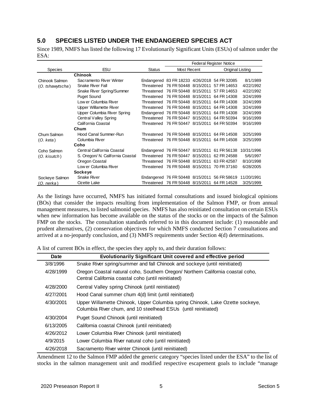#### **5.0 SPECIES LISTED UNDER THE ENDANGERED SPECIES ACT**

Since 1989, NMFS has listed the following 17 Evolutionarily Significant Units (ESUs) of salmon under the ESA:

|                   |                                  |            |                                              | <b>Federal Register Notice</b>               |            |
|-------------------|----------------------------------|------------|----------------------------------------------|----------------------------------------------|------------|
| <b>Species</b>    | <b>ESU</b>                       | Status     | Most Recent                                  | Original Listing                             |            |
|                   | <b>Chinook</b>                   |            |                                              |                                              |            |
| Chinook Salmon    | Sacramento River Winter          |            | Endangered 83 FR 18233 4/26/2018 54 FR 32085 |                                              | 8/1/1989   |
| (O. tshawytscha)  | Snake River Fall                 | Threatened | 76 FR 50448 8/15/2011                        | 57 FR 14653                                  | 4/22/1992  |
|                   | Snake River Spring/Summer        | Threatened | 76 FR 50448 8/15/2011 57 FR 14653            |                                              | 4/22/1992  |
|                   | <b>Puget Sound</b>               | Threatened | 76 FR 50448 8/15/2011                        | 64 FR 14308                                  | 3/24/1999  |
|                   | Low er Columbia River            | Threatened | 76 FR 50448 8/15/2011                        | 64 FR 14308                                  | 3/24/1999  |
|                   | Upper Willamette River           | Threatened | 76 FR 50448 8/15/2011                        | 64 FR 14308                                  | 3/24/1999  |
|                   | Upper Columbia River Spring      |            | Endangered 76 FR 50448 8/15/2011             | 64 FR 14308                                  | 3/24/1999  |
|                   | Central Valley Spring            | Threatened | 76 FR 50447 8/15/2011                        | 64 FR 50394                                  | 9/16/1999  |
|                   | California Coastal               | Threatened | 76 FR 50447 8/15/2011                        | 64 FR 50394                                  | 9/16/1999  |
|                   | Chum                             |            |                                              |                                              |            |
| Chum Salmon       | Hood Canal Summer-Run            | Threatened | 76 FR 50448 8/15/2011                        | 64 FR 14508                                  | 3/25/1999  |
| (O. keta)         | Columbia River                   | Threatened | 76 FR 50448 8/15/2011                        | 64 FR 14508                                  | 3/25/1999  |
|                   | Coho                             |            |                                              |                                              |            |
| Coho Salmon       | Central California Coastal       |            |                                              | Endangered 76 FR 50447 8/15/2011 61 FR 56138 | 10/31/1996 |
| $(O.$ kisutch $)$ | S. Oregon/ N. California Coastal | Threatened | 76 FR 50447 8/15/2011                        | 62 FR 24588                                  | 5/6/1997   |
|                   | Oregon Coastal                   | Threatened | 76 FR 50448 8/15/2011                        | 63 FR 42587                                  | 8/10/1998  |
|                   | Low er Columbia River            | Threatened | 76 FR 50448 8/15/2011                        | 70 FR 37160                                  | 6/28/2005  |
|                   | Sockeye                          |            |                                              |                                              |            |
| Sockeye Salmon    | Snake River                      |            |                                              | Endangered 76 FR 50448 8/15/2011 56 FR 58619 | 11/20/1991 |
| (O. nerka)        | Ozette Lake                      | Threatened | 76 FR 50448 8/15/2011                        | 64 FR 14528                                  | 3/25/1999  |

As the listings have occurred, NMFS has initiated formal consultations and issued biological opinions (BOs) that consider the impacts resulting from implementation of the Salmon FMP, or from annual management measures, to listed salmonid species. NMFS has also reinitiated consultation on certain ESUs when new information has become available on the status of the stocks or on the impacts of the Salmon FMP on the stocks. The consultation standards referred to in this document include: (1) reasonable and prudent alternatives, (2) conservation objectives for which NMFS conducted Section 7 consultations and arrived at a no-jeopardy conclusion, and (3) NMFS requirements under Section 4(d) determinations.

A list of current BOs in effect, the species they apply to, and their duration follows:

| Date      | Evolutionarily Significant Unit covered and effective period                                                                                    |
|-----------|-------------------------------------------------------------------------------------------------------------------------------------------------|
| 3/8/1996  | Snake River spring/summer and fall Chinook and sockeye (until reinitiated)                                                                      |
| 4/28/1999 | Oregon Coastal natural coho, Southern Oregon/ Northern California coastal coho,<br>Central California coastal coho (until reinitiated)          |
| 4/28/2000 | Central Valley spring Chinook (until reinitiated)                                                                                               |
| 4/27/2001 | Hood Canal summer chum 4(d) limit (until reinitiated)                                                                                           |
| 4/30/2001 | Upper Willamette Chinook, Upper Columbia spring Chinook, Lake Ozette sockeye,<br>Columbia River chum, and 10 steelhead ESUs (until reinitiated) |
| 4/30/2004 | Puget Sound Chinook (until reinitiated)                                                                                                         |
| 6/13/2005 | California coastal Chinook (until reinitiated)                                                                                                  |
| 4/26/2012 | Lower Columbia River Chinook (until reinitiated)                                                                                                |
| 4/9/2015  | Lower Columbia River natural coho (until reinitiated)                                                                                           |
| 4/26/2018 | Sacramento River winter Chinook (until reinitiated)                                                                                             |

Amendment 12 to the Salmon FMP added the generic category "species listed under the ESA" to the list of stocks in the salmon management unit and modified respective escapement goals to include "manage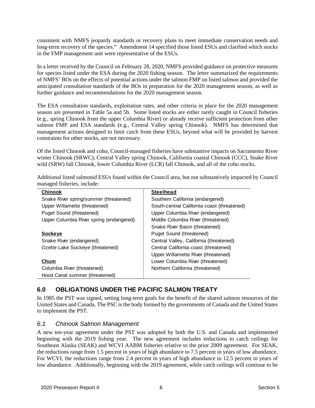consistent with NMFS jeopardy standards or recovery plans to meet immediate conservation needs and long-term recovery of the species." Amendment 14 specified those listed ESUs and clarified which stocks in the FMP management unit were representative of the ESUs.

In a letter received by the Council on February 28, 2020, NMFS provided guidance on protective measures for species listed under the ESA during the 2020 fishing season. The letter summarized the requirements of NMFS' BOs on the effects of potential actions under the salmon FMP on listed salmon and provided the anticipated consultation standards of the BOs in preparation for the 2020 management season, as well as further guidance and recommendations for the 2020 management season.

The ESA consultation standards, exploitation rates, and other criteria in place for the 2020 management season are presented in Table 5a and 5b. Some listed stocks are either rarely caught in Council fisheries (e.g., spring Chinook from the upper Columbia River) or already receive sufficient protection from other salmon FMP and ESA standards (e.g., Central Valley spring Chinook). NMFS has determined that management actions designed to limit catch from these ESUs, beyond what will be provided by harvest constraints for other stocks, are not necessary.

Of the listed Chinook and coho, Council-managed fisheries have substantive impacts on Sacramento River winter Chinook (SRWC), Central Valley spring Chinook, California coastal Chinook (CCC), Snake River wild (SRW) fall Chinook, lower Columbia River (LCR) fall Chinook, and all of the coho stocks.

Additional listed salmonid ESUs found within the Council area, but not substantively impacted by Council managed fisheries, include:

| <b>Chinook</b>                           | <b>Steelhead</b>                            |
|------------------------------------------|---------------------------------------------|
| Snake River spring/summer (threatened)   | Southern California (endangered)            |
| Upper Willamette (threatened)            | South-central California coast (threatened) |
| Puget Sound (threatened)                 | Upper Columbia River (endangered)           |
| Upper Columbia River spring (endangered) | Middle Columbia River (threatened)          |
|                                          | Snake River Basin (threatened)              |
| Sockeye                                  | Puget Sound (threatened)                    |
| Snake River (endangered)                 | Central Valley, California (threatened)     |
| Ozette Lake Sockeye (threatened)         | Central California coast (threatened)       |
|                                          | Upper Willamette River (threatened)         |
| Chum                                     | Lower Columbia River (threatened)           |
| Columbia River (threatened)              | Northern California (threatened)            |
| Hood Canal summer (threatened)           |                                             |

## **6.0 OBLIGATIONS UNDER THE PACIFIC SALMON TREATY**

In 1985 the PST was signed, setting long-term goals for the benefit of the shared salmon resources of the United States and Canada. The PSC is the body formed by the governments of Canada and the United States to implement the PST.

#### *6.1 Chinook Salmon Management*

A new ten-year agreement under the PST was adopted by both the U.S. and Canada and implemented beginning with the 2019 fishing year. The new agreement includes reductions to catch ceilings for Southeast Alaska (SEAK) and WCVI AABM fisheries relative to the prior 2009 agreement. For SEAK, the reductions range from 1.5 percent in years of high abundance to 7.5 percent in years of low abundance. For WCVI, the reductions range from 2.4 percent in years of high abundance to 12.5 percent in years of low abundance. Additionally, beginning with the 2019 agreement, while catch ceilings will continue to be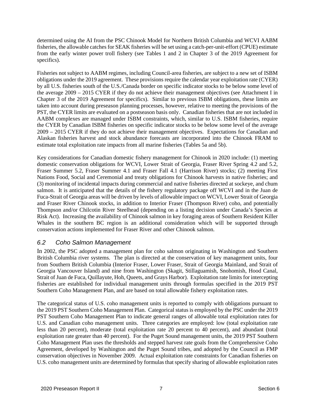determined using the AI from the PSC Chinook Model for Northern British Columbia and WCVI AABM fisheries, the allowable catches for SEAK fisheries will be set using a catch-per-unit-effort (CPUE) estimate from the early winter power troll fishery (see Tables 1 and 2 in Chapter 3 of the 2019 Agreement for specifics).

Fisheries not subject to AABM regimes, including Council-area fisheries, are subject to a new set of ISBM obligations under the 2019 agreement. These provisions require the calendar year exploitation rate (CYER) by all U.S. fisheries south of the U.S./Canada border on specific indicator stocks to be below some level of the average 2009 – 2015 CYER if they do not achieve their management objectives (see Attachment I in Chapter 3 of the 2019 Agreement for specifics). Similar to previous ISBM obligations, these limits are taken into account during preseason planning processes, however, relative to meeting the provisions of the PST, the CYER limits are evaluated on a postseason basis only. Canadian fisheries that are not included in AABM complexes are managed under ISBM constraints, which, similar to U.S. ISBM fisheries, require the CYER by Canadian ISBM fisheries on specific indicator stocks to be below some level of the average 2009 – 2015 CYER if they do not achieve their management objectives. Expectations for Canadian and Alaskan fisheries harvest and stock abundance forecasts are incorporated into the Chinook FRAM to estimate total exploitation rate impacts from all marine fisheries (Tables 5a and 5b).

Key considerations for Canadian domestic fishery management for Chinook in 2020 include: (1) meeting domestic conservation obligations for WCVI, Lower Strait of Georgia, Fraser River Spring 4.2 and 5.2, Fraser Summer 5.2, Fraser Summer 4.1 and Fraser Fall 4.1 (Harrison River) stocks; (2) meeting First Nations Food, Social and Ceremonial and treaty obligations for Chinook harvests in native fisheries; and (3) monitoring of incidental impacts during commercial and native fisheries directed at sockeye, and chum salmon. It is anticipated that the details of the fishery regulatory package off WCVI and in the Juan de Fuca-Strait of Georgia areas will be driven by levels of allowable impact on WCVI, Lower Strait of Georgia and Fraser River Chinook stocks, in addition to Interior Fraser (Thompson River) coho, and potentially Thompson and/or Chilcotin River Steelhead (depending on a listing decision under Canada's Species at Risk Act). Increasing the availability of Chinook salmon in key foraging areas of Southern Resident Killer Whales in the southern BC region is an additional consideration which will be supported through conservation actions implemented for Fraser River and other Chinook salmon.

#### *6.2 Coho Salmon Management*

In 2002, the PSC adopted a management plan for coho salmon originating in Washington and Southern British Columbia river systems. The plan is directed at the conservation of key management units, four from Southern British Columbia (Interior Fraser, Lower Fraser, Strait of Georgia Mainland, and Strait of Georgia Vancouver Island) and nine from Washington (Skagit, Stillaguamish, Snohomish, Hood Canal, Strait of Juan de Fuca, Quillayute, Hoh, Queets, and Grays Harbor). Exploitation rate limits for intercepting fisheries are established for individual management units through formulas specified in the 2019 PST Southern Coho Management Plan, and are based on total allowable fishery exploitation rates.

The categorical status of U.S. coho management units is reported to comply with obligations pursuant to the 2019 PST Southern Coho Management Plan. Categorical status is employed by the PSC under the 2019 PST Southern Coho Management Plan to indicate general ranges of allowable total exploitation rates for U.S. and Canadian coho management units. Three categories are employed: low (total exploitation rate less than 20 percent), moderate (total exploitation rate 20 percent to 40 percent), and abundant (total exploitation rate greater than 40 percent). For the Puget Sound management units, the 2019 PST Southern Coho Management Plan uses the thresholds and stepped harvest rate goals from the Comprehensive Coho Agreement, developed by Washington and the Puget Sound tribes, and adopted by the Council as FMP conservation objectives in November 2009. Actual exploitation rate constraints for Canadian fisheries on U.S. coho management units are determined by formulas that specify sharing of allowable exploitation rates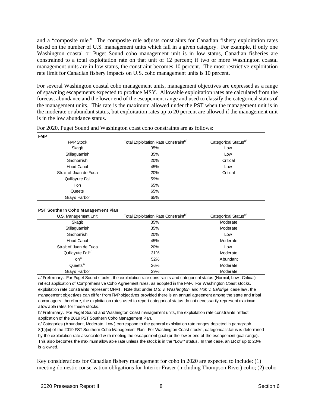and a "composite rule." The composite rule adjusts constraints for Canadian fishery exploitation rates based on the number of U.S. management units which fall in a given category. For example, if only one Washington coastal or Puget Sound coho management unit is in low status, Canadian fisheries are constrained to a total exploitation rate on that unit of 12 percent; if two or more Washington coastal management units are in low status, the constraint becomes 10 percent. The most restrictive exploitation rate limit for Canadian fishery impacts on U.S. coho management units is 10 percent.

For several Washington coastal coho management units, management objectives are expressed as a range of spawning escapements expected to produce MSY. Allowable exploitation rates are calculated from the forecast abundance and the lower end of the escapement range and used to classify the categorical status of the management units. This rate is the maximum allowed under the PST when the management unit is in the moderate or abundant status, but exploitation rates up to 20 percent are allowed if the management unit is in the low abundance status.

| <b>FMP</b>             |                                                  |                                  |
|------------------------|--------------------------------------------------|----------------------------------|
| <b>FMP Stock</b>       | Total Exploitation Rate Constraint <sup>a/</sup> | Categorical Status <sup>a/</sup> |
| Skagit                 | 35%                                              | Low                              |
| Stillaguamish          | 35%                                              | Low                              |
| Snohomish              | 20%                                              | Critical                         |
| <b>Hood Canal</b>      | 45%                                              | Low                              |
| Strait of Juan de Fuca | 20%                                              | Critical                         |
| Quillayute Fall        | 59%                                              |                                  |
| <b>Hoh</b>             | 65%                                              |                                  |
| Queets                 | 65%                                              |                                  |
| Grays Harbor           | 65%                                              |                                  |

#### **PST Southern Coho Management Plan**

| U.S. Management Unit          | Total Exploitation Rate Constraint <sup>b/</sup> | Categorical Status <sup>c/</sup> |  |
|-------------------------------|--------------------------------------------------|----------------------------------|--|
| Skagit                        | 35%                                              | Moderate                         |  |
| Stillaguamish                 | 35%                                              | Moderate                         |  |
| Snohomish                     | 20%                                              | Low                              |  |
| <b>Hood Canal</b>             | 45%                                              | Moderate                         |  |
| Strait of Juan de Fuca        | 20%                                              | Low                              |  |
| Quillayute Fall <sup>c/</sup> | 31%                                              | Moderate                         |  |
| $H$ oh <sup>c/</sup>          | 52%                                              | Abundant                         |  |
| Queets <sup>c/</sup>          | 26%                                              | Moderate                         |  |
| Grays Harbor                  | 29%                                              | Moderate                         |  |

a/ Preliminary. For Puget Sound stocks, the exploitation rate constraints and categorical status (Normal, Low , Critical) reflect application of Comprehensive Coho Agreement rules, as adopted in the FMP. For Washington Coast stocks, exploitation rate constraints represent MFMT. Note that under *U.S. v. Washington* and *Hoh v. Baldrige* case law , the management objectives can differ from FMP objectives provided there is an annual agreement among the state and tribal comanagers; therefore, the exploitation rates used to report categorical status do not necessarily represent maximum allow able rates for these stocks.

b/ Preliminary. For Puget Sound and Washington Coast management units, the exploitation rate constraints reflect application of the 2019 PST Southern Coho Management Plan.

c/ Categories (Abundant, Moderate, Low ) correspond to the general exploitation rate ranges depicted in paragraph 8(b)(iii) of the 2019 PST Southern Coho Management Plan. For Washington Coast stocks, categorical status is determined by the exploitation rate associated w ith meeting the escapement goal (or the low er end of the escapement goal range). This also becomes the maximum allow able rate unless the stock is in the "Low " status. In that case, an ER of up to 20% is allow ed.

Key considerations for Canadian fishery management for coho in 2020 are expected to include: (1) meeting domestic conservation obligations for Interior Fraser (including Thompson River) coho; (2) coho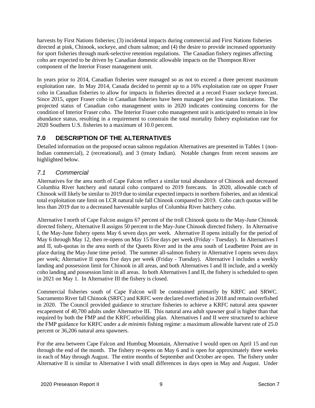harvests by First Nations fisheries; (3) incidental impacts during commercial and First Nations fisheries directed at pink, Chinook, sockeye, and chum salmon; and (4) the desire to provide increased opportunity for sport fisheries through mark-selective retention regulations. The Canadian fishery regimes affecting coho are expected to be driven by Canadian domestic allowable impacts on the Thompson River component of the Interior Fraser management unit.

In years prior to 2014, Canadian fisheries were managed so as not to exceed a three percent maximum exploitation rate. In May 2014, Canada decided to permit up to a 16% exploitation rate on upper Fraser coho in Canadian fisheries to allow for impacts in fisheries directed at a record Fraser sockeye forecast. Since 2015, upper Fraser coho in Canadian fisheries have been managed per low status limitations. The projected status of Canadian coho management units in 2020 indicates continuing concerns for the condition of Interior Fraser coho. The Interior Fraser coho management unit is anticipated to remain in low abundance status, resulting in a requirement to constrain the total mortality fishery exploitation rate for 2020 Southern U.S. fisheries to a maximum of 10.0 percent.

## **7.0 DESCRIPTION OF THE ALTERNATIVES**

Detailed information on the proposed ocean salmon regulation Alternatives are presented in Tables 1 (non-Indian commercial), 2 (recreational), and 3 (treaty Indian). Notable changes from recent seasons are highlighted below.

## *7.1 Commercial*

Alternatives for the area north of Cape Falcon reflect a similar total abundance of Chinook and decreased Columbia River hatchery and natural coho compared to 2019 forecasts. In 2020, allowable catch of Chinook will likely be similar to 2019 due to similar expected impacts in northern fisheries, and an identical total exploitation rate limit on LCR natural tule fall Chinook compared to 2019. Coho catch quotas will be less than 2019 due to a decreased harvestable surplus of Columbia River hatchery coho.

Alternative I north of Cape Falcon assigns 67 percent of the troll Chinook quota to the May-June Chinook directed fishery, Alternative II assigns 50 percent to the May-June Chinook directed fishery. In Alternative I, the May-June fishery opens May 6 seven days per week. Alternative II opens initially for the period of May 6 through May 12, then re-opens on May 15 five days per week (Friday - Tuesday). In Alternatives I and II, sub-quotas in the area north of the Queets River and in the area south of Leadbetter Point are in place during the May-June time period. The summer all-salmon fishery in Alternative I opens seven days per week; Alternative II opens five days per week (Friday - Tuesday). Alternative I includes a weekly landing and possession limit for Chinook in all areas, and both Alternatives I and II include, and a weekly coho landing and possession limit in all areas. In both Alternatives I and II, the fishery is scheduled to open in 2021 on May 1. In Alternative III the fishery is closed.

Commercial fisheries south of Cape Falcon will be constrained primarily by KRFC and SRWC. Sacramento River fall Chinook (SRFC) and KRFC were declared overfished in 2018 and remain overfished in 2020. The Council provided guidance to structure fisheries to achieve a KRFC natural area spawner escapement of 40,700 adults under Alternative III. This natural area adult spawner goal is higher than that required by both the FMP and the KRFC rebuilding plan. Alternatives I and II were structured to achieve the FMP guidance for KRFC under a *de minimis* fishing regime: a maximum allowable harvest rate of 25.0 percent or 36,206 natural area spawners.

For the area between Cape Falcon and Humbug Mountain, Alternative I would open on April 15 and run through the end of the month. The fishery re-opens on May 6 and is open for approximately three weeks in each of May through August. The entire months of September and October are open. The fishery under Alternative II is similar to Alternative I with small differences in days open in May and August. Under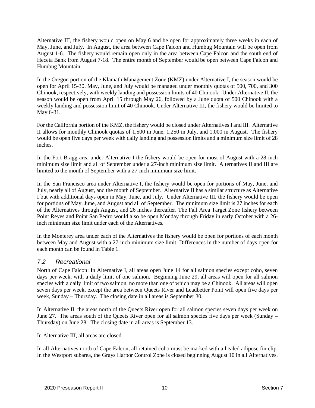Alternative III, the fishery would open on May 6 and be open for approximately three weeks in each of May, June, and July. In August, the area between Cape Falcon and Humbug Mountain will be open from August 1-6. The fishery would remain open only in the area between Cape Falcon and the south end of Heceta Bank from August 7-18. The entire month of September would be open between Cape Falcon and Humbug Mountain.

In the Oregon portion of the Klamath Management Zone (KMZ) under Alternative I, the season would be open for April 15-30. May, June, and July would be managed under monthly quotas of 500, 700, and 300 Chinook, respectively, with weekly landing and possession limits of 40 Chinook. Under Alternative II, the season would be open from April 15 through May 26, followed by a June quota of 500 Chinook with a weekly landing and possession limit of 40 Chinook. Under Alternative III, the fishery would be limited to May 6-31.

For the California portion of the KMZ, the fishery would be closed under Alternatives I and III. Alternative II allows for monthly Chinook quotas of 1,500 in June, 1,250 in July, and 1,000 in August. The fishery would be open five days per week with daily landing and possession limits and a minimum size limit of 28 inches.

In the Fort Bragg area under Alternative I the fishery would be open for most of August with a 28-inch minimum size limit and all of September under a 27-inch minimum size limit. Alternatives II and III are limited to the month of September with a 27-inch minimum size limit.

In the San Francisco area under Alternative I, the fishery would be open for portions of May, June, and July, nearly all of August, and the month of September. Alternative II has a similar structure as Alternative I but with additional days open in May, June, and July. Under Alternative III, the fishery would be open for portions of May, June, and August and all of September. The minimum size limit is 27 inches for each of the Alternatives through August, and 26 inches thereafter. The Fall Area Target Zone fishery between Point Reyes and Point San Pedro would also be open Monday through Friday in early October with a 26 inch minimum size limit under each of the Alternatives.

In the Monterey area under each of the Alternatives the fishery would be open for portions of each month between May and August with a 27-inch minimum size limit. Differences in the number of days open for each month can be found in Table 1.

#### *7.2 Recreational*

North of Cape Falcon: In Alternative I, all areas open June 14 for all salmon species except coho, seven days per week, with a daily limit of one salmon. Beginning June 29, all areas will open for all salmon species with a daily limit of two salmon, no more than one of which may be a Chinook. All areas will open seven days per week, except the area between Queets River and Leadbetter Point will open five days per week, Sunday – Thursday. The closing date in all areas is September 30.

In Alternative II, the areas north of the Queets River open for all salmon species seven days per week on June 27. The areas south of the Queets River open for all salmon species five days per week (Sunday – Thursday) on June 28. The closing date in all areas is September 13.

In Alternative III, all areas are closed.

In all Alternatives north of Cape Falcon, all retained coho must be marked with a healed adipose fin clip. In the Westport subarea, the Grays Harbor Control Zone is closed beginning August 10 in all Alternatives.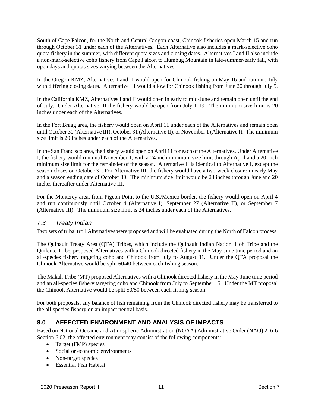South of Cape Falcon, for the North and Central Oregon coast, Chinook fisheries open March 15 and run through October 31 under each of the Alternatives. Each Alternative also includes a mark-selective coho quota fishery in the summer, with different quota sizes and closing dates. Alternatives I and II also include a non-mark-selective coho fishery from Cape Falcon to Humbug Mountain in late-summer/early fall, with open days and quotas sizes varying between the Alternatives.

In the Oregon KMZ, Alternatives I and II would open for Chinook fishing on May 16 and run into July with differing closing dates. Alternative III would allow for Chinook fishing from June 20 through July 5.

In the California KMZ, Alternatives I and II would open in early to mid-June and remain open until the end of July. Under Alternative III the fishery would be open from July 1-19. The minimum size limit is 20 inches under each of the Alternatives.

In the Fort Bragg area, the fishery would open on April 11 under each of the Alternatives and remain open until October 30 (Alternative III), October 31 (Alternative II), or November 1 (Alternative I). The minimum size limit is 20 inches under each of the Alternatives.

In the San Francisco area, the fishery would open on April 11 for each of the Alternatives. Under Alternative I, the fishery would run until November 1, with a 24-inch minimum size limit through April and a 20-inch minimum size limit for the remainder of the season. Alternative II is identical to Alternative I, except the season closes on October 31. For Alternative III, the fishery would have a two-week closure in early May and a season ending date of October 30. The minimum size limit would be 24 inches through June and 20 inches thereafter under Alternative III.

For the Monterey area, from Pigeon Point to the U.S./Mexico border, the fishery would open on April 4 and run continuously until October 4 (Alternative I), September 27 (Alternative II), or September 7 (Alternative III). The minimum size limit is 24 inches under each of the Alternatives.

#### *7.3 Treaty Indian*

Two sets of tribal troll Alternatives were proposed and will be evaluated during the North of Falcon process.

The Quinault Treaty Area (QTA) Tribes, which include the Quinault Indian Nation, Hoh Tribe and the Quileute Tribe, proposed Alternatives with a Chinook directed fishery in the May-June time period and an all-species fishery targeting coho and Chinook from July to August 31. Under the QTA proposal the Chinook Alternative would be split 60/40 between each fishing season.

The Makah Tribe (MT) proposed Alternatives with a Chinook directed fishery in the May-June time period and an all-species fishery targeting coho and Chinook from July to September 15. Under the MT proposal the Chinook Alternative would be split 50/50 between each fishing season.

For both proposals, any balance of fish remaining from the Chinook directed fishery may be transferred to the all-species fishery on an impact neutral basis.

## **8.0 AFFECTED ENVIRONMENT AND ANALYSIS OF IMPACTS**

Based on National Oceanic and Atmospheric Administration (NOAA) Administrative Order (NAO) 216-6 Section 6.02, the affected environment may consist of the following components:

- Target (FMP) species
- Social or economic environments
- Non-target species
- Essential Fish Habitat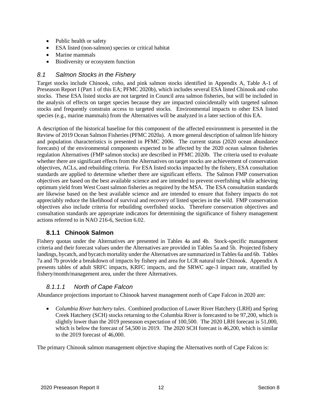- Public health or safety
- ESA listed (non-salmon) species or critical habitat
- Marine mammals
- Biodiversity or ecosystem function

#### *8.1 Salmon Stocks in the Fishery*

Target stocks include Chinook, coho, and pink salmon stocks identified in Appendix A, Table A-1 of Preseason Report I (Part 1 of this EA; PFMC 2020b), which includes several ESA listed Chinook and coho stocks. These ESA listed stocks are not targeted in Council area salmon fisheries, but will be included in the analysis of effects on target species because they are impacted coincidentally with targeted salmon stocks and frequently constrain access to targeted stocks. Environmental impacts to other ESA listed species (e.g., marine mammals) from the Alternatives will be analyzed in a later section of this EA.

A description of the historical baseline for this component of the affected environment is presented in the Review of 2019 Ocean Salmon Fisheries (PFMC 2020a). A more general description of salmon life history and population characteristics is presented in PFMC 2006. The current status (2020 ocean abundance forecasts) of the environmental components expected to be affected by the 2020 ocean salmon fisheries regulation Alternatives (FMP salmon stocks) are described in PFMC 2020b. The criteria used to evaluate whether there are significant effects from the Alternatives on target stocks are achievement of conservation objectives, ACLs, and rebuilding criteria. For ESA listed stocks impacted by the fishery, ESA consultation standards are applied to determine whether there are significant effects. The Salmon FMP conservation objectives are based on the best available science and are intended to prevent overfishing while achieving optimum yield from West Coast salmon fisheries as required by the MSA. The ESA consultation standards are likewise based on the best available science and are intended to ensure that fishery impacts do not appreciably reduce the likelihood of survival and recovery of listed species in the wild. FMP conservation objectives also include criteria for rebuilding overfished stocks. Therefore conservation objectives and consultation standards are appropriate indicators for determining the significance of fishery management actions referred to in NAO 216-6, Section 6.02.

## **8.1.1 Chinook Salmon**

Fishery quotas under the Alternatives are presented in Tables 4a and 4b. Stock-specific management criteria and their forecast values under the Alternatives are provided in Tables 5a and 5b. Projected fishery landings, bycatch, and bycatch mortality under the Alternatives are summarized in Tables 6a and 6b. Tables 7a and 7b provide a breakdown of impacts by fishery and area for LCR natural tule Chinook. Appendix A presents tables of adult SRFC impacts, KRFC impacts, and the SRWC age-3 impact rate, stratified by fishery/month/management area, under the three Alternatives.

## *8.1.1.1 North of Cape Falcon*

Abundance projections important to Chinook harvest management north of Cape Falcon in 2020 are:

• *Columbia River hatchery tules*. Combined production of Lower River Hatchery (LRH) and Spring Creek Hatchery (SCH) stocks returning to the Columbia River is forecasted to be 97,200, which is slightly lower than the 2019 preseason expectation of 100,500. The 2020 LRH forecast is 51,000, which is below the forecast of 54,500 in 2019. The 2020 SCH forecast is 46,200, which is similar to the 2019 forecast of 46,000.

The primary Chinook salmon management objective shaping the Alternatives north of Cape Falcon is: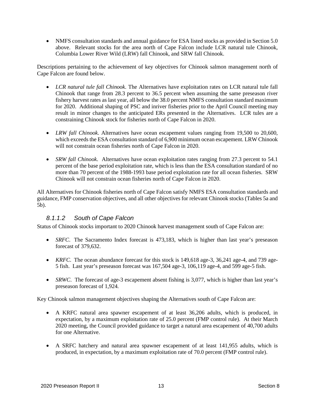• NMFS consultation standards and annual guidance for ESA listed stocks as provided in Section 5.0 above. Relevant stocks for the area north of Cape Falcon include LCR natural tule Chinook, Columbia Lower River Wild (LRW) fall Chinook, and SRW fall Chinook.

Descriptions pertaining to the achievement of key objectives for Chinook salmon management north of Cape Falcon are found below.

- *LCR natural tule fall Chinook*. The Alternatives have exploitation rates on LCR natural tule fall Chinook that range from 28.3 percent to 36.5 percent when assuming the same preseason river fishery harvest rates as last year, all below the 38.0 percent NMFS consultation standard maximum for 2020. Additional shaping of PSC and inriver fisheries prior to the April Council meeting may result in minor changes to the anticipated ERs presented in the Alternatives. LCR tules are a constraining Chinook stock for fisheries north of Cape Falcon in 2020.
- *LRW fall Chinook*. Alternatives have ocean escapement values ranging from 19,500 to 20,600, which exceeds the ESA consultation standard of 6,900 minimum ocean escapement. LRW Chinook will not constrain ocean fisheries north of Cape Falcon in 2020.
- *SRW fall Chinook*. Alternatives have ocean exploitation rates ranging from 27.3 percent to 54.1 percent of the base period exploitation rate, which is less than the ESA consultation standard of no more than 70 percent of the 1988-1993 base period exploitation rate for all ocean fisheries. SRW Chinook will not constrain ocean fisheries north of Cape Falcon in 2020.

All Alternatives for Chinook fisheries north of Cape Falcon satisfy NMFS ESA consultation standards and guidance, FMP conservation objectives, and all other objectives for relevant Chinook stocks (Tables 5a and 5b).

#### *8.1.1.2 South of Cape Falcon*

Status of Chinook stocks important to 2020 Chinook harvest management south of Cape Falcon are:

- *SRFC*. The Sacramento Index forecast is 473,183, which is higher than last year's preseason forecast of 379,632.
- *KRFC*. The ocean abundance forecast for this stock is 149,618 age-3, 36,241 age-4, and 739 age-5 fish. Last year's preseason forecast was 167,504 age-3, 106,119 age-4, and 599 age-5 fish.
- *SRWC*. The forecast of age-3 escapement absent fishing is 3,077, which is higher than last year's preseason forecast of 1,924.

Key Chinook salmon management objectives shaping the Alternatives south of Cape Falcon are:

- A KRFC natural area spawner escapement of at least 36,206 adults, which is produced, in expectation, by a maximum exploitation rate of 25.0 percent (FMP control rule). At their March 2020 meeting, the Council provided guidance to target a natural area escapement of 40,700 adults for one Alternative.
- A SRFC hatchery and natural area spawner escapement of at least 141,955 adults, which is produced, in expectation, by a maximum exploitation rate of 70.0 percent (FMP control rule).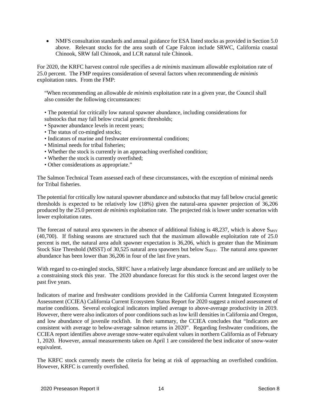• NMFS consultation standards and annual guidance for ESA listed stocks as provided in Section 5.0 above. Relevant stocks for the area south of Cape Falcon include SRWC, California coastal Chinook, SRW fall Chinook, and LCR natural tule Chinook.

For 2020, the KRFC harvest control rule specifies a *de minimis* maximum allowable exploitation rate of 25.0 percent. The FMP requires consideration of several factors when recommending *de minimis*  exploitation rates. From the FMP:

"When recommending an allowable *de minimis* exploitation rate in a given year, the Council shall also consider the following circumstances:

• The potential for critically low natural spawner abundance, including considerations for substocks that may fall below crucial genetic thresholds;

- Spawner abundance levels in recent years;
- The status of co-mingled stocks;
- Indicators of marine and freshwater environmental conditions;
- Minimal needs for tribal fisheries;
- Whether the stock is currently in an approaching overfished condition;
- Whether the stock is currently overfished;
- Other considerations as appropriate."

The Salmon Technical Team assessed each of these circumstances, with the exception of minimal needs for Tribal fisheries.

The potential for critically low natural spawner abundance and substocks that may fall below crucial genetic thresholds is expected to be relatively low (18%) given the natural-area spawner projection of 36,206 produced by the 25.0 percent *de minimis* exploitation rate. The projected risk is lower under scenarios with lower exploitation rates.

The forecast of natural area spawners in the absence of additional fishing is 48,237, which is above  $S_{MST}$ (40,700). If fishing seasons are structured such that the maximum allowable exploitation rate of 25.0 percent is met, the natural area adult spawner expectation is 36,206, which is greater than the Minimum Stock Size Threshold (MSST) of 30,525 natural area spawners but below S<sub>MSY</sub>. The natural area spawner abundance has been lower than 36,206 in four of the last five years.

With regard to co-mingled stocks, SRFC have a relatively large abundance forecast and are unlikely to be a constraining stock this year. The 2020 abundance forecast for this stock is the second largest over the past five years.

Indicators of marine and freshwater conditions provided in the California Current Integrated Ecosystem Assessment (CCIEA) California Current Ecosystem Status Report for 2020 suggest a mixed assessment of marine conditions. Several ecological indicators implied average to above-average productivity in 2019. However, there were also indicators of poor conditions such as low krill densities in California and Oregon, and low abundance of juvenile rockfish. In their summary, the CCIEA concludes that "Indicators are consistent with average to below-average salmon returns in 2020". Regarding freshwater conditions, the CCIEA report identifies above average snow-water equivalent values in northern California as of February 1, 2020. However, annual measurements taken on April 1 are considered the best indicator of snow-water equivalent.

The KRFC stock currently meets the criteria for being at risk of approaching an overfished condition. However, KRFC is currently overfished.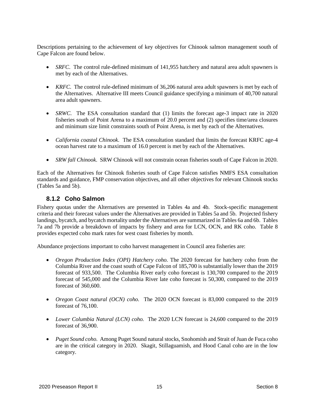Descriptions pertaining to the achievement of key objectives for Chinook salmon management south of Cape Falcon are found below.

- *SRFC*. The control rule-defined minimum of 141,955 hatchery and natural area adult spawners is met by each of the Alternatives.
- *KRFC*. The control rule-defined minimum of 36,206 natural area adult spawners is met by each of the Alternatives. Alternative III meets Council guidance specifying a minimum of 40,700 natural area adult spawners.
- *SRWC*. The ESA consultation standard that (1) limits the forecast age-3 impact rate in 2020 fisheries south of Point Arena to a maximum of 20.0 percent and (2) specifies time/area closures and minimum size limit constraints south of Point Arena, is met by each of the Alternatives.
- *California coastal Chinook*. The ESA consultation standard that limits the forecast KRFC age-4 ocean harvest rate to a maximum of 16.0 percent is met by each of the Alternatives.
- *SRW fall Chinook*. SRW Chinook will not constrain ocean fisheries south of Cape Falcon in 2020.

Each of the Alternatives for Chinook fisheries south of Cape Falcon satisfies NMFS ESA consultation standards and guidance, FMP conservation objectives, and all other objectives for relevant Chinook stocks (Tables 5a and 5b).

#### **8.1.2 Coho Salmon**

Fishery quotas under the Alternatives are presented in Tables 4a and 4b. Stock-specific management criteria and their forecast values under the Alternatives are provided in Tables 5a and 5b. Projected fishery landings, bycatch, and bycatch mortality under the Alternatives are summarized in Tables 6a and 6b. Tables 7a and 7b provide a breakdown of impacts by fishery and area for LCN, OCN, and RK coho. Table 8 provides expected coho mark rates for west coast fisheries by month.

Abundance projections important to coho harvest management in Council area fisheries are:

- *Oregon Production Index (OPI) Hatchery coho.* The 2020 forecast for hatchery coho from the Columbia River and the coast south of Cape Falcon of 185,700 is substantially lower than the 2019 forecast of 933,500. The Columbia River early coho forecast is 130,700 compared to the 2019 forecast of 545,000 and the Columbia River late coho forecast is 50,300, compared to the 2019 forecast of 360,600.
- *Oregon Coast natural (OCN) coho.* The 2020 OCN forecast is 83,000 compared to the 2019 forecast of 76,100.
- *Lower Columbia Natural (LCN) coho.* The 2020 LCN forecast is 24,600 compared to the 2019 forecast of 36,900.
- *Puget Sound coho.* Among Puget Sound natural stocks, Snohomish and Strait of Juan de Fuca coho are in the critical category in 2020. Skagit, Stillaguamish, and Hood Canal coho are in the low category*.*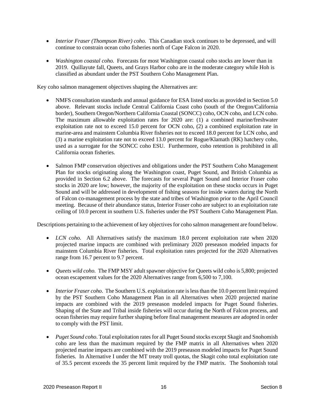- *Interior Fraser (Thompson River) coho.* This Canadian stock continues to be depressed, and will continue to constrain ocean coho fisheries north of Cape Falcon in 2020.
- *Washington coastal coho.* Forecasts for most Washington coastal coho stocks are lower than in 2019. Quillayute fall, Queets, and Grays Harbor coho are in the moderate category while Hoh is classified as abundant under the PST Southern Coho Management Plan.

Key coho salmon management objectives shaping the Alternatives are:

- NMFS consultation standards and annual guidance for ESA listed stocks as provided in Section 5.0 above. Relevant stocks include Central California Coast coho (south of the Oregon/California border), Southern Oregon/Northern California Coastal (SONCC) coho, OCN coho, and LCN coho. The maximum allowable exploitation rates for 2020 are: (1) a combined marine/freshwater exploitation rate not to exceed 15.0 percent for OCN coho, (2) a combined exploitation rate in marine-area and mainstem Columbia River fisheries not to exceed 18.0 percent for LCN coho, and (3) a marine exploitation rate not to exceed 13.0 percent for Rogue/Klamath (RK) hatchery coho, used as a surrogate for the SONCC coho ESU. Furthermore, coho retention is prohibited in all California ocean fisheries.
- Salmon FMP conservation objectives and obligations under the PST Southern Coho Management Plan for stocks originating along the Washington coast, Puget Sound, and British Columbia as provided in Section 6.2 above. The forecasts for several Puget Sound and Interior Fraser coho stocks in 2020 are low; however, the majority of the exploitation on these stocks occurs in Puget Sound and will be addressed in development of fishing seasons for inside waters during the North of Falcon co-management process by the state and tribes of Washington prior to the April Council meeting. Because of their abundance status, Interior Fraser coho are subject to an exploitation rate ceiling of 10.0 percent in southern U.S. fisheries under the PST Southern Coho Management Plan.

Descriptions pertaining to the achievement of key objectives for coho salmon management are found below.

- *LCN coho.* All Alternatives satisfy the maximum 18.0 percent exploitation rate when 2020 projected marine impacts are combined with preliminary 2020 preseason modeled impacts for mainstem Columbia River fisheries. Total exploitation rates projected for the 2020 Alternatives range from 16.7 percent to 9.7 percent.
- *Queets wild coho.* The FMP MSY adult spawner objective for Queets wild coho is 5,800; projected ocean escapement values for the 2020 Alternatives range from 6,500 to 7,100.
- *Interior Fraser coho*. The Southern U.S. exploitation rate is less than the 10.0 percent limit required by the PST Southern Coho Management Plan in all Alternatives when 2020 projected marine impacts are combined with the 2019 preseason modeled impacts for Puget Sound fisheries. Shaping of the State and Tribal inside fisheries will occur during the North of Falcon process, and ocean fisheries may require further shaping before final management measures are adopted in order to comply with the PST limit.
- *Puget Sound coho*. Total exploitation rates for all Puget Sound stocks except Skagit and Snohomish coho are less than the maximum required by the FMP matrix in all Alternatives when 2020 projected marine impacts are combined with the 2019 preseason modeled impacts for Puget Sound fisheries. In Alternative I under the MT treaty troll quotas, the Skagit coho total exploitation rate of 35.5 percent exceeds the 35 percent limit required by the FMP matrix. The Snohomish total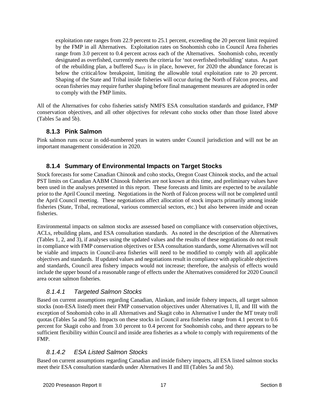exploitation rate ranges from 22.9 percent to 25.1 percent, exceeding the 20 percent limit required by the FMP in all Alternatives. Exploitation rates on Snohomish coho in Council Area fisheries range from 3.0 percent to 0.4 percent across each of the Alternatives. Snohomish coho, recently designated as overfished, currently meets the criteria for 'not overfished/rebuilding' status. As part of the rebuilding plan, a buffered  $S_{MSY}$  is in place, however, for 2020 the abundance forecast is below the critical/low breakpoint, limiting the allowable total exploitation rate to 20 percent. Shaping of the State and Tribal inside fisheries will occur during the North of Falcon process, and ocean fisheries may require further shaping before final management measures are adopted in order to comply with the FMP limits.

All of the Alternatives for coho fisheries satisfy NMFS ESA consultation standards and guidance, FMP conservation objectives, and all other objectives for relevant coho stocks other than those listed above (Tables 5a and 5b).

#### **8.1.3 Pink Salmon**

Pink salmon runs occur in odd-numbered years in waters under Council jurisdiction and will not be an important management consideration in 2020.

#### **8.1.4 Summary of Environmental Impacts on Target Stocks**

Stock forecasts for some Canadian Chinook and coho stocks, Oregon Coast Chinook stocks, and the actual PST limits on Canadian AABM Chinook fisheries are not known at this time, and preliminary values have been used in the analyses presented in this report. These forecasts and limits are expected to be available prior to the April Council meeting. Negotiations in the North of Falcon process will not be completed until the April Council meeting. These negotiations affect allocation of stock impacts primarily among inside fisheries (State, Tribal, recreational, various commercial sectors, etc.) but also between inside and ocean fisheries.

Environmental impacts on salmon stocks are assessed based on compliance with conservation objectives, ACLs, rebuilding plans, and ESA consultation standards. As noted in the description of the Alternatives (Tables 1, 2, and 3), if analyses using the updated values and the results of these negotiations do not result in compliance with FMP conservation objectives or ESA consultation standards, some Alternatives will not be viable and impacts in Council-area fisheries will need to be modified to comply with all applicable objectives and standards. If updated values and negotiations result in compliance with applicable objectives and standards, Council area fishery impacts would not increase; therefore, the analysis of effects would include the upper bound of a reasonable range of effects under the Alternatives considered for 2020 Council area ocean salmon fisheries.

#### *8.1.4.1 Targeted Salmon Stocks*

Based on current assumptions regarding Canadian, Alaskan, and inside fishery impacts, all target salmon stocks (non-ESA listed) meet their FMP conservation objectives under Alternatives I, II, and III with the exception of Snohomish coho in all Alternatives and Skagit coho in Alternative I under the MT treaty troll quotas (Tables 5a and 5b). Impacts on these stocks in Council area fisheries range from 4.1 percent to 0.6 percent for Skagit coho and from 3.0 percent to 0.4 percent for Snohomish coho, and there appears to be sufficient flexibility within Council and inside area fisheries as a whole to comply with requirements of the FMP.

## *8.1.4.2 ESA Listed Salmon Stocks*

Based on current assumptions regarding Canadian and inside fishery impacts, all ESA listed salmon stocks meet their ESA consultation standards under Alternatives II and III (Tables 5a and 5b).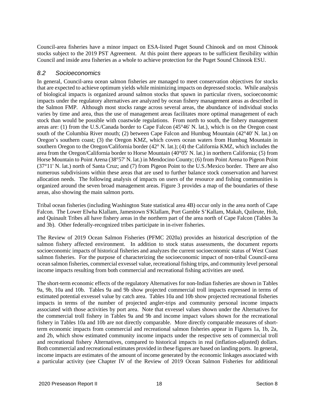Council-area fisheries have a minor impact on ESA-listed Puget Sound Chinook and on most Chinook stocks subject to the 2019 PST Agreement. At this point there appears to be sufficient flexibility within Council and inside area fisheries as a whole to achieve protection for the Puget Sound Chinook ESU.

#### *8.2 Socioeconomics*

In general, Council-area ocean salmon fisheries are managed to meet conservation objectives for stocks that are expected to achieve optimum yields while minimizing impacts on depressed stocks. While analysis of biological impacts is organized around salmon stocks that spawn in particular rivers, socioeconomic impacts under the regulatory alternatives are analyzed by ocean fishery management areas as described in the Salmon FMP. Although most stocks range across several areas, the abundance of individual stocks varies by time and area, thus the use of management areas facilitates more optimal management of each stock than would be possible with coastwide regulations. From north to south, the fishery management areas are: (1) from the U.S./Canada border to Cape Falcon (45°46' N. lat.), which is on the Oregon coast south of the Columbia River mouth; (2) between Cape Falcon and Humbug Mountain (42°40' N. lat.) on Oregon's southern coast; (3) the Oregon KMZ, which covers ocean waters from Humbug Mountain in southern Oregon to the Oregon/California border (42° N. lat.); (4) the California KMZ, which includes the area from the Oregon/California border to Horse Mountain (40°05' N. lat.) in northern California; (5) from Horse Mountain to Point Arena (38°57' N. lat.) in Mendocino County; (6) from Point Arena to Pigeon Point (37°11' N. lat.) north of Santa Cruz; and (7) from Pigeon Point to the U.S./Mexico border. There are also numerous subdivisions within these areas that are used to further balance stock conservation and harvest allocation needs. The following analysis of impacts on users of the resource and fishing communities is organized around the seven broad management areas. Figure 3 provides a map of the boundaries of these areas, also showing the main salmon ports.

Tribal ocean fisheries (including Washington State statistical area 4B) occur only in the area north of Cape Falcon. The Lower Elwha Klallam, Jamestown S'Klallam, Port Gamble S'Kallam, Makah, Quileute, Hoh, and Quinault Tribes all have fishery areas in the northern part of the area north of Cape Falcon (Tables 3a and 3b). Other federally-recognized tribes participate in in-river fisheries.

The Review of 2019 Ocean Salmon Fisheries (PFMC 2020a) provides an historical description of the salmon fishery affected environment. In addition to stock status assessments, the document reports socioeconomic impacts of historical fisheries and analyzes the current socioeconomic status of West Coast salmon fisheries. For the purpose of characterizing the socioeconomic impact of non-tribal Council-area ocean salmon fisheries, commercial exvessel value, recreational fishing trips, and community level personal income impacts resulting from both commercial and recreational fishing activities are used.

The short-term economic effects of the regulatory Alternatives for non-Indian fisheries are shown in Tables 9a, 9b, 10a and 10b. Tables 9a and 9b show projected commercial troll impacts expressed in terms of estimated potential exvessel value by catch area. Tables 10a and 10b show projected recreational fisheries impacts in terms of the number of projected angler-trips and community personal income impacts associated with those activities by port area. Note that exvessel values shown under the Alternatives for the commercial troll fishery in Tables 9a and 9b and income impact values shown for the recreational fishery in Tables 10a and 10b are not directly comparable. More directly comparable measures of shortterm economic impacts from commercial and recreational salmon fisheries appear in Figures 1a, 1b, 2a, and 2b, which show estimated community income impacts under the respective sets of commercial troll and recreational fishery Alternatives, compared to historical impacts in real (inflation-adjusted) dollars. Both commercial and recreational estimates provided in these figures are based on landing ports. In general, income impacts are estimates of the amount of income generated by the economic linkages associated with a particular activity (see Chapter IV of the Review of 2019 Ocean Salmon Fisheries for additional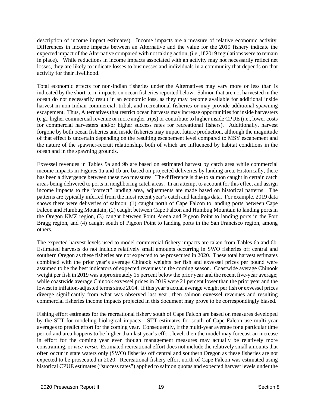description of income impact estimates). Income impacts are a measure of relative economic activity. Differences in income impacts between an Alternative and the value for the 2019 fishery indicate the expected impact of the Alternative compared with not taking action, (i.e., if 2019 regulations were to remain in place). While reductions in income impacts associated with an activity may not necessarily reflect net losses, they are likely to indicate losses to businesses and individuals in a community that depends on that activity for their livelihood.

Total economic effects for non-Indian fisheries under the Alternatives may vary more or less than is indicated by the short-term impacts on ocean fisheries reported below. Salmon that are not harvested in the ocean do not necessarily result in an economic loss, as they may become available for additional inside harvest in non-Indian commercial, tribal, and recreational fisheries or may provide additional spawning escapement. Thus, Alternatives that restrict ocean harvests may increase opportunities for inside harvesters (e.g., higher commercial revenue or more angler trips) or contribute to higher inside CPUE (i.e., lower costs for commercial harvesters and/or higher success rates for recreational fishers). Additionally, harvest forgone by both ocean fisheries and inside fisheries may impact future production, although the magnitude of that effect is uncertain depending on the resulting escapement level compared to MSY escapement and the nature of the spawner-recruit relationship, both of which are influenced by habitat conditions in the ocean and in the spawning grounds.

Exvessel revenues in Tables 9a and 9b are based on estimated harvest by catch area while commercial income impacts in Figures 1a and 1b are based on projected deliveries by landing area. Historically, there has been a divergence between these two measures. The difference is due to salmon caught in certain catch areas being delivered to ports in neighboring catch areas. In an attempt to account for this effect and assign income impacts to the "correct" landing area, adjustments are made based on historical patterns. The patterns are typically inferred from the most recent year's catch and landings data. For example, 2019 data shows there were deliveries of salmon: (1) caught north of Cape Falcon to landing ports between Cape Falcon and Humbug Mountain, (2) caught between Cape Falcon and Humbug Mountain to landing ports in the Oregon KMZ region, (3) caught between Point Arena and Pigeon Point to landing ports in the Fort Bragg region, and (4) caught south of Pigeon Point to landing ports in the San Francisco region, among others.

The expected harvest levels used to model commercial fishery impacts are taken from Tables 6a and 6b. Estimated harvests do not include relatively small amounts occurring in SWO fisheries off central and southern Oregon as these fisheries are not expected to be prosecuted in 2020. These total harvest estimates combined with the prior year's average Chinook weights per fish and exvessel prices per pound were assumed to be the best indicators of expected revenues in the coming season. Coastwide average Chinook weight per fish in 2019 was approximately 15 percent below the prior year and the recent five-year average; while coastwide average Chinook exvessel prices in 2019 were 21 percent lower than the prior year and the lowest in inflation-adjusted terms since 2014. If this year's actual average weight per fish or exvessel prices diverge significantly from what was observed last year, then salmon exvessel revenues and resulting commercial fisheries income impacts projected in this document may prove to be correspondingly biased.

Fishing effort estimates for the recreational fishery south of Cape Falcon are based on measures developed by the STT for modeling biological impacts. STT estimates for south of Cape Falcon use multi-year averages to predict effort for the coming year. Consequently, if the multi-year average for a particular time period and area happens to be higher than last year's effort level, then the model may forecast an increase in effort for the coming year even though management measures may actually be relatively more constraining, or *vice-versa*. Estimated recreational effort does not include the relatively small amounts that often occur in state waters only (SWO) fisheries off central and southern Oregon as these fisheries are not expected to be prosecuted in 2020. Recreational fishery effort north of Cape Falcon was estimated using historical CPUE estimates ("success rates") applied to salmon quotas and expected harvest levels under the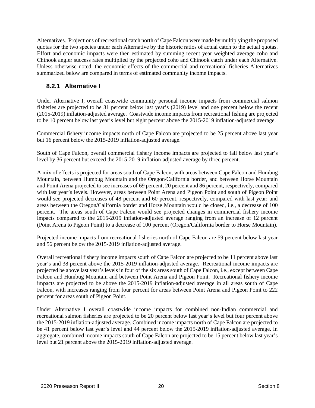Alternatives. Projections of recreational catch north of Cape Falcon were made by multiplying the proposed quotas for the two species under each Alternative by the historic ratios of actual catch to the actual quotas. Effort and economic impacts were then estimated by summing recent year weighted average coho and Chinook angler success rates multiplied by the projected coho and Chinook catch under each Alternative. Unless otherwise noted, the economic effects of the commercial and recreational fisheries Alternatives summarized below are compared in terms of estimated community income impacts.

#### **8.2.1 Alternative I**

Under Alternative I, overall coastwide community personal income impacts from commercial salmon fisheries are projected to be 31 percent below last year's (2019) level and one percent below the recent (2015-2019) inflation-adjusted average. Coastwide income impacts from recreational fishing are projected to be 10 percent below last year's level but eight percent above the 2015-2019 inflation-adjusted average.

Commercial fishery income impacts north of Cape Falcon are projected to be 25 percent above last year but 16 percent below the 2015-2019 inflation-adjusted average.

South of Cape Falcon, overall commercial fishery income impacts are projected to fall below last year's level by 36 percent but exceed the 2015-2019 inflation-adjusted average by three percent.

A mix of effects is projected for areas south of Cape Falcon, with areas between Cape Falcon and Humbug Mountain, between Humbug Mountain and the Oregon/California border, and between Horse Mountain and Point Arena projected to see increases of 69 percent, 20 percent and 86 percent, respectively, compared with last year's levels. However, areas between Point Arena and Pigeon Point and south of Pigeon Point would see projected decreases of 48 percent and 60 percent, respectively, compared with last year; and areas between the Oregon/California border and Horse Mountain would be closed, i.e., a decrease of 100 percent. The areas south of Cape Falcon would see projected changes in commercial fishery income impacts compared to the 2015-2019 inflation-adjusted average ranging from an increase of 12 percent (Point Arena to Pigeon Point) to a decrease of 100 percent (Oregon/California border to Horse Mountain).

Projected income impacts from recreational fisheries north of Cape Falcon are 59 percent below last year and 56 percent below the 2015-2019 inflation-adjusted average.

Overall recreational fishery income impacts south of Cape Falcon are projected to be 11 percent above last year's and 38 percent above the 2015-2019 inflation-adjusted average. Recreational income impacts are projected be above last year's levels in four of the six areas south of Cape Falcon, i.e., except between Cape Falcon and Humbug Mountain and between Point Arena and Pigeon Point. Recreational fishery income impacts are projected to be above the 2015-2019 inflation-adjusted average in all areas south of Cape Falcon, with increases ranging from four percent for areas between Point Arena and Pigeon Point to 222 percent for areas south of Pigeon Point.

Under Alternative I overall coastwide income impacts for combined non-Indian commercial and recreational salmon fisheries are projected to be 20 percent below last year's level but four percent above the 2015-2019 inflation-adjusted average. Combined income impacts north of Cape Falcon are projected to be 41 percent below last year's level and 44 percent below the 2015-2019 inflation-adjusted average. In aggregate, combined income impacts south of Cape Falcon are projected to be 15 percent below last year's level but 21 percent above the 2015-2019 inflation-adjusted average.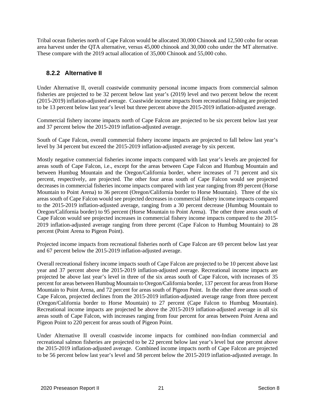Tribal ocean fisheries north of Cape Falcon would be allocated 30,000 Chinook and 12,500 coho for ocean area harvest under the QTA alternative, versus 45,000 chinook and 30,000 coho under the MT alternative. These compare with the 2019 actual allocation of 35,000 Chinook and 55,000 coho.

## **8.2.2 Alternative II**

Under Alternative II, overall coastwide community personal income impacts from commercial salmon fisheries are projected to be 32 percent below last year's (2019) level and two percent below the recent (2015-2019) inflation-adjusted average. Coastwide income impacts from recreational fishing are projected to be 13 percent below last year's level but three percent above the 2015-2019 inflation-adjusted average.

Commercial fishery income impacts north of Cape Falcon are projected to be six percent below last year and 37 percent below the 2015-2019 inflation-adjusted average.

South of Cape Falcon, overall commercial fishery income impacts are projected to fall below last year's level by 34 percent but exceed the 2015-2019 inflation-adjusted average by six percent.

Mostly negative commercial fisheries income impacts compared with last year's levels are projected for areas south of Cape Falcon, i.e., except for the areas between Cape Falcon and Humbug Mountain and between Humbug Mountain and the Oregon/California border, where increases of 71 percent and six percent, respectively, are projected. The other four areas south of Cape Falcon would see projected decreases in commercial fisheries income impacts compared with last year ranging from 89 percent (Horse Mountain to Point Arena) to 36 percent (Oregon/California border to Horse Mountain). Three of the six areas south of Cape Falcon would see projected decreases in commercial fishery income impacts compared to the 2015-2019 inflation-adjusted average, ranging from a 30 percent decrease (Humbug Mountain to Oregon/California border) to 95 percent (Horse Mountain to Point Arena). The other three areas south of Cape Falcon would see projected increases in commercial fishery income impacts compared to the 2015- 2019 inflation-adjusted average ranging from three percent (Cape Falcon to Humbug Mountain) to 28 percent (Point Arena to Pigeon Point).

Projected income impacts from recreational fisheries north of Cape Falcon are 69 percent below last year and 67 percent below the 2015-2019 inflation-adjusted average.

Overall recreational fishery income impacts south of Cape Falcon are projected to be 10 percent above last year and 37 percent above the 2015-2019 inflation-adjusted average. Recreational income impacts are projected be above last year's level in three of the six areas south of Cape Falcon, with increases of 35 percent for areas between Humbug Mountain to Oregon/California border, 137 percent for areas from Horse Mountain to Point Arena, and 72 percent for areas south of Pigeon Point. In the other three areas south of Cape Falcon, projected declines from the 2015-2019 inflation-adjusted average range from three percent (Oregon/California border to Horse Mountain) to 27 percent (Cape Falcon to Humbug Mountain). Recreational income impacts are projected be above the 2015-2019 inflation-adjusted average in all six areas south of Cape Falcon, with increases ranging from four percent for areas between Point Arena and Pigeon Point to 220 percent for areas south of Pigeon Point.

Under Alternative II overall coastwide income impacts for combined non-Indian commercial and recreational salmon fisheries are projected to be 22 percent below last year's level but one percent above the 2015-2019 inflation-adjusted average. Combined income impacts north of Cape Falcon are projected to be 56 percent below last year's level and 58 percent below the 2015-2019 inflation-adjusted average. In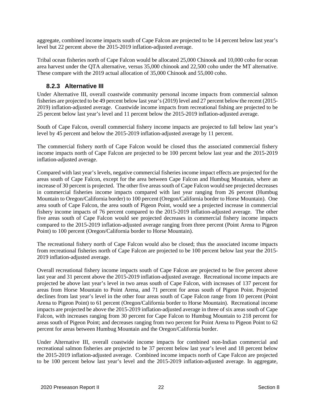aggregate, combined income impacts south of Cape Falcon are projected to be 14 percent below last year's level but 22 percent above the 2015-2019 inflation-adjusted average.

Tribal ocean fisheries north of Cape Falcon would be allocated 25,000 Chinook and 10,000 coho for ocean area harvest under the QTA alternative, versus 35,000 chinook and 22,500 coho under the MT alternative. These compare with the 2019 actual allocation of 35,000 Chinook and 55,000 coho.

#### **8.2.3 Alternative III**

Under Alternative III, overall coastwide community personal income impacts from commercial salmon fisheries are projected to be 49 percent below last year's (2019) level and 27 percent below the recent (2015- 2019) inflation-adjusted average. Coastwide income impacts from recreational fishing are projected to be 25 percent below last year's level and 11 percent below the 2015-2019 inflation-adjusted average.

South of Cape Falcon, overall commercial fishery income impacts are projected to fall below last year's level by 45 percent and below the 2015-2019 inflation-adjusted average by 11 percent.

The commercial fishery north of Cape Falcon would be closed thus the associated commercial fishery income impacts north of Cape Falcon are projected to be 100 percent below last year and the 2015-2019 inflation-adjusted average.

Compared with last year's levels, negative commercial fisheries income impact effects are projected for the areas south of Cape Falcon, except for the area between Cape Falcon and Humbug Mountain, where an increase of 30 percent is projected. The other five areas south of Cape Falcon would see projected decreases in commercial fisheries income impacts compared with last year ranging from 26 percent (Humbug Mountain to Oregon/California border) to 100 percent (Oregon/California border to Horse Mountain). One area south of Cape Falcon, the area south of Pigeon Point, would see a projected increase in commercial fishery income impacts of 76 percent compared to the 2015-2019 inflation-adjusted average. The other five areas south of Cape Falcon would see projected decreases in commercial fishery income impacts compared to the 2015-2019 inflation-adjusted average ranging from three percent (Point Arena to Pigeon Point) to 100 percent (Oregon/California border to Horse Mountain).

The recreational fishery north of Cape Falcon would also be closed; thus the associated income impacts from recreational fisheries north of Cape Falcon are projected to be 100 percent below last year the 2015- 2019 inflation-adjusted average.

Overall recreational fishery income impacts south of Cape Falcon are projected to be five percent above last year and 31 percent above the 2015-2019 inflation-adjusted average. Recreational income impacts are projected be above last year's level in two areas south of Cape Falcon, with increases of 137 percent for areas from Horse Mountain to Point Arena, and 71 percent for areas south of Pigeon Point. Projected declines from last year's level in the other four areas south of Cape Falcon range from 10 percent (Point Arena to Pigeon Point) to 61 percent (Oregon/California border to Horse Mountain). Recreational income impacts are projected be above the 2015-2019 inflation-adjusted average in three of six areas south of Cape Falcon, with increases ranging from 30 percent for Cape Falcon to Humbug Mountain to 218 percent for areas south of Pigeon Point; and decreases ranging from two percent for Point Arena to Pigeon Point to 62 percent for areas between Humbug Mountain and the Oregon/California border.

Under Alternative III, overall coastwide income impacts for combined non-Indian commercial and recreational salmon fisheries are projected to be 37 percent below last year's level and 18 percent below the 2015-2019 inflation-adjusted average. Combined income impacts north of Cape Falcon are projected to be 100 percent below last year's level and the 2015-2019 inflation-adjusted average. In aggregate,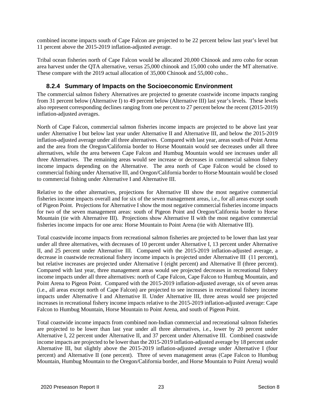combined income impacts south of Cape Falcon are projected to be 22 percent below last year's level but 11 percent above the 2015-2019 inflation-adjusted average.

Tribal ocean fisheries north of Cape Falcon would be allocated 20,000 Chinook and zero coho for ocean area harvest under the QTA alternative, versus 25,000 chinook and 15,000 coho under the MT alternative. These compare with the 2019 actual allocation of 35,000 Chinook and 55,000 coho..

#### **8.2.4 Summary of Impacts on the Socioeconomic Environment**

The commercial salmon fishery Alternatives are projected to generate coastwide income impacts ranging from 31 percent below (Alternative I) to 49 percent below (Alternative III) last year's levels. These levels also represent corresponding declines ranging from one percent to 27 percent below the recent (2015-2019) inflation-adjusted averages.

North of Cape Falcon, commercial salmon fisheries income impacts are projected to be above last year under Alternative I but below last year under Alternative II and Alternative III, and below the 2015-2019 inflation-adjusted average under all three alternatives. Compared with last year, areas south of Point Arena and the area from the Oregon/California border to Horse Mountain would see decreases under all three alternatives, while the area between Cape Falcon and Humbug Mountain would see increases under all three Alternatives. The remaining areas would see increase or decreases in commercial salmon fishery income impacts depending on the Alternative. The area north of Cape Falcon would be closed to commercial fishing under Alternative III, and Oregon/California border to Horse Mountain would be closed to commercial fishing under Alternative I and Alternative III.

Relative to the other alternatives, projections for Alternative III show the most negative commercial fisheries income impacts overall and for six of the seven management areas, i.e., for all areas except south of Pigeon Point. Projections for Alternative I show the most negative commercial fisheries income impacts for two of the seven management areas: south of Pigeon Point and Oregon/California border to Horse Mountain (tie with Alternative III). Projections show Alternative II with the most negative commercial fisheries income impacts for one area: Horse Mountain to Point Arena (tie with Alternative III).

Total coastwide income impacts from recreational salmon fisheries are projected to be lower than last year under all three alternatives, with decreases of 10 percent under Alternative I, 13 percent under Alternative II, and 25 percent under Alternative III. Compared with the 2015-2019 inflation-adjusted average, a decrease in coastwide recreational fishery income impacts is projected under Alternative III (11 percent), but relative increases are projected under Alternative I (eight percent) and Alternative II (three percent). Compared with last year, three management areas would see projected decreases in recreational fishery income impacts under all three alternatives: north of Cape Falcon, Cape Falcon to Humbug Mountain, and Point Arena to Pigeon Point. Compared with the 2015-2019 inflation-adjusted average, six of seven areas (i.e., all areas except north of Cape Falcon) are projected to see increases in recreational fishery income impacts under Alternative I and Alternative II. Under Alternative III, three areas would see projected increases in recreational fishery income impacts relative to the 2015-2019 inflation-adjusted average: Cape Falcon to Humbug Mountain, Horse Mountain to Point Arena, and south of Pigeon Point.

Total coastwide income impacts from combined non-Indian commercial and recreational salmon fisheries are projected to be lower than last year under all three alternatives, i.e., lower by 20 percent under Alternative I, 22 percent under Alternative II, and 37 percent under Alternative III. Combined coastwide income impacts are projected to be lower than the 2015-2019 inflation-adjusted average by 18 percent under Alternative III, but slightly above the 2015-2019 inflation-adjusted average under Alternative I (four percent) and Alternative II (one percent). Three of seven management areas (Cape Falcon to Humbug Mountain, Humbug Mountain to the Oregon/California border, and Horse Mountain to Point Arena) would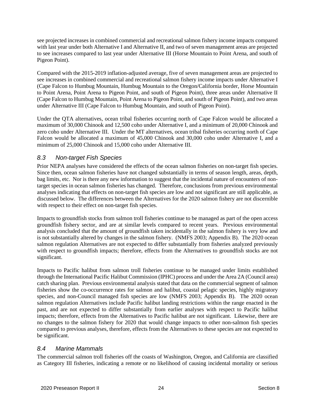see projected increases in combined commercial and recreational salmon fishery income impacts compared with last year under both Alternative I and Alternative II, and two of seven management areas are projected to see increases compared to last year under Alternative III (Horse Mountain to Point Arena, and south of Pigeon Point).

Compared with the 2015-2019 inflation-adjusted average, five of seven management areas are projected to see increases in combined commercial and recreational salmon fishery income impacts under Alternative I (Cape Falcon to Humbug Mountain, Humbug Mountain to the Oregon/California border, Horse Mountain to Point Arena, Point Arena to Pigeon Point, and south of Pigeon Point), three areas under Alternative II (Cape Falcon to Humbug Mountain, Point Arena to Pigeon Point, and south of Pigeon Point), and two areas under Alternative III (Cape Falcon to Humbug Mountain, and south of Pigeon Point).

Under the QTA alternatives, ocean tribal fisheries occurring north of Cape Falcon would be allocated a maximum of 30,000 Chinook and 12,500 coho under Alternative I, and a minimum of 20,000 Chinook and zero coho under Alternative III. Under the MT alternatives, ocean tribal fisheries occurring north of Cape Falcon would be allocated a maximum of 45,000 Chinook and 30,000 coho under Alternative I, and a minimum of 25,000 Chinook and 15,000 coho under Alternative III.

## *8.3 Non-target Fish Species*

Prior NEPA analyses have considered the effects of the ocean salmon fisheries on non-target fish species. Since then, ocean salmon fisheries have not changed substantially in terms of season length, areas, depth, bag limits, etc. Nor is there any new information to suggest that the incidental nature of encounters of nontarget species in ocean salmon fisheries has changed. Therefore, conclusions from previous environmental analyses indicating that effects on non-target fish species are low and not significant are still applicable, as discussed below. The differences between the Alternatives for the 2020 salmon fishery are not discernible with respect to their effect on non-target fish species.

Impacts to groundfish stocks from salmon troll fisheries continue to be managed as part of the open access groundfish fishery sector, and are at similar levels compared to recent years. Previous environmental analysis concluded that the amount of groundfish taken incidentally in the salmon fishery is very low and is not substantially altered by changes in the salmon fishery. (NMFS 2003; Appendix B). The 2020 ocean salmon regulation Alternatives are not expected to differ substantially from fisheries analyzed previously with respect to groundfish impacts; therefore, effects from the Alternatives to groundfish stocks are not significant.

Impacts to Pacific halibut from salmon troll fisheries continue to be managed under limits established through the International Pacific Halibut Commission (IPHC) process and under the Area 2A (Council area) catch sharing plan. Previous environmental analysis stated that data on the commercial segment of salmon fisheries show the co-occurrence rates for salmon and halibut, coastal pelagic species, highly migratory species, and non-Council managed fish species are low (NMFS 2003; Appendix B). The 2020 ocean salmon regulation Alternatives include Pacific halibut landing restrictions within the range enacted in the past, and are not expected to differ substantially from earlier analyses with respect to Pacific halibut impacts; therefore, effects from the Alternatives to Pacific halibut are not significant. Likewise, there are no changes to the salmon fishery for 2020 that would change impacts to other non-salmon fish species compared to previous analyses, therefore, effects from the Alternatives to these species are not expected to be significant.

#### *8.4 Marine Mammals*

The commercial salmon troll fisheries off the coasts of Washington, Oregon, and California are classified as Category III fisheries, indicating a remote or no likelihood of causing incidental mortality or serious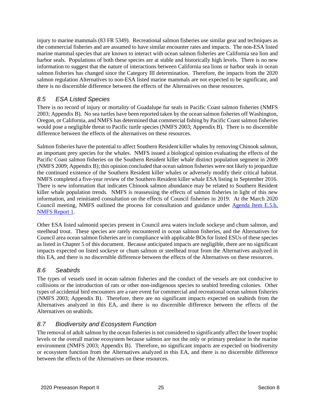injury to marine mammals (83 FR 5349). Recreational salmon fisheries use similar gear and techniques as the commercial fisheries and are assumed to have similar encounter rates and impacts. The non-ESA listed marine mammal species that are known to interact with ocean salmon fisheries are California sea lion and harbor seals. Populations of both these species are at stable and historically high levels. There is no new information to suggest that the nature of interactions between California sea lions or harbor seals in ocean salmon fisheries has changed since the Category III determination. Therefore, the impacts from the 2020 salmon regulation Alternatives to non-ESA listed marine mammals are not expected to be significant, and there is no discernible difference between the effects of the Alternatives on these resources.

## *8.5 ESA Listed Species*

There is no record of injury or mortality of Guadalupe fur seals in Pacific Coast salmon fisheries (NMFS 2003; Appendix B). No sea turtles have been reported taken by the ocean salmon fisheries off Washington, Oregon, or California, and NMFS has determined that commercial fishing by Pacific Coast salmon fisheries would pose a negligible threat to Pacific turtle species (NMFS 2003; Appendix B). There is no discernible difference between the effects of the alternatives on these resources.

Salmon fisheries have the potential to affect Southern Resident killer whales by removing Chinook salmon, an important prey species for the whales. NMFS issued a biological opinion evaluating the effects of the Pacific Coast salmon fisheries on the Southern Resident killer whale distinct population segment in 2009 (NMFS 2009; Appendix B); this opinion concluded that ocean salmon fisheries were not likely to jeopardize the continued existence of the Southern Resident killer whales or adversely modify their critical habitat. NMFS completed a five-year review of the Southern Resident killer whale ESA listing in September 2016. There is new information that indicates Chinook salmon abundance may be related to Southern Resident killer whale population trends. NMFS is reassessing the effects of salmon fisheries in light of this new information, and reinitiated consultation on the effects of Council fisheries in 2019. At the March 2020 Council meeting, NMFS outlined the process for consultation and guidance under [Agenda Item E.5.b,](https://www.pcouncil.org/documents/2020/03/e-5-b-supplemental-nmfs-report-1-guidance-letter.pdf/)  [NMFS Report 1.](https://www.pcouncil.org/documents/2020/03/e-5-b-supplemental-nmfs-report-1-guidance-letter.pdf/)

Other ESA listed salmonid species present in Council area waters include sockeye and chum salmon, and steelhead trout. These species are rarely encountered in ocean salmon fisheries, and the Alternatives for Council area ocean salmon fisheries are in compliance with applicable BOs for listed ESUs of these species as listed in Chapter 5 of this document. Because anticipated impacts are negligible, there are no significant impacts expected on listed sockeye or chum salmon or steelhead trout from the Alternatives analyzed in this EA, and there is no discernible difference between the effects of the Alternatives on these resources.

#### *8.6 Seabirds*

The types of vessels used in ocean salmon fisheries and the conduct of the vessels are not conducive to collisions or the introduction of rats or other non-indigenous species to seabird breeding colonies. Other types of accidental bird encounters are a rare event for commercial and recreational ocean salmon fisheries (NMFS 2003; Appendix B). Therefore, there are no significant impacts expected on seabirds from the Alternatives analyzed in this EA, and there is no discernible difference between the effects of the Alternatives on seabirds.

## *8.7 Biodiversity and Ecosystem Function*

The removal of adult salmon by the ocean fisheries is not considered to significantly affect the lower trophic levels or the overall marine ecosystem because salmon are not the only or primary predator in the marine environment (NMFS 2003; Appendix B). Therefore, no significant impacts are expected on biodiversity or ecosystem function from the Alternatives analyzed in this EA, and there is no discernible difference between the effects of the Alternatives on these resources.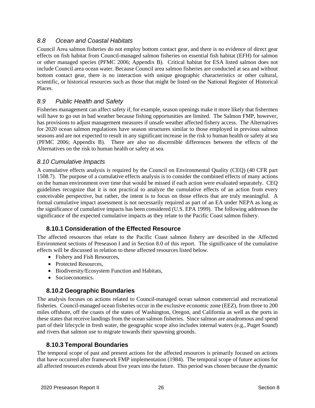#### *8.8 Ocean and Coastal Habitats*

Council Area salmon fisheries do not employ bottom contact gear, and there is no evidence of direct gear effects on fish habitat from Council-managed salmon fisheries on essential fish habitat (EFH) for salmon or other managed species (PFMC 2006; Appendix B). Critical habitat for ESA listed salmon does not include Council area ocean water. Because Council area salmon fisheries are conducted at sea and without bottom contact gear, there is no interaction with unique geographic characteristics or other cultural, scientific, or historical resources such as those that might be listed on the National Register of Historical Places.

#### *8.9 Public Health and Safety*

Fisheries management can affect safety if, for example, season openings make it more likely that fishermen will have to go out in bad weather because fishing opportunities are limited. The Salmon FMP, however, has provisions to adjust management measures if unsafe weather affected fishery access. The Alternatives for 2020 ocean salmon regulations have season structures similar to those employed in previous salmon seasons and are not expected to result in any significant increase in the risk to human health or safety at sea (PFMC 2006; Appendix B). There are also no discernible differences between the effects of the Alternatives on the risk to human health or safety at sea.

#### *8.10 Cumulative Impacts*

A cumulative effects analysis is required by the Council on Environmental Quality (CEQ) (40 CFR part 1508.7). The purpose of a cumulative effects analysis is to consider the combined effects of many actions on the human environment over time that would be missed if each action were evaluated separately. CEQ guidelines recognize that it is not practical to analyze the cumulative effects of an action from every conceivable perspective, but rather, the intent is to focus on those effects that are truly meaningful. A formal cumulative impact assessment is not necessarily required as part of an EA under NEPA as long as the significance of cumulative impacts has been considered (U.S. EPA 1999). The following addresses the significance of the expected cumulative impacts as they relate to the Pacific Coast salmon fishery.

## **8.10.1 Consideration of the Effected Resource**

The affected resources that relate to the Pacific Coast salmon fishery are described in the Affected Environment sections of Preseason I and in Section 8.0 of this report. The significance of the cumulative effects will be discussed in relation to these affected resources listed below.

- Fishery and Fish Resources.
- Protected Resources,
- Biodiversity/Ecosystem Function and Habitats,
- Socioeconomics.

#### **8.10.2 Geographic Boundaries**

The analysis focuses on actions related to Council-managed ocean salmon commercial and recreational fisheries. Council-managed ocean fisheries occur in the exclusive economic zone (EEZ), from three to 200 miles offshore, off the coasts of the states of Washington, Oregon, and California as well as the ports in these states that receive landings from the ocean salmon fisheries. Since salmon are anadromous and spend part of their lifecycle in fresh water, the geographic scope also includes internal waters (e.g., Puget Sound) and rivers that salmon use to migrate towards their spawning grounds.

#### **8.10.3 Temporal Boundaries**

The temporal scope of past and present actions for the affected resources is primarily focused on actions that have occurred after framework FMP implementation (1984). The temporal scope of future actions for all affected resources extends about five years into the future. This period was chosen because the dynamic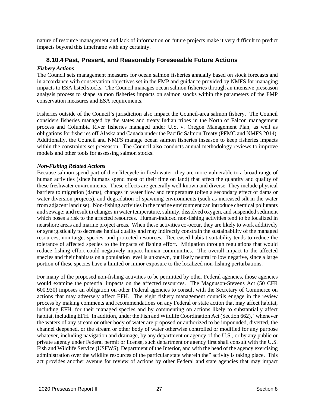nature of resource management and lack of information on future projects make it very difficult to predict impacts beyond this timeframe with any certainty.

#### **8.10.4 Past, Present, and Reasonably Foreseeable Future Actions**

#### *Fishery Actions*

The Council sets management measures for ocean salmon fisheries annually based on stock forecasts and in accordance with conservation objectives set in the FMP and guidance provided by NMFS for managing impacts to ESA listed stocks. The Council manages ocean salmon fisheries through an intensive preseason analysis process to shape salmon fisheries impacts on salmon stocks within the parameters of the FMP conservation measures and ESA requirements.

Fisheries outside of the Council's jurisdiction also impact the Council-area salmon fishery. The Council considers fisheries managed by the states and treaty Indian tribes in the North of Falcon management process and Columbia River fisheries managed under U.S. v. Oregon Management Plan, as well as obligations for fisheries off Alaska and Canada under the Pacific Salmon Treaty (PFMC and NMFS 2014). Additionally, the Council and NMFS manage ocean salmon fisheries inseason to keep fisheries impacts within the constraints set preseason. The Council also conducts annual methodology reviews to improve models and other tools for assessing salmon stocks.

#### *Non-Fishing Related Actions*

Because salmon spend part of their lifecycle in fresh water, they are more vulnerable to a broad range of human activities (since humans spend most of their time on land) that affect the quantity and quality of these freshwater environments. These effects are generally well known and diverse. They include physical barriers to migration (dams), changes in water flow and temperature (often a secondary effect of dams or water diversion projects), and degradation of spawning environments (such as increased silt in the water from adjacent land use). Non-fishing activities in the marine environment can introduce chemical pollutants and sewage; and result in changes in water temperature, salinity, dissolved oxygen, and suspended sediment which poses a risk to the affected resources. Human-induced non-fishing activities tend to be localized in nearshore areas and marine project areas. When these activities co-occur, they are likely to work additively or synergistically to decrease habitat quality and may indirectly constrain the sustainability of the managed resources, non-target species, and protected resources. Decreased habitat suitability tends to reduce the tolerance of affected species to the impacts of fishing effort. Mitigation through regulations that would reduce fishing effort could negatively impact human communities. The overall impact to the affected species and their habitats on a population level is unknown, but likely neutral to low negative, since a large portion of these species have a limited or minor exposure to the localized non-fishing perturbations.

For many of the proposed non-fishing activities to be permitted by other Federal agencies, those agencies would examine the potential impacts on the affected resources. The Magnuson-Stevens Act (50 CFR 600.930) imposes an obligation on other Federal agencies to consult with the Secretary of Commerce on actions that may adversely affect EFH. The eight fishery management councils engage in the review process by making comments and recommendations on any Federal or state action that may affect habitat, including EFH, for their managed species and by commenting on actions likely to substantially affect habitat, including EFH. In addition, under the Fish and Wildlife Coordination Act (Section 662), "whenever the waters of any stream or other body of water are proposed or authorized to be impounded, diverted, the channel deepened, or the stream or other body of water otherwise controlled or modified for any purpose whatever, including navigation and drainage, by any department or agency of the U.S., or by any public or private agency under Federal permit or license, such department or agency first shall consult with the U.S. Fish and Wildlife Service (USFWS), Department of the Interior, and with the head of the agency exercising administration over the wildlife resources of the particular state wherein the" activity is taking place. This act provides another avenue for review of actions by other Federal and state agencies that may impact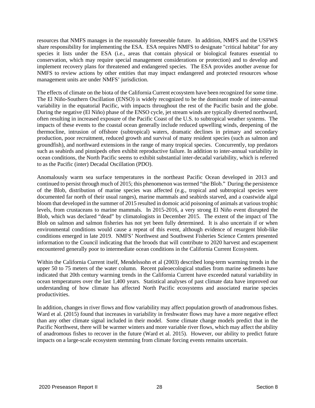resources that NMFS manages in the reasonably foreseeable future. In addition, NMFS and the USFWS share responsibility for implementing the ESA. ESA requires NMFS to designate "critical habitat" for any species it lists under the ESA (i.e., areas that contain physical or biological features essential to conservation, which may require special management considerations or protection) and to develop and implement recovery plans for threatened and endangered species. The ESA provides another avenue for NMFS to review actions by other entities that may impact endangered and protected resources whose management units are under NMFS' jurisdiction.

The effects of climate on the biota of the California Current ecosystem have been recognized for some time. The El Niño-Southern Oscillation (ENSO) is widely recognized to be the dominant mode of inter-annual variability in the equatorial Pacific, with impacts throughout the rest of the Pacific basin and the globe. During the negative (El Niño) phase of the ENSO cycle, jet stream winds are typically diverted northward, often resulting in increased exposure of the Pacific Coast of the U.S. to subtropical weather systems. The impacts of these events to the coastal ocean generally include reduced upwelling winds, deepening of the thermocline, intrusion of offshore (subtropical) waters, dramatic declines in primary and secondary production, poor recruitment, reduced growth and survival of many resident species (such as salmon and groundfish), and northward extensions in the range of many tropical species. Concurrently, top predators such as seabirds and pinnipeds often exhibit reproductive failure. In addition to inter-annual variability in ocean conditions, the North Pacific seems to exhibit substantial inter-decadal variability, which is referred to as the Pacific (inter) Decadal Oscillation (PDO).

Anomalously warm sea surface temperatures in the northeast Pacific Ocean developed in 2013 and continued to persist through much of 2015; this phenomenon was termed "the Blob." During the persistence of the Blob, distribution of marine species was affected (e.g., tropical and subtropical species were documented far north of their usual ranges), marine mammals and seabirds starved, and a coastwide algal bloom that developed in the summer of 2015 resulted in domoic acid poisoning of animals at various trophic levels, from crustaceans to marine mammals. In 2015-2016, a very strong El Niño event disrupted the Blob, which was declared "dead" by climatologists in December 2015. The extent of the impact of The Blob on salmon and salmon fisheries has not yet been fully determined. It is also uncertain if or when environmental conditions would cause a repeat of this event, although evidence of resurgent blob-like conditions emerged in late 2019. NMFS' Northwest and Southwest Fisheries Science Centers presented information to the Council indicating that the broods that will contribute to 2020 harvest and escapement encountered generally poor to intermediate ocean conditions in the California Current Ecosystem.

Within the California Current itself, Mendelssohn et al (2003) described long-term warming trends in the upper 50 to 75 meters of the water column. Recent paleoecological studies from marine sediments have indicated that 20th century warming trends in the California Current have exceeded natural variability in ocean temperatures over the last 1,400 years. Statistical analyses of past climate data have improved our understanding of how climate has affected North Pacific ecosystems and associated marine species productivities.

In addition, changes in river flows and flow variability may affect population growth of anadromous fishes. Ward et al. (2015) found that increases in variability in freshwater flows may have a more negative effect than any other climate signal included in their model. Some climate change models predict that in the Pacific Northwest, there will be warmer winters and more variable river flows, which may affect the ability of anadromous fishes to recover in the future (Ward et al. 2015). However, our ability to predict future impacts on a large-scale ecosystem stemming from climate forcing events remains uncertain.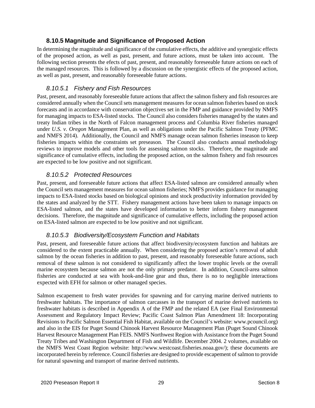#### **8.10.5 Magnitude and Significance of Proposed Action**

In determining the magnitude and significance of the cumulative effects, the additive and synergistic effects of the proposed action, as well as past, present, and future actions, must be taken into account. The following section presents the efects of past, present, and reasonably foreseeable future actions on each of the managed resources. This is followed by a discussion on the synergistic effects of the proposed action, as well as past, present, and reasonably foreseeable future actions.

#### *8.10.5.1 Fishery and Fish Resources*

Past, present, and reasonably foreseeable future actions that affect the salmon fishery and fish resources are considered annually when the Council sets management measures for ocean salmon fisheries based on stock forecasts and in accordance with conservation objectives set in the FMP and guidance provided by NMFS for managing impacts to ESA-listed stocks. The Council also considers fisheries managed by the states and treaty Indian tribes in the North of Falcon management process and Columbia River fisheries managed under *U.S. v. Oregon* Management Plan, as well as obligations under the Pacific Salmon Treaty (PFMC and NMFS 2014). Additionally, the Council and NMFS manage ocean salmon fisheries inseason to keep fisheries impacts within the constraints set preseason. The Council also conducts annual methodology reviews to improve models and other tools for assessing salmon stocks. Therefore, the magnitude and significance of cumulative effects, including the proposed action, on the salmon fishery and fish resources are expected to be low positive and not significant.

#### *8.10.5.2 Protected Resources*

Past, present, and foreseeable future actions that affect ESA-listed salmon are considered annually when the Council sets management measures for ocean salmon fisheries; NMFS provides guidance for managing impacts to ESA-listed stocks based on biological opinions and stock productivity information provided by the states and analyzed by the STT. Fishery management actions have been taken to manage impacts on ESA-listed salmon, and the states have developed information to better inform fishery management decisions. Therefore, the magnitude and significance of cumulative effects, including the proposed action on ESA-listed salmon are expected to be low positive and not significant.

#### *8.10.5.3 Biodiversity/Ecosystem Function and Habitats*

Past, present, and foreseeable future actions that affect biodiversity/ecosystem function and habitats are considered to the extent practicable annually. When considering the proposed action's removal of adult salmon by the ocean fisheries in addition to past, present, and reasonably foreseeable future actions, such removal of these salmon is not considered to significantly affect the lower trophic levels or the overall marine ecosystem because salmon are not the only primary predator. In addition, Council-area salmon fisheries are conducted at sea with hook-and-line gear and thus, there is no to negligible interactions expected with EFH for salmon or other managed species.

Salmon escapement to fresh water provides for spawning and for carrying marine derived nutrients to freshwater habitats. The importance of salmon carcasses in the transport of marine derived nutrients to freshwater habitats is described in Appendix A of the FMP and the related EA (see Final Environmental Assessment and Regulatory Impact Review; Pacific Coast Salmon Plan Amendment 18: Incorporating Revisions to Pacific Salmon Essential Fish Habitat, available on the Council's website: www.pcouncil.org) and also in the EIS for Puget Sound Chinook Harvest Resource Management Plan (Puget Sound Chinook Harvest Resource Management Plan FEIS. NMFS Northwest Region with Assistance from the Puget Sound Treaty Tribes and Washington Department of Fish and Wildlife. December 2004. 2 volumes, available on the NMFS West Coast Region website: http://www.westcoast.fisheries.noaa.gov/); these documents are incorporated herein by reference. Council fisheries are designed to provide escapement of salmon to provide for natural spawning and transport of marine derived nutrients.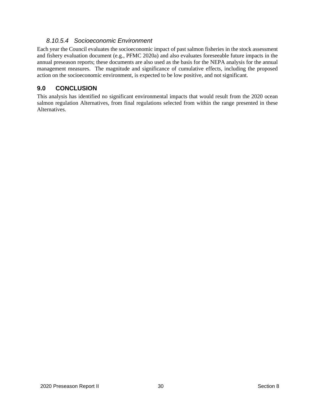# *8.10.5.4 Socioeconomic Environment*

Each year the Council evaluates the socioeconomic impact of past salmon fisheries in the stock assessment and fishery evaluation document (e.g., PFMC 2020a) and also evaluates foreseeable future impacts in the annual preseason reports; these documents are also used as the basis for the NEPA analysis for the annual management measures. The magnitude and significance of cumulative effects, including the proposed action on the socioeconomic environment, is expected to be low positive, and not significant.

# **9.0 CONCLUSION**

This analysis has identified no significant environmental impacts that would result from the 2020 ocean salmon regulation Alternatives, from final regulations selected from within the range presented in these Alternatives.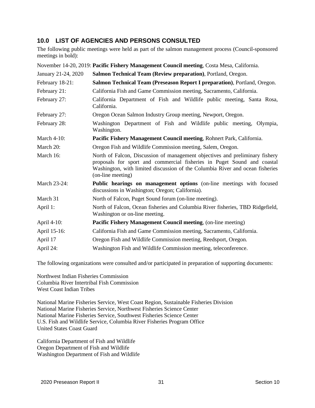# **10.0 LIST OF AGENCIES AND PERSONS CONSULTED**

The following public meetings were held as part of the salmon management process (Council-sponsored meetings in bold):

|                     | November 14-20, 2019: Pacific Fishery Management Council meeting, Costa Mesa, California.                                                                                                                                                                     |
|---------------------|---------------------------------------------------------------------------------------------------------------------------------------------------------------------------------------------------------------------------------------------------------------|
| January 21-24, 2020 | Salmon Technical Team (Review preparation), Portland, Oregon.                                                                                                                                                                                                 |
| February 18-21:     | Salmon Technical Team (Preseason Report I preparation), Portland, Oregon.                                                                                                                                                                                     |
| February 21:        | California Fish and Game Commission meeting, Sacramento, California.                                                                                                                                                                                          |
| February 27:        | California Department of Fish and Wildlife public meeting, Santa Rosa,<br>California.                                                                                                                                                                         |
| February 27:        | Oregon Ocean Salmon Industry Group meeting, Newport, Oregon.                                                                                                                                                                                                  |
| February 28:        | Washington Department of Fish and Wildlife public meeting, Olympia,<br>Washington.                                                                                                                                                                            |
| <b>March 4-10:</b>  | Pacific Fishery Management Council meeting, Rohnert Park, California.                                                                                                                                                                                         |
| March 20:           | Oregon Fish and Wildlife Commission meeting, Salem, Oregon.                                                                                                                                                                                                   |
| March 16:           | North of Falcon, Discussion of management objectives and preliminary fishery<br>proposals for sport and commercial fisheries in Puget Sound and coastal<br>Washington, with limited discussion of the Columbia River and ocean fisheries<br>(on-line meeting) |
| March 23-24:        | Public hearings on management options (on-line meetings with focused<br>discussions in Washington; Oregon; California).                                                                                                                                       |
| March 31            | North of Falcon, Puget Sound forum (on-line meeting).                                                                                                                                                                                                         |
| April 1:            | North of Falcon, Ocean fisheries and Columbia River fisheries, TBD Ridgefield,<br>Washington or on-line meeting.                                                                                                                                              |
| April 4-10:         | <b>Pacific Fishery Management Council meeting, (on-line meeting)</b>                                                                                                                                                                                          |
| April 15-16:        | California Fish and Game Commission meeting, Sacramento, California.                                                                                                                                                                                          |
| April 17            | Oregon Fish and Wildlife Commission meeting, Reedsport, Oregon.                                                                                                                                                                                               |
| April 24:           | Washington Fish and Wildlife Commission meeting, teleconference.                                                                                                                                                                                              |

The following organizations were consulted and/or participated in preparation of supporting documents:

Northwest Indian Fisheries Commission Columbia River Intertribal Fish Commission West Coast Indian Tribes

National Marine Fisheries Service, West Coast Region, Sustainable Fisheries Division National Marine Fisheries Service, Northwest Fisheries Science Center National Marine Fisheries Service, Southwest Fisheries Science Center U.S. Fish and Wildlife Service, Columbia River Fisheries Program Office United States Coast Guard

California Department of Fish and Wildlife Oregon Department of Fish and Wildlife Washington Department of Fish and Wildlife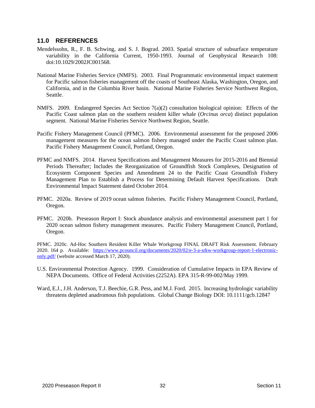## **11.0 REFERENCES**

- Mendelssohn, R., F. B. Schwing, and S. J. Bograd. 2003. Spatial structure of subsurface temperature variability in the California Current, 1950-1993. Journal of Geophysical Research 108: doi:10.1029/2002JC001568.
- National Marine Fisheries Service (NMFS). 2003. Final Programmatic environmental impact statement for Pacific salmon fisheries management off the coasts of Southeast Alaska, Washington, Oregon, and California, and in the Columbia River basin. National Marine Fisheries Service Northwest Region, Seattle.
- NMFS. 2009. Endangered Species Act Section 7(a)(2) consultation biological opinion: Effects of the Pacific Coast salmon plan on the southern resident killer whale (*Orcinus orca*) distinct population segment. National Marine Fisheries Service Northwest Region, Seattle.
- Pacific Fishery Management Council (PFMC). 2006. Environmental assessment for the proposed 2006 management measures for the ocean salmon fishery managed under the Pacific Coast salmon plan. Pacific Fishery Management Council, Portland, Oregon.
- PFMC and NMFS. 2014. Harvest Specifications and Management Measures for 2015-2016 and Biennial Periods Thereafter; Includes the Reorganization of Groundfish Stock Complexes, Designation of Ecosystem Component Species and Amendment 24 to the Pacific Coast Groundfish Fishery Management Plan to Establish a Process for Determining Default Harvest Specifications. Draft Environmental Impact Statement dated October 2014.
- PFMC. 2020a. Review of 2019 ocean salmon fisheries. Pacific Fishery Management Council, Portland, Oregon.
- PFMC. 2020b. Preseason Report I: Stock abundance analysis and environmental assessment part 1 for 2020 ocean salmon fishery management measures. Pacific Fishery Management Council, Portland, Oregon.

PFMC. 2020c. Ad-Hoc Southern Resident Killer Whale Workgroup FINAL DRAFT Risk Assessment. February 2020. 164 p. Available: [https://www.pcouncil.org/documents/2020/02/e-3-a-srkw-workgroup-report-1-electronic](https://www.pcouncil.org/documents/2020/02/e-3-a-srkw-workgroup-report-1-electronic-only.pdf/)[only.pdf/](https://www.pcouncil.org/documents/2020/02/e-3-a-srkw-workgroup-report-1-electronic-only.pdf/) (website accessed March 17, 2020).

- U.S. Environmental Protection Agency. 1999. Consideration of Cumulative Impacts in EPA Review of NEPA Documents. Office of Federal Activities (2252A). EPA 315-R-99-002/May 1999.
- Ward, E.J., J.H. Anderson, T.J. Beechie, G.R. Pess, and M.J. Ford. 2015. Increasing hydrologic variability threatens depleted anadromous fish populations. Global Change Biology DOI: 10.1111/gcb.12847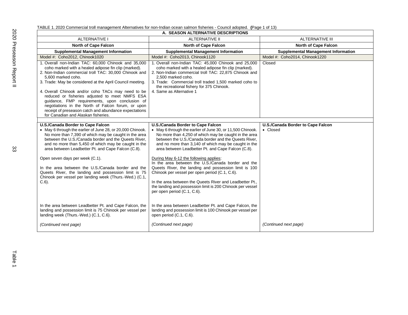| A. SEASON ALTERNATIVE DESCRIPTIONS                                                                                                                                                                                                                                                                                                                                                                                                                                                                                                                                        |                                                                                                                                                                                                                                                                                                                                                                                                                                                                                                                                                                                                                                                                                                           |                                               |  |  |
|---------------------------------------------------------------------------------------------------------------------------------------------------------------------------------------------------------------------------------------------------------------------------------------------------------------------------------------------------------------------------------------------------------------------------------------------------------------------------------------------------------------------------------------------------------------------------|-----------------------------------------------------------------------------------------------------------------------------------------------------------------------------------------------------------------------------------------------------------------------------------------------------------------------------------------------------------------------------------------------------------------------------------------------------------------------------------------------------------------------------------------------------------------------------------------------------------------------------------------------------------------------------------------------------------|-----------------------------------------------|--|--|
| <b>ALTERNATIVE I</b>                                                                                                                                                                                                                                                                                                                                                                                                                                                                                                                                                      | <b>ALTERNATIVE II</b>                                                                                                                                                                                                                                                                                                                                                                                                                                                                                                                                                                                                                                                                                     | <b>ALTERNATIVE III</b>                        |  |  |
| <b>North of Cape Falcon</b><br><b>North of Cape Falcon</b>                                                                                                                                                                                                                                                                                                                                                                                                                                                                                                                |                                                                                                                                                                                                                                                                                                                                                                                                                                                                                                                                                                                                                                                                                                           | <b>North of Cape Falcon</b>                   |  |  |
| <b>Supplemental Management Information</b>                                                                                                                                                                                                                                                                                                                                                                                                                                                                                                                                | <b>Supplemental Management Information</b>                                                                                                                                                                                                                                                                                                                                                                                                                                                                                                                                                                                                                                                                | <b>Supplemental Management Information</b>    |  |  |
| Model #: Coho2012, Chinook1020                                                                                                                                                                                                                                                                                                                                                                                                                                                                                                                                            | Model #: Coho2013, Chinook1120                                                                                                                                                                                                                                                                                                                                                                                                                                                                                                                                                                                                                                                                            | Model #: Coho2014, Chinook1220                |  |  |
| 1. Overall non-Indian TAC: 60,000 Chinook and 35,000<br>coho marked with a healed adipose fin clip (marked).<br>2. Non-Indian commercial troll TAC: 30,000 Chinook and<br>5.600 marked coho.<br>3. Trade: May be considered at the April Council meeting.<br>4. Overall Chinook and/or coho TACs may need to be<br>reduced or fisheries adjusted to meet NMFS ESA<br>guidance, FMP requirements, upon conclusion of<br>negotiations in the North of Falcon forum, or upon<br>receipt of preseason catch and abundance expectations<br>for Canadian and Alaskan fisheries. | 1. Overall non-Indian TAC: 45,000 Chinook and 25,000<br>coho marked with a healed adipose fin clip (marked).<br>2. Non-Indian commercial troll TAC: 22,875 Chinook and<br>2,500 marked coho.<br>3. Trade: Commercial troll traded 1,500 marked coho to<br>the recreational fishery for 375 Chinook.<br>4. Same as Alternative 1                                                                                                                                                                                                                                                                                                                                                                           | Closed                                        |  |  |
|                                                                                                                                                                                                                                                                                                                                                                                                                                                                                                                                                                           |                                                                                                                                                                                                                                                                                                                                                                                                                                                                                                                                                                                                                                                                                                           |                                               |  |  |
| U.S./Canada Border to Cape Falcon<br>• May 6 through the earlier of June 28, or 20,000 Chinook.<br>No more than 7,390 of which may be caught in the area<br>between the U.S./Canada border and the Queets River,<br>and no more than 5,450 of which may be caught in the<br>area between Leadbetter Pt. and Cape Falcon (C.8).<br>Open seven days per week (C.1).<br>In the area between the U.S./Canada border and the<br>Queets River, the landing and possession limit is 75<br>Chinook per vessel per landing week (Thurs.-Wed.) (C.1,<br>$C.6$ ).                    | <b>U.S./Canada Border to Cape Falcon</b><br>• May 6 through the earlier of June 30, or 11,500 Chinook.<br>No more than 4,250 of which may be caught in the area<br>between the U.S./Canada border and the Queets River,<br>and no more than 3,140 of which may be caught in the<br>area between Leadbetter Pt. and Cape Falcon (C.8).<br>During May 6-12 the following applies:<br>In the area between the U.S./Canada border and the<br>Queets River, the landing and possession limit is 100<br>Chinook per vessel per open period (C.1, C.6).<br>In the area between the Queets River and Leadbetter Pt.,<br>the landing and possession limit is 200 Chinook per vessel<br>per open period (C.1, C.6). | U.S./Canada Border to Cape Falcon<br>• Closed |  |  |
| In the area between Leadbetter Pt. and Cape Falcon, the<br>landing and possession limit is 75 Chinook per vessel per<br>landing week (Thurs.-Wed.) (C.1, C.6).                                                                                                                                                                                                                                                                                                                                                                                                            | In the area between Leadbetter Pt. and Cape Falcon, the<br>landing and possession limit is 100 Chinook per vessel per<br>open period (C.1, C.6).                                                                                                                                                                                                                                                                                                                                                                                                                                                                                                                                                          |                                               |  |  |
| (Continued next page)                                                                                                                                                                                                                                                                                                                                                                                                                                                                                                                                                     | (Continued next page)                                                                                                                                                                                                                                                                                                                                                                                                                                                                                                                                                                                                                                                                                     | (Continued next page)                         |  |  |

TABLE 1. 2020 Commercial troll management Alternatives for non-Indian ocean salmon fisheries - Council adopted. **(**Page 1 of 13)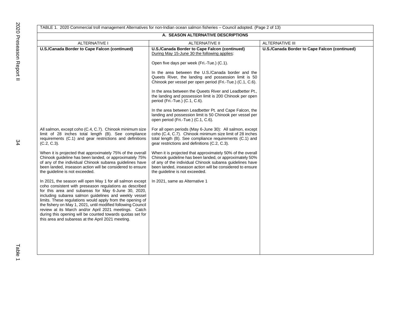|                                                                                                                                                                                                                                                                                                                                                                                                                                                                                                                                               | A. SEASON ALTERNATIVE DESCRIPTIONS                                                                                                                                                                                                                                               |                                               |  |  |  |
|-----------------------------------------------------------------------------------------------------------------------------------------------------------------------------------------------------------------------------------------------------------------------------------------------------------------------------------------------------------------------------------------------------------------------------------------------------------------------------------------------------------------------------------------------|----------------------------------------------------------------------------------------------------------------------------------------------------------------------------------------------------------------------------------------------------------------------------------|-----------------------------------------------|--|--|--|
| <b>ALTERNATIVE I</b><br><b>ALTERNATIVE II</b><br><b>ALTERNATIVE III</b>                                                                                                                                                                                                                                                                                                                                                                                                                                                                       |                                                                                                                                                                                                                                                                                  |                                               |  |  |  |
| U.S./Canada Border to Cape Falcon (continued)                                                                                                                                                                                                                                                                                                                                                                                                                                                                                                 | U.S./Canada Border to Cape Falcon (continued)<br>During May 15-June 30 the following applies:                                                                                                                                                                                    | U.S./Canada Border to Cape Falcon (continued) |  |  |  |
|                                                                                                                                                                                                                                                                                                                                                                                                                                                                                                                                               | Open five days per week (Fri.-Tue.) (C.1).                                                                                                                                                                                                                                       |                                               |  |  |  |
|                                                                                                                                                                                                                                                                                                                                                                                                                                                                                                                                               | In the area between the U.S./Canada border and the<br>Queets River, the landing and possession limit is 50<br>Chinook per vessel per open period (Fri.-Tue.) (C.1, C.6).                                                                                                         |                                               |  |  |  |
|                                                                                                                                                                                                                                                                                                                                                                                                                                                                                                                                               | In the area between the Queets River and Leadbetter Pt.,<br>the landing and possession limit is 200 Chinook per open<br>period (Fri.-Tue.) (C.1, C.6).                                                                                                                           |                                               |  |  |  |
|                                                                                                                                                                                                                                                                                                                                                                                                                                                                                                                                               | In the area between Leadbetter Pt. and Cape Falcon, the<br>landing and possession limit is 50 Chinook per vessel per<br>open period (Fri.-Tue.) (C.1, C.6).                                                                                                                      |                                               |  |  |  |
| All salmon, except coho (C.4, C.7). Chinook minimum size<br>limit of 28 inches total length (B). See compliance<br>requirements (C.1) and gear restrictions and definitions<br>$(C.2, C.3)$ .                                                                                                                                                                                                                                                                                                                                                 | For all open periods (May 6-June 30): All salmon, except<br>coho (C.4, C.7). Chinook minimum size limit of 28 inches<br>total length (B). See compliance requirements (C.1) and<br>gear restrictions and definitions (C.2, C.3).                                                 |                                               |  |  |  |
| When it is projected that approximately 75% of the overall<br>Chinook guideline has been landed, or approximately 75%<br>of any of the individual Chinook subarea guidelines have<br>been landed, inseason action will be considered to ensure<br>the guideline is not exceeded.                                                                                                                                                                                                                                                              | When it is projected that approximately 50% of the overall<br>Chinook guideline has been landed, or approximately 50%<br>of any of the individual Chinook subarea guidelines have<br>been landed, inseason action will be considered to ensure<br>the guideline is not exceeded. |                                               |  |  |  |
| In 2021, the season will open May 1 for all salmon except<br>coho consistent with preseason regulations as described<br>for this area and subareas for May 6-June 30, 2020,<br>including subarea salmon guidelines and weekly vessel<br>limits. These regulations would apply from the opening of<br>the fishery on May 1, 2021, until modified following Council<br>review at its March and/or April 2021 meetings. Catch<br>during this opening will be counted towards quotas set for<br>this area and subareas at the April 2021 meeting. | In 2021, same as Alternative 1                                                                                                                                                                                                                                                   |                                               |  |  |  |
|                                                                                                                                                                                                                                                                                                                                                                                                                                                                                                                                               |                                                                                                                                                                                                                                                                                  |                                               |  |  |  |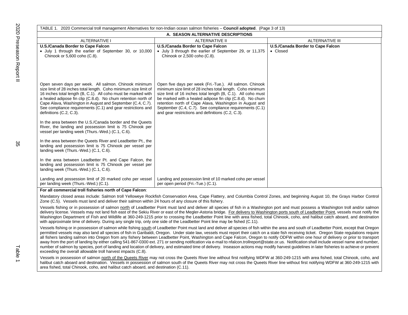| TABLE 1. 2020 Commercial troll management Alternatives for non-Indian ocean salmon fisheries - Council adopted. (Page 3 of 13)                                                                                                                                                                                                                                                                                                                                                                                                                                                                                                                                                                                   |                                                                                                                                                                                                                                                                                                                                                                                                                                |                                   |  |  |
|------------------------------------------------------------------------------------------------------------------------------------------------------------------------------------------------------------------------------------------------------------------------------------------------------------------------------------------------------------------------------------------------------------------------------------------------------------------------------------------------------------------------------------------------------------------------------------------------------------------------------------------------------------------------------------------------------------------|--------------------------------------------------------------------------------------------------------------------------------------------------------------------------------------------------------------------------------------------------------------------------------------------------------------------------------------------------------------------------------------------------------------------------------|-----------------------------------|--|--|
| A. SEASON ALTERNATIVE DESCRIPTIONS                                                                                                                                                                                                                                                                                                                                                                                                                                                                                                                                                                                                                                                                               |                                                                                                                                                                                                                                                                                                                                                                                                                                |                                   |  |  |
| <b>ALTERNATIVE I</b>                                                                                                                                                                                                                                                                                                                                                                                                                                                                                                                                                                                                                                                                                             | <b>ALTERNATIVE II</b>                                                                                                                                                                                                                                                                                                                                                                                                          | <b>ALTERNATIVE III</b>            |  |  |
| <b>U.S./Canada Border to Cape Falcon</b>                                                                                                                                                                                                                                                                                                                                                                                                                                                                                                                                                                                                                                                                         | U.S./Canada Border to Cape Falcon                                                                                                                                                                                                                                                                                                                                                                                              | U.S./Canada Border to Cape Falcon |  |  |
| • July 1 through the earlier of September 30, or 10,000<br>Chinook or 5,600 coho (C.8).                                                                                                                                                                                                                                                                                                                                                                                                                                                                                                                                                                                                                          | • July 3 through the earlier of September 29, or 11,375<br>Chinook or 2,500 coho (C.8).                                                                                                                                                                                                                                                                                                                                        | • Closed                          |  |  |
| Open seven days per week. All salmon. Chinook minimum<br>size limit of 28 inches total length. Coho minimum size limit of<br>16 inches total length (B, C.1). All coho must be marked with<br>a healed adipose fin clip (C.8.d). No chum retention north of<br>Cape Alava, Washington in August and September (C.4, C.7).<br>See compliance requirements (C.1) and gear restrictions and<br>definitions (C.2, C.3).                                                                                                                                                                                                                                                                                              | Open five days per week (Fri.-Tue.). All salmon. Chinook<br>minimum size limit of 28 inches total length. Coho minimum<br>size limit of 16 inches total length (B, C.1). All coho must<br>be marked with a healed adipose fin clip (C.8.d). No chum<br>retention north of Cape Alava, Washington in August and<br>September (C.4, C.7). See compliance requirements (C.1)<br>and gear restrictions and definitions (C.2, C.3). |                                   |  |  |
| In the area between the U.S./Canada border and the Queets<br>River, the landing and possession limit is 75 Chinook per<br>vessel per landing week (Thurs.-Wed.) (C.1, C.6).<br>In the area between the Queets River and Leadbetter Pt., the<br>landing and possession limit is 75 Chinook per vessel per<br>landing week (Thurs.-Wed.) (C.1, C.6).                                                                                                                                                                                                                                                                                                                                                               |                                                                                                                                                                                                                                                                                                                                                                                                                                |                                   |  |  |
| In the area between Leadbetter Pt. and Cape Falcon, the<br>landing and possession limit is 75 Chinook per vessel per<br>landing week (Thurs.-Wed.) (C.1, C.6).                                                                                                                                                                                                                                                                                                                                                                                                                                                                                                                                                   |                                                                                                                                                                                                                                                                                                                                                                                                                                |                                   |  |  |
| Landing and possession limit of 20 marked coho per vessel<br>per landing week (Thurs.-Wed.) (C.1).                                                                                                                                                                                                                                                                                                                                                                                                                                                                                                                                                                                                               | Landing and possession limit of 10 marked coho per vessel<br>per open period (Fri.-Tue.) (C.1).                                                                                                                                                                                                                                                                                                                                |                                   |  |  |
| For all commercial troll fisheries north of Cape Falcon:                                                                                                                                                                                                                                                                                                                                                                                                                                                                                                                                                                                                                                                         |                                                                                                                                                                                                                                                                                                                                                                                                                                |                                   |  |  |
| Mandatory closed areas include: Salmon troll Yelloweye Rockfish Conservation Area, Cape Flattery, and Columbia Control Zones, and beginning August 10, the Grays Harbor Control<br>Zone (C.5). Vessels must land and deliver their salmon within 24 hours of any closure of this fishery.                                                                                                                                                                                                                                                                                                                                                                                                                        |                                                                                                                                                                                                                                                                                                                                                                                                                                |                                   |  |  |
| Vessels fishing or in possession of salmon north of Leadbetter Point must land and deliver all species of fish in a Washington port and must possess a Washington troll and/or salmon<br>delivery license. Vessels may not land fish east of the Sekiu River or east of the Megler-Astoria bridge. For delivery to Washington ports south of Leadbetter Point, vessels must notify the<br>Washington Department of Fish and Wildlife at 360-249-1215 prior to crossing the Leadbetter Point line with area fished, total Chinook, coho, and halibut catch aboard, and destination<br>with approximate time of delivery. During any single trip, only one side of the Leadbetter Point line may be fished (C.11). |                                                                                                                                                                                                                                                                                                                                                                                                                                |                                   |  |  |

Vessels fishing or in possession of salmon while fishing south of Leadbetter Point must land and deliver all species of fish within the area and south of Leadbetter Point, except that Oregon permitted vessels may also land all species of fish in Garibaldi. Oregon. Under state law, vessels must report their catch on a state fish receiving ticket. Oregon State regulations require all fishers landing salmon into Oregon from any fishery between Leadbetter Point, Washington and Cape Falcon, Oregon to notify ODFW within one hour of delivery or prior to transport away from the port of landing by either calling 541-867-0300 ext. 271 or sending notification via e-mail to nfalcon.trollreport@state.or.us. Notification shall include vessel name and number, number of salmon by species, port of landing and location of delivery, and estimated time of delivery. Inseason actions may modify harvest guidelines in later fisheries to achieve or prevent exceeding the overall allowable troll harvest impacts (C.8).

Vessels in possession of salmon north of the Queets River may not cross the Queets River line without first notifying WDFW at 360-249-1215 with area fished, total Chinook, coho, and halibut catch aboard and destination. Vessels in possession of salmon south of the Queets River may not cross the Queets River line without first notifying WDFW at 360-249-1215 with area fished, total Chinook, coho, and halibut catch aboard, and destination (C.11).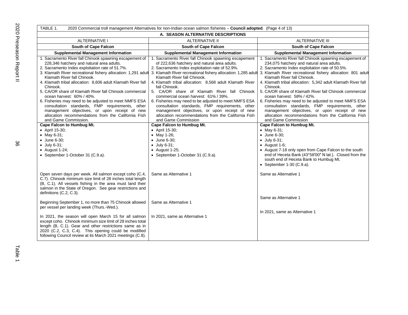| TABLE 1.<br>2020 Commercial troll management Alternatives for non-Indian ocean salmon fisheries - Council adopted. (Page 4 of 13)                                                                                                                                                                                                                                                                                                                                                                                                                                                                                                                                                                           |                                                                                                                                                                                                                                                                                                                                                                                                                                                                                                                                                                                                                                                                                                     |                                                                                                                                                                                                                                                                                                                                                                                                                                                                                                                                                                                                                                                                                                          |  |  |  |
|-------------------------------------------------------------------------------------------------------------------------------------------------------------------------------------------------------------------------------------------------------------------------------------------------------------------------------------------------------------------------------------------------------------------------------------------------------------------------------------------------------------------------------------------------------------------------------------------------------------------------------------------------------------------------------------------------------------|-----------------------------------------------------------------------------------------------------------------------------------------------------------------------------------------------------------------------------------------------------------------------------------------------------------------------------------------------------------------------------------------------------------------------------------------------------------------------------------------------------------------------------------------------------------------------------------------------------------------------------------------------------------------------------------------------------|----------------------------------------------------------------------------------------------------------------------------------------------------------------------------------------------------------------------------------------------------------------------------------------------------------------------------------------------------------------------------------------------------------------------------------------------------------------------------------------------------------------------------------------------------------------------------------------------------------------------------------------------------------------------------------------------------------|--|--|--|
|                                                                                                                                                                                                                                                                                                                                                                                                                                                                                                                                                                                                                                                                                                             | A. SEASON ALTERNATIVE DESCRIPTIONS                                                                                                                                                                                                                                                                                                                                                                                                                                                                                                                                                                                                                                                                  |                                                                                                                                                                                                                                                                                                                                                                                                                                                                                                                                                                                                                                                                                                          |  |  |  |
| <b>ALTERNATIVE I</b>                                                                                                                                                                                                                                                                                                                                                                                                                                                                                                                                                                                                                                                                                        | <b>ALTERNATIVE II</b>                                                                                                                                                                                                                                                                                                                                                                                                                                                                                                                                                                                                                                                                               | <b>ALTERNATIVE III</b>                                                                                                                                                                                                                                                                                                                                                                                                                                                                                                                                                                                                                                                                                   |  |  |  |
| South of Cape Falcon<br><b>South of Cape Falcon</b>                                                                                                                                                                                                                                                                                                                                                                                                                                                                                                                                                                                                                                                         |                                                                                                                                                                                                                                                                                                                                                                                                                                                                                                                                                                                                                                                                                                     | <b>South of Cape Falcon</b>                                                                                                                                                                                                                                                                                                                                                                                                                                                                                                                                                                                                                                                                              |  |  |  |
| <b>Supplemental Management Information</b>                                                                                                                                                                                                                                                                                                                                                                                                                                                                                                                                                                                                                                                                  | <b>Supplemental Management Information</b>                                                                                                                                                                                                                                                                                                                                                                                                                                                                                                                                                                                                                                                          | <b>Supplemental Management Information</b>                                                                                                                                                                                                                                                                                                                                                                                                                                                                                                                                                                                                                                                               |  |  |  |
| 1. Sacramento River fall Chinook spawning escapement of<br>228,346 hatchery and natural area adults.<br>2. Sacramento Index exploitation rate of 51.7%.<br>3. Klamath River recreational fishery allocation: 1,291 adult<br>Klamath River fall Chinook.<br>4. Klamath tribal allocation: 8,606 adult Klamath River fall<br>Chinook.<br>5. CA/OR share of Klamath River fall Chinook commercial<br>ocean harvest: 60% / 40%.<br>6. Fisheries may need to be adjusted to meet NMFS ESA<br>consultation standards, FMP requirements, other<br>management objectives, or upon receipt of new<br>allocation recommendations from the California Fish<br>and Game Commission.<br><b>Cape Falcon to Humbug Mt.</b> | 1. Sacramento River fall Chinook spawning escapement<br>of 222,636 hatchery and natural area adults.<br>2. Sacramento Index exploitation rate of 52.9%.<br>3. Klamath River recreational fishery allocation: 1,285 adult<br>Klamath River fall Chinook.<br>4. Klamath tribal allocation: 8,568 adult Klamath River<br>fall Chinook.<br>5. CA/OR share of Klamath River fall Chinook<br>commercial ocean harvest: 61% / 39%.<br>6. Fisheries may need to be adjusted to meet NMFS ESA<br>consultation standards, FMP requirements, other<br>management objectives, or upon receipt of new<br>allocation recommendations from the California Fish<br>and Game Commission<br>Cape Falcon to Humbug Mt. | 1. Sacramento River fall Chinook spawning escapement of<br>234,075 hatchery and natural area adults.<br>2. Sacramento Index exploitation rate of 50.5%.<br>3. Klamath River recreational fishery allocation: 801 adult<br>Klamath River fall Chinook.<br>4. Klamath tribal allocation: 5,342 adult Klamath River fall<br>Chinook.<br>5. CA/OR share of Klamath River fall Chinook commercial<br>ocean harvest: 58% / 42%.<br>6. Fisheries may need to be adjusted to meet NMFS ESA<br>consultation standards, FMP requirements, other<br>management objectives, or upon receipt of new<br>allocation recommendations from the California Fish<br>and Game Commission<br><b>Cape Falcon to Humbug Mt.</b> |  |  |  |
| • April 15-30;<br>• May 6-31;<br>• June 6-30;<br>$\bullet$ July 6-31;<br>$\bullet$ August 1-24;<br>• September 1-October 31 (C.9.a).<br>Open seven days per week. All salmon except coho (C.4,                                                                                                                                                                                                                                                                                                                                                                                                                                                                                                              | • April 15-30;<br>• May 1-26;<br>• June 6-30;<br>$\bullet$ July 6-31;<br>$\bullet$ August 1-25;<br>• September 1-October 31 (C.9.a).<br>Same as Alternative 1                                                                                                                                                                                                                                                                                                                                                                                                                                                                                                                                       | • May 6-31;<br>• June 6-30;<br>$\bullet$ July 6-31;<br>$\bullet$ August 1-6;<br>• August 7-18 only open from Cape Falcon to the south<br>end of Heceta Bank (43°58'00" N lat.). Closed from the<br>south end of Heceta Bank to Humbug Mt.<br>• September $1-30$ (C.9.a).<br>Same as Alternative 1                                                                                                                                                                                                                                                                                                                                                                                                        |  |  |  |
| C.7). Chinook minimum size limit of 28 inches total length<br>(B, C.1). All vessels fishing in the area must land their<br>salmon in the State of Oregon. See gear restrictions and<br>definitions (C.2, C.3).<br>Beginning September 1, no more than 75 Chinook allowed                                                                                                                                                                                                                                                                                                                                                                                                                                    | Same as Alternative 1                                                                                                                                                                                                                                                                                                                                                                                                                                                                                                                                                                                                                                                                               | Same as Alternative 1                                                                                                                                                                                                                                                                                                                                                                                                                                                                                                                                                                                                                                                                                    |  |  |  |
| per vessel per landing week (Thurs.-Wed.).<br>In 2021, the season will open March 15 for all salmon<br>except coho. Chinook minimum size limit of 28 inches total<br>length (B, C.1). Gear and other restrictions same as in<br>2020 (C.2, C.3, C.4). This opening could be modified<br>following Council review at its March 2021 meetings (C.8).                                                                                                                                                                                                                                                                                                                                                          | In 2021, same as Alternative 1                                                                                                                                                                                                                                                                                                                                                                                                                                                                                                                                                                                                                                                                      | In 2021, same as Alternative 1                                                                                                                                                                                                                                                                                                                                                                                                                                                                                                                                                                                                                                                                           |  |  |  |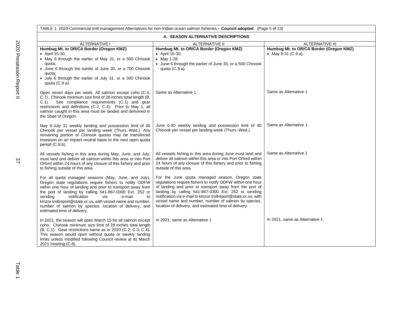TABLE 1. 2020 Commercial troll management Alternatives for non-Indian ocean salmon fisheries – **Council adopted**. (Page 5 of 13) **A. SEASON ALTERNATIVE DESCRIPTIONS** ALTERNATIVE I ALTERNATIVE II ALTERNATIVE III **Humbug Mt. to OR/CA Border (Oregon KMZ)** • April 15-30; • May 6 through the earlier of May 31, or a 500 Chinook quota; • June 6 through the earlier of June 30, or a 700 Chinook quota; • July 6 through the earlier of July 31, or a 300 Chinook quota (C.9.a). Open seven days per week. All salmon except coho (C.4, C.7). Chinook minimum size limit of 28 inches total length (B, C.1). See compliance requirements (C.1) and gear restrictions and definitions (C.2, C.3). Prior to May 1, all salmon caught in this area must be landed and delivered in the State of Oregon. May 6-July 31 weekly landing and possession limit of 40 Chinook per vessel per landing week (Thurs.-Wed.). Any remaining portion of Chinook quotas may be transferred inseason on an impact neutral basis to the next open quota period (C.8.b). All vessels fishing in this area during May, June, and July, must land and deliver all salmon within this area or into Port Orford within 24 hours of any closure of this fishery and prior to fishing outside of this area. For all quota managed seasons (May, June, and July), Oregon state regulations require fishers to notify ODFW within one hour of landing and prior to transport away from the port of landing by calling 541-867-0300 Ext. 252 or sending notification via e-mail to kmzor.trollreport@state.or.us, with vessel name and number, number of salmon by species, location of delivery, and estimated time of delivery. In 2021, the season will open March 15 for all salmon except coho. Chinook minimum size limit of 28 inches total length (B; C.1). Gear restrictions same as in 2020 (C.2; C.3; C.4). This season would open without quota or weekly landing limits unless modified following Council review at its March **Humbug Mt. to OR/CA Border (Oregon KMZ)** • April 15-30; • May 1-26; • June 6 through the earlier of June 30, or a 500 Chinook quota (C.9.a). Same as Alternative 1 June 6-30 weekly landing and possession limit of 40 Chinook per vessel per landing week (Thurs.-Wed.). All vessels fishing in this area during June must land and deliver all salmon within this area or into Port Orford within 24 hours of any closure of this fishery and prior to fishing outside of this area For the June quota managed season, Oregon state regulations require fishers to notify ODFW within one hour of landing and prior to transport away from the port of landing by calling 541-867-0300 Ext. 252 or sending notification via e-mail to kmzor.trollreport@state.or.us, with vessel name and number, number of salmon by species, location of delivery, and estimated time of delivery. In 2021, same as Alternative 1 **Humbug Mt. to OR/CA Border (Oregon KMZ)** • May 6-31 (C.9.a). Same as Alternative 1 Same as Alternative 1 Same as Alternative 1 In 2021, same as Alternative 1

2021 meeting (C.8).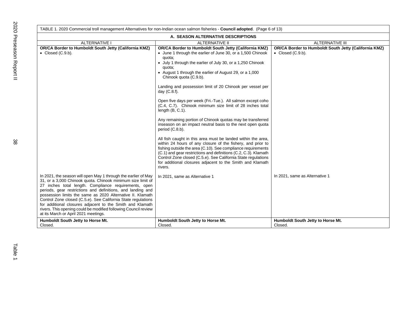| TABLE 1. 2020 Commercial troll management Alternatives for non-Indian ocean salmon fisheries - Council adopted. (Page 6 of 13)                                                                                                                                                                                                                      |                                                                                                                                                                                                                                                                                                                                                                                                                                                                                                                                                                                                                                                      |                                                                                           |  |  |
|-----------------------------------------------------------------------------------------------------------------------------------------------------------------------------------------------------------------------------------------------------------------------------------------------------------------------------------------------------|------------------------------------------------------------------------------------------------------------------------------------------------------------------------------------------------------------------------------------------------------------------------------------------------------------------------------------------------------------------------------------------------------------------------------------------------------------------------------------------------------------------------------------------------------------------------------------------------------------------------------------------------------|-------------------------------------------------------------------------------------------|--|--|
| A. SEASON ALTERNATIVE DESCRIPTIONS                                                                                                                                                                                                                                                                                                                  |                                                                                                                                                                                                                                                                                                                                                                                                                                                                                                                                                                                                                                                      |                                                                                           |  |  |
| <b>ALTERNATIVE I</b>                                                                                                                                                                                                                                                                                                                                | ALTERNATIVE II                                                                                                                                                                                                                                                                                                                                                                                                                                                                                                                                                                                                                                       | <b>ALTERNATIVE III</b>                                                                    |  |  |
| <b>OR/CA Border to Humboldt South Jetty (California KMZ)</b><br>$\bullet$ Closed (C.9.b).                                                                                                                                                                                                                                                           | OR/CA Border to Humboldt South Jetty (California KMZ)<br>• June 1 through the earlier of June 30, or a 1,500 Chinook<br>quota;<br>• July 1 through the earlier of July 30, or a 1,250 Chinook<br>quota:<br>• August 1 through the earlier of August 29, or a 1,000<br>Chinook quota (C.9.b).<br>Landing and possession limit of 20 Chinook per vessel per                                                                                                                                                                                                                                                                                            | <b>OR/CA Border to Humboldt South Jetty (California KMZ)</b><br>$\bullet$ Closed (C.9.b). |  |  |
|                                                                                                                                                                                                                                                                                                                                                     | day $(C.8.f)$ .<br>Open five days per week (Fri.-Tue.). All salmon except coho<br>(C.4, C.7). Chinook minimum size limit of 28 inches total<br>length $(B, C.1)$ .<br>Any remaining portion of Chinook quotas may be transferred<br>inseason on an impact neutral basis to the next open quota<br>period (C.8.b).<br>All fish caught in this area must be landed within the area,<br>within 24 hours of any closure of the fishery, and prior to<br>fishing outside the area (C.10). See compliance requirements<br>(C.1) and gear restrictions and definitions (C.2, C.3). Klamath<br>Control Zone closed (C.5.e). See California State regulations |                                                                                           |  |  |
| In 2021, the season will open May 1 through the earlier of May<br>31, or a 3,000 Chinook quota. Chinook minimum size limit of<br>27 inches total length. Compliance requirements, open<br>periods, gear restrictions and definitions, and landing and                                                                                               | for additional closures adjacent to the Smith and Klamath<br>rivers.<br>In 2021, same as Alternative 1                                                                                                                                                                                                                                                                                                                                                                                                                                                                                                                                               | In 2021, same as Alternative 1                                                            |  |  |
| possession limits the same as 2020 Alternative II. Klamath<br>Control Zone closed (C.5.e). See California State regulations<br>for additional closures adjacent to the Smith and Klamath<br>rivers. This opening could be modified following Council review<br>at its March or April 2021 meetings.<br>Humboldt South Jetty to Horse Mt.<br>Closed. | Humboldt South Jetty to Horse Mt.<br>Closed.                                                                                                                                                                                                                                                                                                                                                                                                                                                                                                                                                                                                         | Humboldt South Jetty to Horse Mt.<br>Closed.                                              |  |  |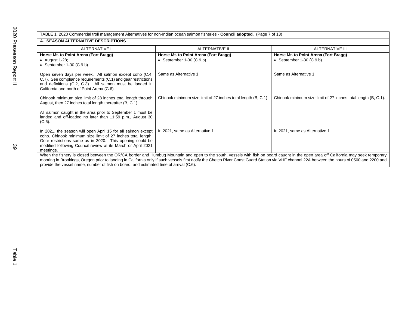| TABLE 1. 2020 Commercial troll management Alternatives for non-Indian ocean salmon fisheries - Council adopted. (Page 7 of 13)<br>A. SEASON ALTERNATIVE DESCRIPTIONS                                                                                                 |                                                                      |                                                                                                                                                                                                                                                                                                                                                                                      |  |
|----------------------------------------------------------------------------------------------------------------------------------------------------------------------------------------------------------------------------------------------------------------------|----------------------------------------------------------------------|--------------------------------------------------------------------------------------------------------------------------------------------------------------------------------------------------------------------------------------------------------------------------------------------------------------------------------------------------------------------------------------|--|
| ALTERNATIVE I                                                                                                                                                                                                                                                        | <b>ALTERNATIVE II</b>                                                | <b>ALTERNATIVE III</b>                                                                                                                                                                                                                                                                                                                                                               |  |
| Horse Mt. to Point Arena (Fort Bragg)<br>• August 1-28;<br>• September $1-30$ (C.9.b).                                                                                                                                                                               | Horse Mt. to Point Arena (Fort Bragg)<br>• September $1-30$ (C.9.b). | Horse Mt. to Point Arena (Fort Bragg)<br>• September $1-30$ (C.9.b).                                                                                                                                                                                                                                                                                                                 |  |
| Open seven days per week. All salmon except coho (C.4,<br>C.7). See compliance requirements (C.1) and gear restrictions<br>and definitions (C.2, C.3). All salmon must be landed in<br>California and north of Point Arena (C.6).                                    | Same as Alternative 1                                                | Same as Alternative 1                                                                                                                                                                                                                                                                                                                                                                |  |
| Chinook minimum size limit of 28 inches total length through<br>August, then 27 inches total length thereafter (B, C.1).                                                                                                                                             | Chinook minimum size limit of 27 inches total length (B, C.1).       | Chinook minimum size limit of 27 inches total length (B, C.1).                                                                                                                                                                                                                                                                                                                       |  |
| All salmon caught in the area prior to September 1 must be<br>landed and off-loaded no later than 11:59 p.m., August 30<br>$(C.6)$ .                                                                                                                                 |                                                                      |                                                                                                                                                                                                                                                                                                                                                                                      |  |
| In 2021, the season will open April 15 for all salmon except<br>coho. Chinook minimum size limit of 27 inches total length.<br>Gear restrictions same as in 2020. This opening could be<br>modified following Council review at its March or April 2021<br>meetings. | In 2021, same as Alternative 1                                       | In 2021, same as Alternative 1                                                                                                                                                                                                                                                                                                                                                       |  |
| provide the vessel name, number of fish on board, and estimated time of arrival (C.6).                                                                                                                                                                               |                                                                      | When the fishery is closed between the OR/CA border and Humbug Mountain and open to the south, vessels with fish on board caught in the open area off California may seek temporary<br>mooring in Brookings, Oregon prior to landing in California only if such vessels first notify the Chetco River Coast Guard Station via VHF channel 22A between the hours of 0500 and 2200 and |  |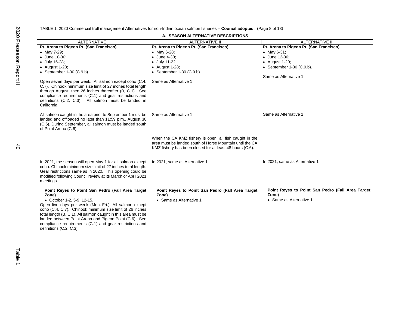| TABLE 1. 2020 Commercial troll management Alternatives for non-Indian ocean salmon fisheries - Council adopted. (Page 8 of 13) |                                                          |                                                  |  |  |  |
|--------------------------------------------------------------------------------------------------------------------------------|----------------------------------------------------------|--------------------------------------------------|--|--|--|
| A. SEASON ALTERNATIVE DESCRIPTIONS                                                                                             |                                                          |                                                  |  |  |  |
| <b>ALTERNATIVE I</b>                                                                                                           | <b>ALTERNATIVE II</b><br><b>ALTERNATIVE III</b>          |                                                  |  |  |  |
| Pt. Arena to Pigeon Pt. (San Francisco)                                                                                        | Pt. Arena to Pigeon Pt. (San Francisco)                  | Pt. Arena to Pigeon Pt. (San Francisco)          |  |  |  |
| • May $7-29$ ;                                                                                                                 | • May 6-28;                                              | • May 6-31;                                      |  |  |  |
| • June 10-30;                                                                                                                  | • June 4-30;                                             | • June 12-30;                                    |  |  |  |
| • July 15-28;                                                                                                                  | • July 11-22;                                            | $\bullet$ August 1-20;                           |  |  |  |
| $\bullet$ August 1-28;                                                                                                         | $\bullet$ August 1-28;                                   | • September 1-30 $(C.9.b)$ .                     |  |  |  |
| • September $1-30$ (C.9.b).                                                                                                    | • September 1-30 (C.9.b).                                |                                                  |  |  |  |
|                                                                                                                                |                                                          | Same as Alternative 1                            |  |  |  |
| Open seven days per week. All salmon except coho (C.4,                                                                         | Same as Alternative 1                                    |                                                  |  |  |  |
| C.7). Chinook minimum size limit of 27 inches total length                                                                     |                                                          |                                                  |  |  |  |
| through August, then 26 inches thereafter (B, C.1). See                                                                        |                                                          |                                                  |  |  |  |
| compliance requirements (C.1) and gear restrictions and                                                                        |                                                          |                                                  |  |  |  |
| definitions (C.2, C.3). All salmon must be landed in                                                                           |                                                          |                                                  |  |  |  |
| California.                                                                                                                    |                                                          |                                                  |  |  |  |
|                                                                                                                                | Same as Alternative 1                                    | Same as Alternative 1                            |  |  |  |
| All salmon caught in the area prior to September 1 must be<br>landed and offloaded no later than 11:59 p.m., August 30         |                                                          |                                                  |  |  |  |
| (C.6). During September, all salmon must be landed south                                                                       |                                                          |                                                  |  |  |  |
| of Point Arena (C.6).                                                                                                          |                                                          |                                                  |  |  |  |
|                                                                                                                                |                                                          |                                                  |  |  |  |
|                                                                                                                                | When the CA KMZ fishery is open, all fish caught in the  |                                                  |  |  |  |
|                                                                                                                                | area must be landed south of Horse Mountain until the CA |                                                  |  |  |  |
|                                                                                                                                | KMZ fishery has been closed for at least 48 hours (C.6). |                                                  |  |  |  |
|                                                                                                                                |                                                          |                                                  |  |  |  |
|                                                                                                                                |                                                          |                                                  |  |  |  |
| In 2021, the season will open May 1 for all salmon except                                                                      | In 2021, same as Alternative 1                           | In 2021, same as Alternative 1                   |  |  |  |
| coho. Chinook minimum size limit of 27 inches total length.                                                                    |                                                          |                                                  |  |  |  |
| Gear restrictions same as in 2020. This opening could be                                                                       |                                                          |                                                  |  |  |  |
| modified following Council review at its March or April 2021                                                                   |                                                          |                                                  |  |  |  |
| meetings.                                                                                                                      |                                                          |                                                  |  |  |  |
| Point Reyes to Point San Pedro (Fall Area Target                                                                               | Point Reyes to Point San Pedro (Fall Area Target         | Point Reyes to Point San Pedro (Fall Area Target |  |  |  |
| Zone)                                                                                                                          | Zone)                                                    | Zone)                                            |  |  |  |
| • October 1-2, 5-9, 12-15.                                                                                                     | • Same as Alternative 1                                  | • Same as Alternative 1                          |  |  |  |
| Open five days per week (Mon.-Fri.). All salmon except                                                                         |                                                          |                                                  |  |  |  |
| coho (C.4, C.7). Chinook minimum size limit of 26 inches                                                                       |                                                          |                                                  |  |  |  |
| total length (B, C.1). All salmon caught in this area must be                                                                  |                                                          |                                                  |  |  |  |
| landed between Point Arena and Pigeon Point (C.6). See                                                                         |                                                          |                                                  |  |  |  |
| compliance requirements (C.1) and gear restrictions and                                                                        |                                                          |                                                  |  |  |  |
| definitions (C.2, C.3).                                                                                                        |                                                          |                                                  |  |  |  |
|                                                                                                                                |                                                          |                                                  |  |  |  |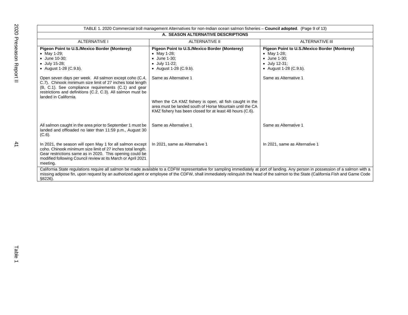|                                                                                                                                                                                                                                                                      | TABLE 1. 2020 Commercial troll management Alternatives for non-Indian ocean salmon fisheries - Council adopted. (Page 9 of 13)                                                                                                                                                                                                                                           |                                                                                                                                         |
|----------------------------------------------------------------------------------------------------------------------------------------------------------------------------------------------------------------------------------------------------------------------|--------------------------------------------------------------------------------------------------------------------------------------------------------------------------------------------------------------------------------------------------------------------------------------------------------------------------------------------------------------------------|-----------------------------------------------------------------------------------------------------------------------------------------|
|                                                                                                                                                                                                                                                                      | A. SEASON ALTERNATIVE DESCRIPTIONS                                                                                                                                                                                                                                                                                                                                       |                                                                                                                                         |
| <b>ALTERNATIVE I</b>                                                                                                                                                                                                                                                 | <b>ALTERNATIVE II</b>                                                                                                                                                                                                                                                                                                                                                    | <b>ALTERNATIVE III</b>                                                                                                                  |
| Pigeon Point to U.S./Mexico Border (Monterey)<br>• May 1-29;<br>• June 10-30:<br>• July 15-28;<br>• August 1-28 (C.9.b).                                                                                                                                             | Pigeon Point to U.S./Mexico Border (Monterey)<br>• May 1-28;<br>• June 1-30:<br>$\bullet$ July 11-22;<br>• August 1-28 (C.9.b).                                                                                                                                                                                                                                          | Pigeon Point to U.S./Mexico Border (Monterey)<br>• May 1-28;<br>$\bullet$ June 1-30:<br>$\bullet$ July 12-31;<br>• August 1-28 (C.9.b). |
| Open seven days per week. All salmon except coho (C.4,<br>C.7). Chinook minimum size limit of 27 inches total length<br>(B, C.1). See compliance requirements (C.1) and gear<br>restrictions and definitions (C.2, C.3). All salmon must be<br>landed in California. | Same as Alternative 1<br>When the CA KMZ fishery is open, all fish caught in the<br>area must be landed south of Horse Mountain until the CA<br>KMZ fishery has been closed for at least 48 hours (C.6).                                                                                                                                                                 | Same as Alternative 1                                                                                                                   |
| All salmon caught in the area prior to September 1 must be<br>landed and offloaded no later than 11:59 p.m., August 30<br>$(C.6)$ .                                                                                                                                  | Same as Alternative 1                                                                                                                                                                                                                                                                                                                                                    | Same as Alternative 1                                                                                                                   |
| In 2021, the season will open May 1 for all salmon except<br>coho. Chinook minimum size limit of 27 inches total length.<br>Gear restrictions same as in 2020. This opening could be<br>modified following Council review at its March or April 2021<br>meeting.     | In 2021, same as Alternative 1                                                                                                                                                                                                                                                                                                                                           | In 2021, same as Alternative 1                                                                                                          |
| $$8226$ ).                                                                                                                                                                                                                                                           | California State regulations require all salmon be made available to a CDFW representative for sampling immediately at port of landing. Any person in possession of a salmon with a<br>missing adipose fin, upon request by an authorized agent or employee of the CDFW, shall immediately relinguish the head of the salmon to the State (California Fish and Game Code |                                                                                                                                         |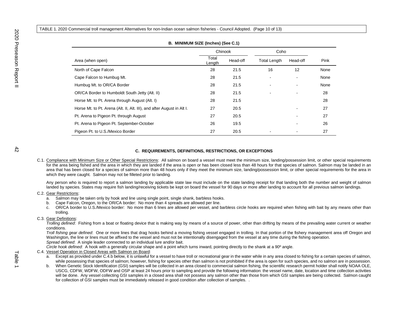|                                                                        | Chinook         |          | Coho                     |          |      |
|------------------------------------------------------------------------|-----------------|----------|--------------------------|----------|------|
| Area (when open)                                                       | Total<br>Length | Head-off | <b>Total Length</b>      | Head-off | Pink |
| North of Cape Falcon                                                   | 28              | 21.5     | 16                       | 12       | None |
| Cape Falcon to Humbug Mt.                                              | 28              | 21.5     | $\overline{\phantom{a}}$ |          | None |
| Humbug Mt. to OR/CA Border                                             | 28              | 21.5     |                          |          | None |
| OR/CA Border to Humboldt South Jetty (Alt. II)                         | 28              | 21.5     |                          |          | 28   |
| Horse Mt. to Pt. Arena through August (Alt. I)                         | 28              | 21.5     |                          |          | 28   |
| Horse Mt. to Pt. Arena (Alt. II, Alt. III), and after August in Alt I. | 27              | 20.5     |                          |          | 27   |
| Pt. Arena to Pigeon Pt. through August                                 | 27              | 20.5     |                          |          | 27   |
| Pt. Arena to Pigeon Pt. September-October                              | 26              | 19.5     |                          |          | 26   |
| Pigeon Pt. to U.S./Mexico Border                                       | 27              | 20.5     |                          |          | 27   |

## **B. MINIMUM SIZE (Inches) (See C.1)**

### **C. REQUIREMENTS, DEFINITIONS, RESTRICTIONS, OR EXCEPTIONS**

C.1. Compliance with Minimum Size or Other Special Restrictions: All salmon on board a vessel must meet the minimum size, landing/possession limit, or other special requirements for the area being fished and the area in which they are landed if the area is open or has been closed less than 48 hours for that species of salmon. Salmon may be landed in an area that has been closed for a species of salmon more than 48 hours only if they meet the minimum size, landing/possession limit, or other special requirements for the area in which they were caught. Salmon may not be filleted prior to landing.

Any person who is required to report a salmon landing by applicable state law must include on the state landing receipt for that landing both the number and weight of salmon landed by species. States may require fish landing/receiving tickets be kept on board the vessel for 90 days or more after landing to account for all previous salmon landings.

### C.2. Gear Restrictions:

- a. Salmon may be taken only by hook and line using single point, single shank, barbless hooks.
- b. Cape Falcon, Oregon, to the OR/CA border: No more than 4 spreads are allowed per line.
- c. OR/CA border to U.S./Mexico border: No more than 6 lines are allowed per vessel, and barbless circle hooks are required when fishing with bait by any means other than trolling.

## C.3. Gear Definitions:

*Trolling defined*: Fishing from a boat or floating device that is making way by means of a source of power, other than drifting by means of the prevailing water current or weather conditions.

*Troll fishing gear defined*: One or more lines that drag hooks behind a moving fishing vessel engaged in trolling. In that portion of the fishery management area off Oregon and Washington, the line or lines must be affixed to the vessel and must not be intentionally disengaged from the vessel at any time during the fishing operation. *Spread defined*: A single leader connected to an individual lure and/or bait.

*Circle hook defined*: A hook with a generally circular shape and a point which turns inward, pointing directly to the shank at a 90º angle.

## C.4. Vessel Operation in Closed Areas with Salmon on Board:

- a. Except as provided under C.4.b below, it is unlawful for a vessel to have troll or recreational gear in the water while in any area closed to fishing for a certain species of salmon, while possessing that species of salmon; however, fishing for species other than salmon is not prohibited if the area is open for such species, and no salmon are in possession.
- b. When Genetic Stock Identification (GSI) samples will be collected in an area closed to commercial salmon fishing, the scientific research permit holder shall notify NOAA OLE, USCG, CDFW, WDFW, ODFW and OSP at least 24 hours prior to sampling and provide the following information: the vessel name, date, location and time collection activities will be done. Any vessel collecting GSI samples in a closed area shall not possess any salmon other than those from which GSI samples are being collected. Salmon caught for collection of GSI samples must be immediately released in good condition after collection of samples. .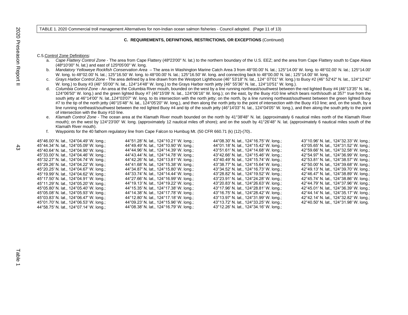TABLE 1. 2020 Commercial troll management Alternatives for non-Indian ocean salmon fisheries - Council adopted. (Page 11 of 13)

#### **C. REQUIREMENTS, DEFINITIONS, RESTRICTIONS, OR EXCEPTIONS** (Continued)

#### C.5.Control Zone Definitions:

- a. *Cape Flattery Control Zone*  The area from Cape Flattery (48º23'00" N. lat.) to the northern boundary of the U.S. EEZ; and the area from Cape Flattery south to Cape Alava (48º10'00" N. lat.) and east of 125º05'00" W. long.
- b. *Mandatory Yelloweye Rockfish Conservation Area* The area in Washington Marine Catch Area 3 from 48°00.00' N. lat.; 125°14.00' W. long. to 48°02.00' N. lat.; 125°14.00' W. long. to 48°02.00' N. lat.; 125°16.50' W. long. to 48°00.00' N. lat.; 125°16.50' W. long. and connecting back to 48°00.00' N. lat.; 125°14.00' W. long.
- c. *Grays Harbor Control Zone* The area defined by a line drawn from the Westport Lighthouse (46° 53'18" N. lat., 124° 07'01" W. long.) to Buoy #2 (46° 52'42" N. lat., 124°12'42" W. long.) to Buoy #3 (46° 55'00" N. lat., 124°14'48" W. long.) to the Grays Harbor north jetty (46° 55'36" N. lat., 124°10'51" W. long.).
- d. *Columbia Control Zone* An area at the Columbia River mouth, bounded on the west by a line running northeast/southwest between the red lighted Buoy #4 (46°13'35" N. lat., 124°06'50" W. long.) and the green lighted Buoy #7 (46°15'09' N. lat., 124°06'16" W. long.); on the east, by the Buoy #10 line which bears north/south at 357° true from the south jetty at 46°14'00" N. lat.,124°03'07" W. long. to its intersection with the north jetty; on the north, by a line running northeast/southwest between the green lighted Buoy #7 to the tip of the north jetty (46°15'48" N. lat., 124°05'20" W. long.), and then along the north jetty to the point of intersection with the Buoy #10 line; and, on the south, by a line running northeast/southwest between the red lighted Buoy #4 and tip of the south jetty (46°14'03" N. lat., 124°04'05" W. long.), and then along the south jetty to the point of intersection with the Buoy #10 line.
- e. *Klamath Control Zone* The ocean area at the Klamath River mouth bounded on the north by 41°38'48" N. lat. (approximately 6 nautical miles north of the Klamath River mouth); on the west by 124°23'00" W. long. (approximately 12 nautical miles off shore); and on the south by 41°26'48" N. lat. (approximately 6 nautical miles south of the Klamath River mouth).
- f. Waypoints for the 40 fathom regulatory line from Cape Falcon to Humbug Mt. (50 CFR 660.71 (k) (12)-(70)..

| 45°46.00' N. lat., 124°04.49' W. long.;                    | 44°51.28' N. lat., 124°10.21' W. long.; | 44°08.30' N. lat., 124°16.75' W. long.; | 43°10.96' N. lat., 124°32.33' W. long.; |
|------------------------------------------------------------|-----------------------------------------|-----------------------------------------|-----------------------------------------|
| 45°44.34′ N. lat., 124°05.09′ W. long.;                    | 44°49.49' N. lat., 124°10.90' W. long.; | 44°01.18′ N. lat., 124°15.42′ W. long.; | 43°05.65' N. lat., 124°31.52' W. long.; |
| 45°40.64' N. lat., 124°04.90' W. long.;                    | 44°44.96' N. lat., 124°14.39' W. long.; | 43°51.61′ N. lat., 124°14.68′ W. long.; | 42°59.66' N. lat., 124°32.58' W. long.; |
| 45°33.00' N. lat., 124°04.46' W. long.;                    | 44°43.44' N. lat., 124°14.78' W. long.; | 43°42.66' N. lat., 124°15.46' W. long.; | 42°54.97' N. lat., 124°36.99' W. long.; |
| 45°32.27' N. lat., 124°04.74' W. long.;                    | 44°42.26' N. lat., 124°13.81' W. long.; | 43°40.49′ N. lat., 124°15.74′ W. long.; | 42°53.81' N. lat., 124°38.57' W. long.; |
| 45°29.26' N. lat., 124°04.22' W. long.;                    | 44°41.68' N. lat., 124°15.38' W. long.; | 43°38.77' N. lat., 124°15.64' W. long.; | 42°50.00' N. lat., 124°39.68' W. long.; |
| 45°20.25' N. lat., 124°04.67' W. long.;                    | 44°34.87' N. lat., 124°15.80' W. long.; | 43°34.52′ N. lat., 124°16.73′ W. long.; | 42°49.13' N. lat., 124°39.70' W. long.; |
| 45°19.99' N. lat., 124°04.62' W. long.;                    | 44°33.74' N. lat., 124°14.44' W. long.; | 43°28.82′ N. lat., 124°19.52′ W. long.; | 42°46.47' N. lat., 124°38.89' W. long.; |
| 45°17.50' N. lat., 124°04.91' W. long.;                    | 44°27.66' N. lat., 124°16.99' W. long.; | 43°23.91′ N. lat., 124°24.28′ W. long.; | 42°45.74' N. lat., 124°38.86' W. long.; |
| 45°11.29' N. lat., 124°05.20' W. long.;                    | 44°19.13' N. lat., 124°19.22' W. long.; | 43°20.83' N. lat., 124°26.63' W. long.; | 42°44.79' N. lat., 124°37.96' W. long.; |
| 45°05.80' N. lat., 124°05.40' W. long.;                    | 44°15.35' N. lat., 124°17.38' W. long.; | 43°17.96' N. lat., 124°28.81' W. long.; | 42°45.01' N. lat., 124°36.39' W. long.; |
| 45°05.08' N. lat., 124°05.93' W. long.;                    | 44°14.38' N. lat., 124°17.78' W. long.; | 43°16.75' N. lat., 124°28.42' W. long.; | 42°44.14' N. lat., 124°35.17' W. long.; |
| $45^{\circ}03.83'$ N. lat., 124 $^{\circ}06.47'$ W. long.; | 44°12.80' N. lat., 124°17.18' W. long.; | 43°13.97' N. lat., 124°31.99' W. long.; | 42°42.14' N. lat., 124°32.82' W. long.; |
| 45°01.70' N. lat., 124°06.53' W. long.;                    | 44°09.23' N. lat., 124°15.96' W. long.; | 43°13.72′ N. lat., 124°33.25′ W. long.; | 42°40.50' N. lat., 124°31.98' W. long.  |
| 44°58.75' N. lat., 124°07.14' W. long.;                    | 44°08.38' N. lat., 124°16.79' W. long.; | 43°12.26' N. lat., 124°34.16' W. long.; |                                         |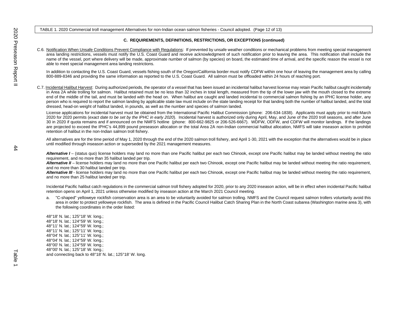TABLE 1. 2020 Commercial troll management Alternatives for non-Indian ocean salmon fisheries - Council adopted. (Page 12 of 13)

### **C. REQUIREMENTS, DEFINITIONS, RESTRICTIONS, OR EXCEPTIONS (continued)**

C.6. Notification When Unsafe Conditions Prevent Compliance with Regulations: If prevented by unsafe weather conditions or mechanical problems from meeting special management area landing restrictions, vessels must notify the U.S. Coast Guard and receive acknowledgment of such notification prior to leaving the area. This notification shall include the name of the vessel, port where delivery will be made, approximate number of salmon (by species) on board, the estimated time of arrival, and the specific reason the vessel is not able to meet special management area landing restrictions.

In addition to contacting the U.S. Coast Guard, vessels fishing south of the Oregon/California border must notify CDFW within one hour of leaving the management area by calling 800-889-8346 and providing the same information as reported to the U.S. Coast Guard. All salmon must be offloaded within 24 hours of reaching port.

C.7. Incidental Halibut Harvest: During authorized periods, the operator of a vessel that has been issued an incidental halibut harvest license may retain Pacific halibut caught incidentally in Area 2A while trolling for salmon. Halibut retained must be no less than 32 inches in total length, measured from the tip of the lower jaw with the mouth closed to the extreme end of the middle of the tail, and must be landed with the head on. When halibut are caught and landed incidental to commercial salmon fishing by an IPHC license holder, any person who is required to report the salmon landing by applicable state law must include on the state landing receipt for that landing both the number of halibut landed, and the total dressed, head-on weight of halibut landed, in pounds, as well as the number and species of salmon landed.

License applications for incidental harvest must be obtained from the International Pacific Halibut Commission (phone: 206-634-1838). Applicants must apply prior to mid-March 2020 for 2020 permits (*exact date to be set by the IPHC in early 2020*). Incidental harvest is authorized only during April, May, and June of the 2020 troll seasons, and after June 30 in 2020 if quota remains and if announced on the NMFS hotline (phone: 800-662-9825 or 206-526-6667). WDFW, ODFW, and CDFW will monitor landings. If the landings are projected to exceed the IPHC's 44,899 pound preseason allocation or the total Area 2A non-Indian commercial halibut allocation, NMFS will take inseason action to prohibit retention of halibut in the non-Indian salmon troll fishery.

All alternatives are for the time period of May 1, 2020 through the end of the 2020 salmon troll fishery, and April 1-30, 2021 with the exception that the alternatives would be in place until modified through inseason action or superseded by the 2021 management measures.

Alternative I – (status quo) license holders may land no more than one Pacific halibut per each two Chinook, except one Pacific halibut may be landed without meeting the ratio requirement, and no more than 35 halibut landed per trip.

Alternative II – license holders may land no more than one Pacific halibut per each two Chinook, except one Pacific halibut may be landed without meeting the ratio requirement, and no more than 30 halibut landed per trip.

Alternative III - license holders may land no more than one Pacific halibut per each two Chinook, except one Pacific halibut may be landed without meeting the ratio requirement, and no more than 25 halibut landed per trip.

Incidental Pacific halibut catch regulations in the commercial salmon troll fishery adopted for 2020, prior to any 2020 inseason action, will be in effect when incidental Pacific halibut retention opens on April 1, 2021 unless otherwise modified by inseason action at the March 2021 Council meeting.

a. "C-shaped" yelloweye rockfish conservation area is an area to be voluntarily avoided for salmon trolling. NMFS and the Council request salmon trollers voluntarily avoid this area in order to protect yelloweye rockfish. The area is defined in the Pacific Council Halibut Catch Sharing Plan in the North Coast subarea (Washington marine area 3), with the following coordinates in the order listed:

48°18' N. lat.; 125°18' W. long.; 48°18' N. lat.; 124°59' W. long.; 48°11' N. lat.; 124°59' W. long.; 48°11' N. lat.; 125°11' W. long.; 48°04' N. lat.; 125°11' W. long.; 48°04' N. lat.; 124°59' W. long.; 48°00' N. lat.; 124°59' W. long.; 48°00' N. lat.; 125°18' W. long.; and connecting back to 48°18' N. lat.; 125°18' W. long.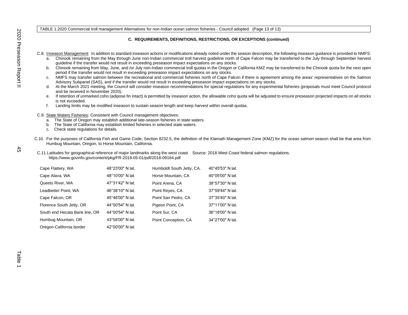TABLE 1.2020 Commercial troll management Alternatives for non-Indian ocean salmon fisheries - Council adopted. (Page 13 of 13)

## **C. REQUIREMENTS, DEFINITIONS, RESTRICTIONS, OR EXCEPTIONS (continued)**

C.8. Inseason Management: In addition to standard inseason actions or modifications already noted under the season description, the following inseason guidance is provided to NMFS:

- a. Chinook remaining from the May through June non-Indian commercial troll harvest guideline north of Cape Falcon may be transferred to the July through September harvest guideline if the transfer would not result in exceeding preseason impact expectations on any stocks.
- b. Chinook remaining from May, June, and /or July non-Indian commercial troll quotas in the Oregon or California KMZ may be transferred to the Chinook quota for the next open period if the transfer would not result in exceeding preseason impact expectations on any stocks.
- c. NMFS may transfer salmon between the recreational and commercial fisheries north of Cape Falcon if there is agreement among the areas' representatives on the Salmon Advisory Subpanel (SAS), and if the transfer would not result in exceeding preseason impact expectations on any stocks.
- d. At the March 2021 meeting, the Council will consider inseason recommendations for special regulations for any experimental fisheries (proposals must meet Council protocol and be received in November 2020).
- e. If retention of unmarked coho (adipose fin intact) is permitted by inseason action, the allowable coho quota will be adjusted to ensure preseason projected impacts on all stocks is not exceeded.
- f. Landing limits may be modified inseason to sustain season length and keep harvest within overall quotas.
- C.9. State Waters Fisheries: Consistent with Council management objectives:
	- a. The State of Oregon may establish additional late-season fisheries in state waters.
	- b. The State of California may establish limited fisheries in selected state waters.
	- c. Check state regulations for details.
- C.10. For the purposes of California Fish and Game Code, Section 8232.5, the definition of the Klamath Management Zone (KMZ) for the ocean salmon season shall be that area from Humbug Mountain, Oregon, to Horse Mountain, California.
- C.11.Latitudes for geographical reference of major landmarks along the west coast. Source: 2018 West Coast federal salmon regulations. <https://www.govinfo.gov/content/pkg/FR-2018-05-01/pdf/2018-09164.pdf>

| Cape Flattery, WA              | 48°23'00" N lat.            | Humboldt South Jetty, CA. | 40°45'53" N lat.           |
|--------------------------------|-----------------------------|---------------------------|----------------------------|
| Cape Alava, WA                 | 48°10'00" N lat.            | Horse Mountain, CA        | $40^{\circ}05'00''$ N lat. |
| Queets River, WA               | 47°31'42" N lat.            | Point Arena, CA           | 38°57'30" N lat.           |
| Leadbetter Point, WA           | 46°38'10" N lat.            | Point Reyes, CA           | 37°59'44" N lat.           |
| Cape Falcon, OR                | 45°46'00" N lat.            | Point San Pedro, CA       | 37°35'40" N lat.           |
| Florence South Jetty, OR       | 44°00'54" N lat.            | Pigeon Point, CA          | 37°11'00" N lat.           |
| South end Hecata Bank line, OR | 44 $^{\circ}$ 00'54" N lat. | Point Sur, CA             | 36°18'00" N lat.           |
| Humbug Mountain, OR            | 43°58'00" N lat.            | Point Conception, CA      | 34°27'00" N lat.           |
| Oregon-California border       | 42°00'00" N lat.            |                           |                            |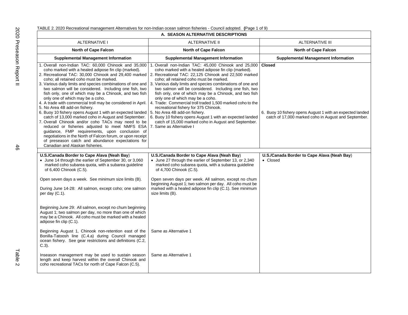| TABLE 2. 2020 Recreational management Alternatives for non-Indian ocean salmon fisheries - Council adopted. (Page 1 of 9) |  |  |
|---------------------------------------------------------------------------------------------------------------------------|--|--|
|---------------------------------------------------------------------------------------------------------------------------|--|--|

| A. SEASON ALTERNATIVE DESCRIPTIONS                                                                                                                                                                                                                                                                                                                                                                                                                                                                                                                                                                                                                                                                                                                                                                                                                                             |                                                                                                                                                                                                                                                                                                                                                                                                                                                                                                                                                                                                                                                                                                                                                                                                                            |                                                                                                                                    |
|--------------------------------------------------------------------------------------------------------------------------------------------------------------------------------------------------------------------------------------------------------------------------------------------------------------------------------------------------------------------------------------------------------------------------------------------------------------------------------------------------------------------------------------------------------------------------------------------------------------------------------------------------------------------------------------------------------------------------------------------------------------------------------------------------------------------------------------------------------------------------------|----------------------------------------------------------------------------------------------------------------------------------------------------------------------------------------------------------------------------------------------------------------------------------------------------------------------------------------------------------------------------------------------------------------------------------------------------------------------------------------------------------------------------------------------------------------------------------------------------------------------------------------------------------------------------------------------------------------------------------------------------------------------------------------------------------------------------|------------------------------------------------------------------------------------------------------------------------------------|
| <b>ALTERNATIVE I</b>                                                                                                                                                                                                                                                                                                                                                                                                                                                                                                                                                                                                                                                                                                                                                                                                                                                           | <b>ALTERNATIVE II</b>                                                                                                                                                                                                                                                                                                                                                                                                                                                                                                                                                                                                                                                                                                                                                                                                      | <b>ALTERNATIVE III</b>                                                                                                             |
| <b>North of Cape Falcon</b>                                                                                                                                                                                                                                                                                                                                                                                                                                                                                                                                                                                                                                                                                                                                                                                                                                                    | <b>North of Cape Falcon</b>                                                                                                                                                                                                                                                                                                                                                                                                                                                                                                                                                                                                                                                                                                                                                                                                | <b>North of Cape Falcon</b>                                                                                                        |
| <b>Supplemental Management Information</b>                                                                                                                                                                                                                                                                                                                                                                                                                                                                                                                                                                                                                                                                                                                                                                                                                                     | <b>Supplemental Management Information</b>                                                                                                                                                                                                                                                                                                                                                                                                                                                                                                                                                                                                                                                                                                                                                                                 | <b>Supplemental Management Information</b>                                                                                         |
| 1. Overall non-Indian TAC: 60,000 Chinook and 35,000<br>coho marked with a healed adipose fin clip (marked).<br>coho; all retained coho must be marked.<br>two salmon will be considered. Including one fish, two<br>fish only, one of which may be a Chinook, and two fish<br>only one of which may be a coho.<br>4. A trade with commercial troll may be considered in April.<br>5. No Area 4B add-on fishery.<br>6. Buoy 10 fishery opens August 1 with an expected landed<br>catch of 13,000 marked coho in August and September.<br>7. Overall Chinook and/or coho TACs may need to be<br>reduced or fisheries adjusted to meet NMFS ESA 7. Same as Alternative I<br>guidance, FMP requirements, upon conclusion of<br>negotiations in the North of Falcon forum, or upon receipt<br>of preseason catch and abundance expectations for<br>Canadian and Alaskan fisheries. | 1. Overall non-Indian TAC: 45,000 Chinook and 25,000<br>coho marked with a healed adipose fin clip (marked).<br>2. Recreational TAC: 30,000 Chinook and 29,400 marked   2. Recreational TAC: 22,125 Chinook and 22,500 marked<br>coho; all retained coho must be marked.<br>3. Various daily limits and species combinations of one and   3. Various daily limits and species combinations of one and<br>two salmon will be considered. Including one fish, two<br>fish only, one of which may be a Chinook, and two fish<br>only one of which may be a coho.<br>4. Trade: Commercial troll traded 1,500 marked coho to the<br>recreational fishery for 375 Chinook.<br>5. No Area 4B add-on fishery.<br>6. Buoy 10 fishery opens August 1 with an expected landed<br>catch of 15,000 marked coho in August and September. | <b>Closed</b><br>6. Buoy 10 fishery opens August 1 with an expected landed<br>catch of 17,000 marked coho in August and September. |
| U.S./Canada Border to Cape Alava (Neah Bay)<br>• June 14 through the earlier of September 30, or 3,060<br>marked coho subarea quota, with a subarea guideline<br>of 6,400 Chinook (C.5).<br>Open seven days a week. See minimum size limits (B).<br>During June 14-28: All salmon, except coho; one salmon<br>per day (C.1).<br>Beginning June 29: All salmon, except no chum beginning<br>August 1; two salmon per day, no more than one of which<br>may be a Chinook. All coho must be marked with a healed<br>adipose fin clip (C.1).<br>Beginning August 1, Chinook non-retention east of the<br>Bonilla-Tatoosh line (C.4.a) during Council managed<br>ocean fishery. See gear restrictions and definitions (C.2,<br>$C.3$ ).<br>Inseason management may be used to sustain season                                                                                        | U.S./Canada Border to Cape Alava (Neah Bay)<br>• June 27 through the earlier of September 13, or 2,340<br>marked coho subarea quota, with a subarea guideline<br>of 4,700 Chinook (C.5).<br>Open seven days per week. All salmon, except no chum<br>beginning August 1; two salmon per day. All coho must be<br>marked with a healed adipose fin clip (C.1). See minimum<br>size limits (B).<br>Same as Alternative 1<br>Same as Alternative 1                                                                                                                                                                                                                                                                                                                                                                             | U.S./Canada Border to Cape Alava (Neah Bay)<br>• Closed                                                                            |
| length and keep harvest within the overall Chinook and<br>coho recreational TACs for north of Cape Falcon (C.5).                                                                                                                                                                                                                                                                                                                                                                                                                                                                                                                                                                                                                                                                                                                                                               |                                                                                                                                                                                                                                                                                                                                                                                                                                                                                                                                                                                                                                                                                                                                                                                                                            |                                                                                                                                    |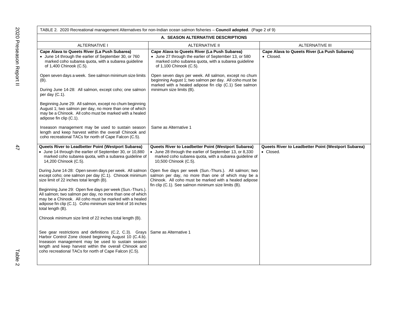|                                                                                                                                                                                                                                                                                                                   | TABLE 2. 2020 Recreational management Alternatives for non-Indian ocean salmon fisheries - Council adopted. (Page 2 of 9)                                                                                                     |                                                                  |
|-------------------------------------------------------------------------------------------------------------------------------------------------------------------------------------------------------------------------------------------------------------------------------------------------------------------|-------------------------------------------------------------------------------------------------------------------------------------------------------------------------------------------------------------------------------|------------------------------------------------------------------|
| A. SEASON ALTERNATIVE DESCRIPTIONS                                                                                                                                                                                                                                                                                |                                                                                                                                                                                                                               |                                                                  |
| <b>ALTERNATIVE I</b>                                                                                                                                                                                                                                                                                              | ALTERNATIVE II                                                                                                                                                                                                                | <b>ALTERNATIVE III</b>                                           |
| Cape Alava to Queets River (La Push Subarea)<br>• June 14 through the earlier of September 30, or 760<br>marked coho subarea quota, with a subarea quideline<br>of 1,400 Chinook (C.5).                                                                                                                           | Cape Alava to Queets River (La Push Subarea)<br>• June 27 through the earlier of September 13, or 580<br>marked coho subarea quota, with a subarea guideline<br>of 1,100 Chinook (C.5).                                       | Cape Alava to Queets River (La Push Subarea)<br>• Closed.        |
| Open seven days a week. See salmon minimum size limits<br>$(B)$ .<br>During June 14-28: All salmon, except coho; one salmon<br>per day $(C.1)$ .                                                                                                                                                                  | Open seven days per week. All salmon, except no chum<br>beginning August 1; two salmon per day. All coho must be<br>marked with a healed adipose fin clip (C.1) See salmon<br>minimum size limits (B).                        |                                                                  |
| Beginning June 29: All salmon, except no chum beginning<br>August 1; two salmon per day, no more than one of which<br>may be a Chinook. All coho must be marked with a healed<br>adipose fin clip (C.1).                                                                                                          |                                                                                                                                                                                                                               |                                                                  |
| Inseason management may be used to sustain season<br>length and keep harvest within the overall Chinook and<br>coho recreational TACs for north of Cape Falcon (C.5).                                                                                                                                             | Same as Alternative 1                                                                                                                                                                                                         |                                                                  |
| Queets River to Leadbetter Point (Westport Subarea)<br>• June 14 through the earlier of September 30, or 10,880<br>marked coho subarea quota, with a subarea guideline of<br>14,200 Chinook (C.5).                                                                                                                | Queets River to Leadbetter Point (Westport Subarea)<br>• June 28 through the earlier of September 13, or 8,330<br>marked coho subarea quota, with a subarea guideline of<br>10,500 Chinook (C.5).                             | Queets River to Leadbetter Point (Westport Subarea)<br>• Closed. |
| During June 14-28: Open seven days per week. All salmon<br>except coho; one salmon per day (C.1). Chinook minimum<br>size limit of 22 inches total length (B).                                                                                                                                                    | Open five days per week (Sun.-Thurs.). All salmon; two<br>salmon per day, no more than one of which may be a<br>Chinook. All coho must be marked with a healed adipose<br>fin clip (C.1). See salmon minimum size limits (B). |                                                                  |
| Beginning June 29: Open five days per week (Sun.-Thurs.).<br>All salmon; two salmon per day, no more than one of which<br>may be a Chinook. All coho must be marked with a healed<br>adipose fin clip (C.1). Coho minimum size limit of 16 inches<br>total length (B).                                            |                                                                                                                                                                                                                               |                                                                  |
| Chinook minimum size limit of 22 inches total length (B).                                                                                                                                                                                                                                                         |                                                                                                                                                                                                                               |                                                                  |
| See gear restrictions and definitions (C.2, C.3). Grays Same as Alternative 1<br>Harbor Control Zone closed beginning August 10 (C.4.b).<br>Inseason management may be used to sustain season<br>length and keep harvest within the overall Chinook and<br>coho recreational TACs for north of Cape Falcon (C.5). |                                                                                                                                                                                                                               |                                                                  |
|                                                                                                                                                                                                                                                                                                                   |                                                                                                                                                                                                                               |                                                                  |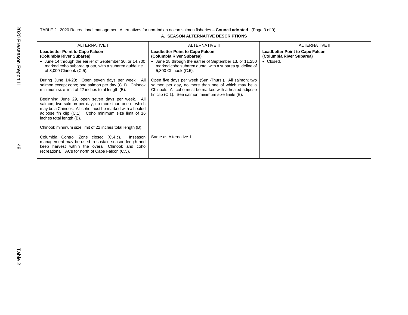|                                                                                                                                                                                                                                                                                                                                                                                                                             | TABLE 2. 2020 Recreational management Alternatives for non-Indian ocean salmon fisheries – <b>Council adopted</b> . (Page 3 of 9)                                                                                             |                                                                                 |
|-----------------------------------------------------------------------------------------------------------------------------------------------------------------------------------------------------------------------------------------------------------------------------------------------------------------------------------------------------------------------------------------------------------------------------|-------------------------------------------------------------------------------------------------------------------------------------------------------------------------------------------------------------------------------|---------------------------------------------------------------------------------|
| A. SEASON ALTERNATIVE DESCRIPTIONS                                                                                                                                                                                                                                                                                                                                                                                          |                                                                                                                                                                                                                               |                                                                                 |
| ALTERNATIVE I                                                                                                                                                                                                                                                                                                                                                                                                               | ALTERNATIVE II                                                                                                                                                                                                                | ALTERNATIVE III                                                                 |
| <b>Leadbetter Point to Cape Falcon</b><br>(Columbia River Subarea)<br>• June 14 through the earlier of September 30, or 14,700<br>marked coho subarea quota, with a subarea guideline<br>of 8,000 Chinook (C.5).                                                                                                                                                                                                            | <b>Leadbetter Point to Cape Falcon</b><br>(Columbia River Subarea)<br>• June 28 through the earlier of September 13, or 11,250<br>marked coho subarea quota, with a subarea guideline of<br>5,800 Chinook (C.5).              | <b>Leadbetter Point to Cape Falcon</b><br>(Columbia River Subarea)<br>• Closed. |
| During June 14-28: Open seven days per week. All<br>salmon except coho; one salmon per day (C.1). Chinook<br>minimum size limit of 22 inches total length (B).<br>Beginning June 29, open seven days per week. All<br>salmon; two salmon per day, no more than one of which<br>may be a Chinook. All coho must be marked with a healed<br>adipose fin clip (C.1). Coho minimum size limit of 16<br>inches total length (B). | Open five days per week (Sun.-Thurs.). All salmon; two<br>salmon per day, no more than one of which may be a<br>Chinook. All coho must be marked with a healed adipose<br>fin clip (C.1). See salmon minimum size limits (B). |                                                                                 |
| Chinook minimum size limit of 22 inches total length (B).<br>Columbia Control Zone closed (C.4.c).<br>Inseason<br>management may be used to sustain season length and<br>keep harvest within the overall Chinook and coho<br>recreational TACs for north of Cape Falcon (C.5).                                                                                                                                              | Same as Alternative 1                                                                                                                                                                                                         |                                                                                 |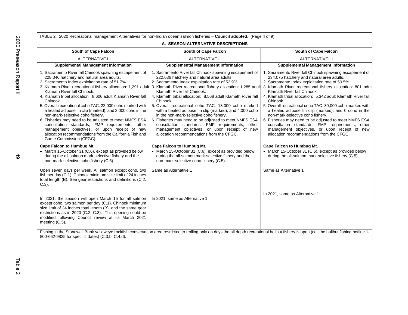| A. SEASON ALTERNATIVE DESCRIPTIONS                                                                                                                                                                                                                                                                                                                                                                                                                                                                                                                                                                                                                                                                                                                   |                                                                                                                                                                                                                                                                                                                                                                                                                                                                                                                                                                                                                                                                                                             |                                                                                                                                                                                                                                                                                                                                                                                                                                                                                                                                                                                                                                                                                                       |
|------------------------------------------------------------------------------------------------------------------------------------------------------------------------------------------------------------------------------------------------------------------------------------------------------------------------------------------------------------------------------------------------------------------------------------------------------------------------------------------------------------------------------------------------------------------------------------------------------------------------------------------------------------------------------------------------------------------------------------------------------|-------------------------------------------------------------------------------------------------------------------------------------------------------------------------------------------------------------------------------------------------------------------------------------------------------------------------------------------------------------------------------------------------------------------------------------------------------------------------------------------------------------------------------------------------------------------------------------------------------------------------------------------------------------------------------------------------------------|-------------------------------------------------------------------------------------------------------------------------------------------------------------------------------------------------------------------------------------------------------------------------------------------------------------------------------------------------------------------------------------------------------------------------------------------------------------------------------------------------------------------------------------------------------------------------------------------------------------------------------------------------------------------------------------------------------|
| South of Cape Falcon                                                                                                                                                                                                                                                                                                                                                                                                                                                                                                                                                                                                                                                                                                                                 | South of Cape Falcon                                                                                                                                                                                                                                                                                                                                                                                                                                                                                                                                                                                                                                                                                        | South of Cape Falcon                                                                                                                                                                                                                                                                                                                                                                                                                                                                                                                                                                                                                                                                                  |
| <b>ALTERNATIVE I</b>                                                                                                                                                                                                                                                                                                                                                                                                                                                                                                                                                                                                                                                                                                                                 | <b>ALTERNATIVE II</b>                                                                                                                                                                                                                                                                                                                                                                                                                                                                                                                                                                                                                                                                                       | <b>ALTERNATIVE III</b>                                                                                                                                                                                                                                                                                                                                                                                                                                                                                                                                                                                                                                                                                |
| <b>Supplemental Management Information</b>                                                                                                                                                                                                                                                                                                                                                                                                                                                                                                                                                                                                                                                                                                           | <b>Supplemental Management Information</b>                                                                                                                                                                                                                                                                                                                                                                                                                                                                                                                                                                                                                                                                  | <b>Supplemental Management Information</b>                                                                                                                                                                                                                                                                                                                                                                                                                                                                                                                                                                                                                                                            |
| 1. Sacramento River fall Chinook spawning escapement of<br>228,346 hatchery and natural area adults.<br>2. Sacramento Index exploitation rate of 51.7%.<br>3. Klamath River recreational fishery allocation: 1,291 adult<br>Klamath River fall Chinook.<br>4. Klamath tribal allocation: 8,606 adult Klamath River fall<br>Chinook.<br>5. Overall recreational coho TAC: 22,000 coho marked with<br>a healed adipose fin clip (marked), and 3,000 coho in the<br>non-mark-selective coho fishery.<br>6. Fisheries may need to be adjusted to meet NMFS ESA<br>consultation standards, FMP requirements, other<br>management objectives, or upon receipt of new<br>allocation recommendations from the California Fish and<br>Game Commission (CFGC). | 1. Sacramento River fall Chinook spawning escapement of<br>222,636 hatchery and natural area adults.<br>2. Sacramento Index exploitation rate of 52.9%.<br>3. Klamath River recreational fishery allocation: 1,285 adult<br>Klamath River fall Chinook.<br>4. Klamath tribal allocation: 8,568 adult Klamath River fall<br>Chinook.<br>5. Overall recreational coho TAC: 18,000 coho marked<br>with a healed adipose fin clip (marked), and 4,000 coho<br>in the non-mark-selective coho fishery.<br>6. Fisheries may need to be adjusted to meet NMFS ESA<br>consultation standards, FMP requirements, other<br>management objectives, or upon receipt of new<br>allocation recommendations from the CFGC. | 1. Sacramento River fall Chinook spawning escapement of<br>234,075 hatchery and natural area adults.<br>2. Sacramento Index exploitation rate of 50.5%.<br>3. Klamath River recreational fishery allocation: 801 adult<br>Klamath River fall Chinook.<br>4. Klamath tribal allocation: 5,342 adult Klamath River fall<br>Chinook.<br>5. Overall recreational coho TAC: 30,000 coho marked with<br>a healed adipose fin clip (marked), and 0 coho in the<br>non-mark-selective coho fishery.<br>6. Fisheries may need to be adjusted to meet NMFS ESA<br>consultation standards, FMP requirements, other<br>management objectives, or upon receipt of new<br>allocation recommendations from the CFGC. |
| Cape Falcon to Humbug Mt.<br>• March 15-October 31 (C.6), except as provided below<br>during the all-salmon mark-selective fishery and the<br>non-mark-selective coho fishery (C.5).                                                                                                                                                                                                                                                                                                                                                                                                                                                                                                                                                                 | Cape Falcon to Humbug Mt.<br>• March 15-October 31 (C.6), except as provided below<br>during the all-salmon mark-selective fishery and the<br>non-mark-selective coho fishery (C.5).                                                                                                                                                                                                                                                                                                                                                                                                                                                                                                                        | Cape Falcon to Humbug Mt.<br>• March 15-October 31 (C.6), except as provided below<br>during the all-salmon mark-selective fishery (C.5).                                                                                                                                                                                                                                                                                                                                                                                                                                                                                                                                                             |
| Open seven days per week. All salmon except coho, two<br>fish per day (C.1). Chinook minimum size limit of 24 inches<br>total length (B). See gear restrictions and definitions (C.2,<br>$C.3$ ).                                                                                                                                                                                                                                                                                                                                                                                                                                                                                                                                                    | Same as Alternative 1                                                                                                                                                                                                                                                                                                                                                                                                                                                                                                                                                                                                                                                                                       | Same as Alternative 1                                                                                                                                                                                                                                                                                                                                                                                                                                                                                                                                                                                                                                                                                 |
| In 2021, the season will open March 15 for all salmon<br>except coho, two salmon per day (C.1). Chinook minimum<br>size limit of 24 inches total length (B), and the same gear<br>restrictions as in 2020 (C.2, C.3). This opening could be<br>modified following Council review at its March 2021<br>meeting (C.5).                                                                                                                                                                                                                                                                                                                                                                                                                                 | In 2021, same as Alternative 1                                                                                                                                                                                                                                                                                                                                                                                                                                                                                                                                                                                                                                                                              | In 2021, same as Alternative 1                                                                                                                                                                                                                                                                                                                                                                                                                                                                                                                                                                                                                                                                        |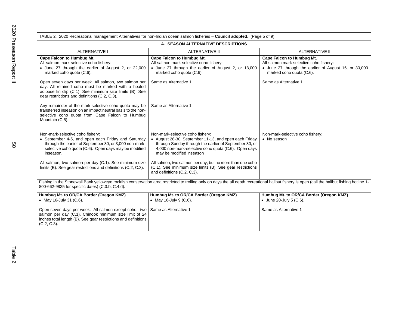|                                                                                                                                                                                                                           | TABLE 2. 2020 Recreational management Alternatives for non-Indian ocean salmon fisheries - Council adopted. (Page 5 of 9)                                                                                                               |                                                                                                                                                                  |  |
|---------------------------------------------------------------------------------------------------------------------------------------------------------------------------------------------------------------------------|-----------------------------------------------------------------------------------------------------------------------------------------------------------------------------------------------------------------------------------------|------------------------------------------------------------------------------------------------------------------------------------------------------------------|--|
| A. SEASON ALTERNATIVE DESCRIPTIONS                                                                                                                                                                                        |                                                                                                                                                                                                                                         |                                                                                                                                                                  |  |
| <b>ALTERNATIVE I</b>                                                                                                                                                                                                      | <b>ALTERNATIVE II</b>                                                                                                                                                                                                                   | ALTERNATIVE III                                                                                                                                                  |  |
| Cape Falcon to Humbug Mt.<br>All-salmon mark-selective coho fishery:<br>• June 27 through the earlier of August 2, or 22,000<br>marked coho quota (C.6).                                                                  | <b>Cape Falcon to Humbug Mt.</b><br>All-salmon mark-selective coho fishery:<br>• June 27 through the earlier of August 2, or 18,000<br>marked coho quota (C.6).                                                                         | <b>Cape Falcon to Humbug Mt.</b><br>All-salmon mark-selective coho fishery:<br>• June 27 through the earlier of August 16, or 30,000<br>marked coho quota (C.6). |  |
| Open seven days per week. All salmon, two salmon per<br>day. All retained coho must be marked with a healed<br>adipose fin clip (C.1). See minimum size limits (B). See<br>gear restrictions and definitions (C.2, C.3).  | Same as Alternative 1                                                                                                                                                                                                                   | Same as Alternative 1                                                                                                                                            |  |
| Any remainder of the mark-selective coho quota may be<br>transferred inseason on an impact neutral basis to the non-<br>selective coho quota from Cape Falcon to Humbug<br>Mountain (C.5).                                | Same as Alternative 1                                                                                                                                                                                                                   |                                                                                                                                                                  |  |
| Non-mark-selective coho fishery:<br>• September 4-5, and open each Friday and Saturday<br>through the earlier of September 30, or 3,000 non-mark-<br>selective coho quota (C.6). Open days may be modified<br>inseason.   | Non-mark-selective coho fishery:<br>• August 28-30, September 11-13, and open each Friday<br>through Sunday through the earlier of September 30, or<br>4,000 non-mark-selective coho quota (C.6). Open days<br>may be modified inseason | Non-mark-selective coho fishery:<br>• No season                                                                                                                  |  |
| All salmon, two salmon per day (C.1). See minimum size<br>limits (B). See gear restrictions and definitions (C.2, C.3).                                                                                                   | All salmon, two salmon per day, but no more than one coho<br>(C.1). See minimum size limits (B). See gear restrictions<br>and definitions (C.2, C.3).                                                                                   |                                                                                                                                                                  |  |
| 800-662-9825 for specific dates) (C.3.b, C.4.d).                                                                                                                                                                          | Fishing in the Stonewall Bank yelloweye rockfish conservation area restricted to trolling only on days the all depth recreational halibut fishery is open (call the halibut fishing hotline 1-                                          |                                                                                                                                                                  |  |
| Humbug Mt. to OR/CA Border (Oregon KMZ)<br>• May 16-July 31 (C.6).                                                                                                                                                        | Humbug Mt. to OR/CA Border (Oregon KMZ)<br>• May 16-July 9 (C.6).                                                                                                                                                                       | Humbug Mt. to OR/CA Border (Oregon KMZ)<br>• June 20-July 5 $(C.6)$ .                                                                                            |  |
| Open seven days per week. All salmon except coho, two Same as Alternative 1<br>salmon per day (C.1). Chinook minimum size limit of 24<br>inches total length (B). See gear restrictions and definitions<br>$(C.2, C.3)$ . |                                                                                                                                                                                                                                         | Same as Alternative 1                                                                                                                                            |  |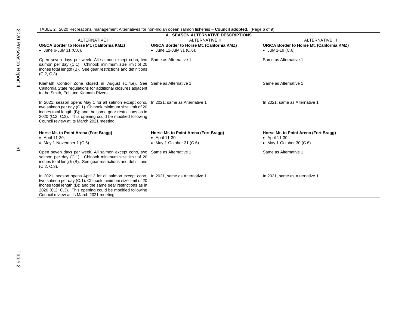| TABLE 2. 2020 Recreational management Alternatives for non-Indian ocean salmon fisheries - Council adopted. (Page 6 of 9)                                                                                                                                                                                                         |                                            |                                            |  |
|-----------------------------------------------------------------------------------------------------------------------------------------------------------------------------------------------------------------------------------------------------------------------------------------------------------------------------------|--------------------------------------------|--------------------------------------------|--|
| A. SEASON ALTERNATIVE DESCRIPTIONS                                                                                                                                                                                                                                                                                                |                                            |                                            |  |
| <b>ALTERNATIVE I</b>                                                                                                                                                                                                                                                                                                              | <b>ALTERNATIVE II</b>                      | <b>ALTERNATIVE III</b>                     |  |
| OR/CA Border to Horse Mt. (California KMZ)                                                                                                                                                                                                                                                                                        | OR/CA Border to Horse Mt. (California KMZ) | OR/CA Border to Horse Mt. (California KMZ) |  |
| $\bullet$ June 6-July 31 (C.6).                                                                                                                                                                                                                                                                                                   | • June 11-July 31 $(C.6)$ .                | $\bullet$ July 1-19 (C.6).                 |  |
| Open seven days per week. All salmon except coho, two Same as Alternative 1<br>salmon per day (C.1). Chinook minimum size limit of 20<br>inches total length (B). See gear restrictions and definitions<br>$(C.2, C.3)$ .                                                                                                         |                                            | Same as Alternative 1                      |  |
| Klamath Control Zone closed in August (C.4.e). See Same as Alternative 1<br>California State regulations for additional closures adjacent<br>to the Smith, Eel, and Klamath Rivers.                                                                                                                                               |                                            | Same as Alternative 1                      |  |
| In 2021, season opens May 1 for all salmon except coho,   In 2021, same as Alternative 1<br>two salmon per day (C.1). Chinook minimum size limit of 20<br>inches total length (B); and the same gear restrictions as in<br>2020 (C.2, C.3). This opening could be modified following<br>Council review at its March 2021 meeting. |                                            | In 2021, same as Alternative 1             |  |
| Horse Mt. to Point Arena (Fort Bragg)                                                                                                                                                                                                                                                                                             | Horse Mt. to Point Arena (Fort Bragg)      | Horse Mt. to Point Arena (Fort Bragg)      |  |
| • April 11-30;                                                                                                                                                                                                                                                                                                                    | • April 11-30;                             | • April 11-30;                             |  |
| • May 1-November 1 $(C.6)$ .                                                                                                                                                                                                                                                                                                      | • May 1-October 31 $(C.6)$ .               | • May 1-October 30 $(C.6)$ .               |  |
| Open seven days per week. All salmon except coho, two   Same as Alternative 1<br>salmon per day (C.1). Chinook minimum size limit of 20<br>inches total length (B). See gear restrictions and definitions<br>$(C.2, C.3)$ .                                                                                                       |                                            | Same as Alternative 1                      |  |
| In 2021, season opens April 3 for all salmon except coho,<br>two salmon per day (C.1). Chinook minimum size limit of 20<br>inches total length (B); and the same gear restrictions as in<br>2020 (C.2, C.3). This opening could be modified following<br>Council review at its March 2021 meeting.                                | In 2021, same as Alternative 1             | In 2021, same as Alternative 1             |  |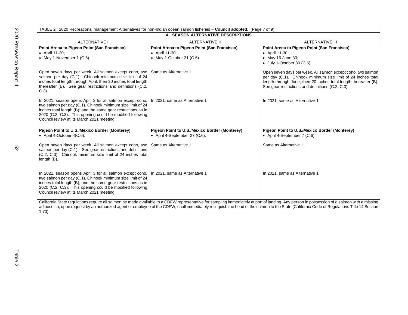| TABLE 2. 2020 Recreational management Alternatives for non-Indian ocean salmon fisheries - Council adopted. (Page 7 of 9)                                                                                                                                                                                                                                                                               |                                                                                            |                                                                                                                                                                                                                                                       |
|---------------------------------------------------------------------------------------------------------------------------------------------------------------------------------------------------------------------------------------------------------------------------------------------------------------------------------------------------------------------------------------------------------|--------------------------------------------------------------------------------------------|-------------------------------------------------------------------------------------------------------------------------------------------------------------------------------------------------------------------------------------------------------|
| A. SEASON ALTERNATIVE DESCRIPTIONS                                                                                                                                                                                                                                                                                                                                                                      |                                                                                            |                                                                                                                                                                                                                                                       |
| <b>ALTERNATIVE I</b>                                                                                                                                                                                                                                                                                                                                                                                    | ALTERNATIVE II                                                                             | ALTERNATIVE III                                                                                                                                                                                                                                       |
| Point Arena to Pigeon Point (San Francisco)<br>• April 11-30;<br>• May 1-November 1 (C.6).                                                                                                                                                                                                                                                                                                              | Point Arena to Pigeon Point (San Francisco)<br>• April 11-30;<br>• May 1-October 31 (C.6). | Point Arena to Pigeon Point (San Francisco)<br>• April 11-30;<br>• May 16-June 30;<br>$\bullet$ July 1-October 30 (C.6).                                                                                                                              |
| Open seven days per week. All salmon except coho, two Same as Alternative 1<br>salmon per day (C.1). Chinook minimum size limit of 24<br>inches total length through April, then 20 inches total length<br>thereafter (B). See gear restrictions and definitions (C.2,<br>$C.3$ ).                                                                                                                      |                                                                                            | Open seven days per week. All salmon except coho, two salmon<br>per day (C.1). Chinook minimum size limit of 24 inches total<br>length through June, then 20 inches total length thereafter (B).<br>See gear restrictions and definitions (C.2, C.3). |
| In 2021, season opens April 3 for all salmon except coho,   In 2021, same as Alternative 1<br>two salmon per day (C.1). Chinook minimum size limit of 24<br>inches total length (B); and the same gear restrictions as in<br>2020 (C.2, C.3). This opening could be modified following<br>Council review at its March 2021 meeting.                                                                     |                                                                                            | In 2021, same as Alternative 1                                                                                                                                                                                                                        |
| Pigeon Point to U.S./Mexico Border (Monterey)<br>• April 4-October $4(C.6)$ .                                                                                                                                                                                                                                                                                                                           | Pigeon Point to U.S./Mexico Border (Monterey)<br>• April 4-September 27 (C.6).             | Pigeon Point to U.S./Mexico Border (Monterey)<br>• April 4-September 7 (C.6).                                                                                                                                                                         |
| Open seven days per week. All salmon except coho, two   Same as Alternative 1<br>salmon per day (C.1). See gear restrictions and definitions<br>(C.2, C.3). Chinook minimum size limit of 24 inches total<br>length (B).                                                                                                                                                                                |                                                                                            | Same as Alternative 1                                                                                                                                                                                                                                 |
| In 2021, season opens April 3 for all salmon except coho,   In 2021, same as Alternative 1<br>two salmon per day (C.1). Chinook minimum size limit of 24<br>inches total length (B); and the same gear restrictions as in<br>2020 (C.2, C.3). This opening could be modified following<br>Council review at its March 2021 meeting.                                                                     |                                                                                            | In 2021, same as Alternative 1                                                                                                                                                                                                                        |
| California State regulations require all salmon be made available to a CDFW representative for sampling immediately at port of landing. Any person in possession of a salmon with a missing<br>adipose fin, upon request by an authorized agent or employee of the CDFW, shall immediately relinquish the head of the salmon to the State (California Code of Regulations Title 14 Section<br>$1.73$ ). |                                                                                            |                                                                                                                                                                                                                                                       |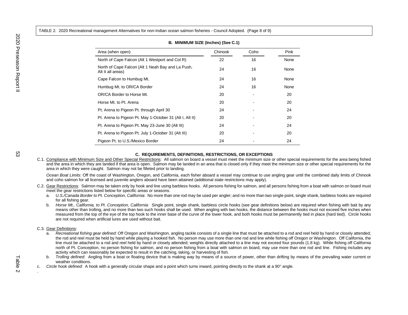TABLE 2. 2020 Recreational management Alternatives for non-Indian ocean salmon fisheries - Council Adopted. (Page 8 of 9)

| Area (when open)                                                       | Chinook | Coho | Pink |
|------------------------------------------------------------------------|---------|------|------|
| North of Cape Falcon (Alt 1 Westport and Col R)                        | 22      | 16   | None |
| North of Cape Falcon (Alt 1 Neah Bay and La Push,<br>Alt II all areas) | 24      | 16   | None |
| Cape Falcon to Humbug Mt.                                              | 24      | 16   | None |
| Humbug Mt. to OR/CA Border                                             | 24      | 16   | None |
| OR/CA Border to Horse Mt.                                              | 20      |      | 20   |
| Horse Mt. to Pt. Arena                                                 | 20      |      | 20   |
| Pt. Arena to Pigeon Pt. through April 30                               | 24      |      | 24   |
| Pt. Arena to Pigeon Pt. May 1-October 31 (Alt I, Alt II)               | 20      |      | 20   |
| Pt. Arena to Pigeon Pt. May 23-June 30 (Alt III)                       | 24      |      | 24   |
| Pt. Arena to Pigeon Pt. July 1-October 31 (Alt III)                    | 20      |      | 20   |
| Pigeon Pt. to U.S./Mexico Border                                       | 24      |      | 24   |

## **B. MINIMUM SIZE (Inches) (See C.1)**

#### **C. REQUIREMENTS, DEFINITIONS, RESTRICTIONS, OR EXCEPTIONS**

C.1. Compliance with Minimum Size and Other Special Restrictions: All salmon on board a vessel must meet the minimum size or other special requirements for the area being fished and the area in which they are landed if that area is open. Salmon may be landed in an area that is closed only if they meet the minimum size or other special requirements for the area in which they were caught. Salmon may not be filleted prior to landing.

*Ocean Boat Limits*: Off the coast of Washington, Oregon, and California, each fisher aboard a vessel may continue to use angling gear until the combined daily limits of Chinook and coho salmon for all licensed and juvenile anglers aboard have been attained (additional state restrictions may apply).

- C.2. Gear Restrictions: Salmon may be taken only by hook and line using barbless hooks. All persons fishing for salmon, and all persons fishing from a boat with salmon on board must meet the gear restrictions listed below for specific areas or seasons.
	- a. *U.S./Canada Border to Pt. Conception, California*: No more than one rod may be used per angler; and no more than two single point, single shank, barbless hooks are required for all fishing gear.
	- b. *Horse Mt., California, to Pt. Conception, California:* Single point, single shank, barbless circle hooks (see gear definitions below) are required when fishing with bait by any means other than trolling, and no more than two such hooks shall be used. When angling with two hooks, the distance between the hooks must not exceed five inches when measured from the top of the eye of the top hook to the inner base of the curve of the lower hook, and both hooks must be permanently tied in place (hard tied). Circle hooks are not required when artificial lures are used without bait.

C.3. Gear Definitions:

- a. *Recreational fishing gear defined*: Off Oregon and Washington, angling tackle consists of a single line that must be attached to a rod and reel held by hand or closely attended; the rod and reel must be held by hand while playing a hooked fish. No person may use more than one rod and line while fishing off Oregon or Washington. Off California, the line must be attached to a rod and reel held by hand or closely attended; weights directly attached to a line may not exceed four pounds (1.8 kg). While fishing off California north of Pt. Conception, no person fishing for salmon, and no person fishing from a boat with salmon on board, may use more than one rod and line. Fishing includes any activity which can reasonably be expected to result in the catching, taking, or harvesting of fish.
- b. *Trolling defined*: Angling from a boat or floating device that is making way by means of a source of power, other than drifting by means of the prevailing water current or weather conditions.
- c. *Circle hook defined*: A hook with a generally circular shape and a point which turns inward, pointing directly to the shank at a 90° angle.

.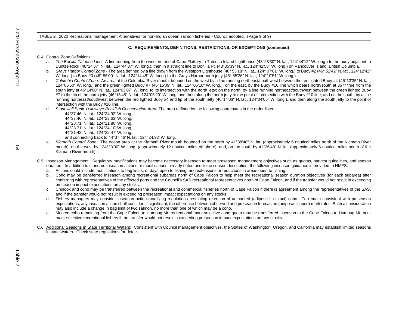#### TABLE 2. 2020 Recreational management Alternatives for non-Indian ocean salmon fisheries - Council adopted. (Page 9 of 9)

## **C. REQUIREMENTS, DEFINITIONS, RESTRICTIONS, OR EXCEPTIONS (continued)**

#### C.4. Control Zone Definitions:

- a. *The Bonilla-Tatoosh Line*: A line running from the western end of Cape Flattery to Tatoosh Island Lighthouse (48°23'30" N. lat., 124°44'12" W. long.) to the buoy adjacent to Duntze Rock (48°24'37" N. lat., 124°44'37" W. long.), then in a straight line to Bonilla Pt. (48°35'39" N. lat., 124°42'58" W. long.) on Vancouver Island, British Columbia.
- b. *Grays Harbor Control Zone* The area defined by a line drawn from the Westport Lighthouse (46° 53'18" N. lat., 124° 07'01" W. long.) to Buoy #2 (46° 52'42" N. lat., 124°12'42" W. long.) to Buoy #3 (46° 55'00" N. lat., 124°14'48" W. long.) to the Grays Harbor north jetty (46° 55'36" N. lat., 124°10'51" W. long.).
- c. *Columbia Control Zone*: An area at the Columbia River mouth, bounded on the west by a line running northeast/southwest between the red lighted Buoy #4 (46°13'35" N. lat., 124°06'50" W. long.) and the green lighted Buoy #7 (46°15'09' N. lat., 124°06'16" W. long.); on the east, by the Buoy #10 line which bears north/south at 357° true from the south jetty at 46°14'00" N. lat., 124°03'07" W. long. to its intersection with the north jetty; on the north, by a line running northeast/southwest between the green lighted Buoy #7 to the tip of the north jetty (46°15'48" N. lat., 124°05'20" W. long. and then along the north jetty to the point of intersection with the Buoy #10 line; and on the south, by a line running northeast/southwest between the red lighted Buoy #4 and tip of the south jetty (46°14'03" N. lat., 124°04'05" W. long.), and then along the south jetty to the point of intersection with the Buoy #10 line.
- d. *Stonewall Bank Yelloweye Rockfish Conservation Area*: The area defined by the following coordinates in the order listed:

44°37.46' N. lat.; 124°24.92' W. long. 44°37.46' N. lat.; 124°23.63' W. long. 44°28.71' N. lat.; 124°21.80' W. long. 44°28.71' N. lat.; 124°24.10' W. long. 44°31.42' N. lat.; 124°25.47' W. long. and connecting back to 44°37.46' N. lat.; 124°24.92' W. long.

- e. *Klamath Control Zone*: The ocean area at the Klamath River mouth bounded on the north by 41°38'48" N. lat. (approximately 6 nautical miles north of the Klamath River mouth); on the west by 124°23'00" W. long. (approximately 12 nautical miles off shore); and, on the south by 41°26'48" N. lat. (approximately 6 nautical miles south of the Klamath River mouth).
- C.5. Inseason Management: Regulatory modifications may become necessary inseason to meet preseason management objectives such as quotas, harvest guidelines, and season duration. In addition to standard inseason actions or modifications already noted under the season description, the following inseason guidance is provided to NMFS:
	- a. Actions could include modifications to bag limits, or days open to fishing, and extensions or reductions in areas open to fishing.
	- b. Coho may be transferred inseason among recreational subareas north of Cape Falcon to help meet the recreational season duration objectives (for each subarea) after conferring with representatives of the affected ports and the Council's SAS recreational representatives north of Cape Falcon, and if the transfer would not result in exceeding preseason impact expectations on any stocks.
	- c. Chinook and coho may be transferred between the recreational and commercial fisheries north of Cape Falcon if there is agreement among the representatives of the SAS, and if the transfer would not result in exceeding preseason impact expectations on any stocks.
	- d. Fishery managers may consider inseason action modifying regulations restricting retention of unmarked (adipose fin intact) coho. To remain consistent with preseason expectations, any inseason action shall consider, if significant, the difference between observed and preseason forecasted (adipose-clipped) mark rates. Such a consideration may also include a change in bag limit of two salmon, no more than one of which may be a coho.
	- e. Marked coho remaining from the Cape Falcon to Humbug Mt. recreational mark-selective coho quota may be transferred inseason to the Cape Falcon to Humbug Mt. nonmark-selective recreational fishery if the transfer would not result in exceeding preseason impact expectations on any stocks.
- C.6. Additional Seasons in State Territorial Waters: Consistent with Council management objectives, the States of Washington, Oregon, and California may establish limited seasons in state waters. Check state regulations for details.

.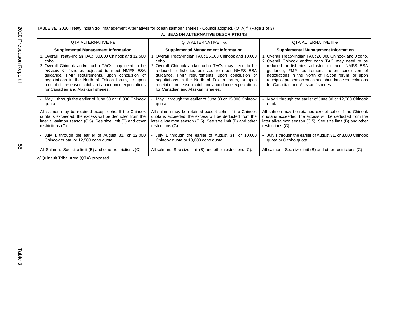TABLE 3a. 2020 Treaty Indian troll management Alternatives for ocean salmon fisheries - Council adopted. (QTA)<sup>a/</sup> (Page 1 of 3)

| A. SEASON ALTERNATIVE DESCRIPTIONS                                                                                                                                                                                                                                                                                                                                               |                                                                                                                                                                                                                                                                                                                                                                                  |                                                                                                                                                                                                                                                                                                                                                                         |
|----------------------------------------------------------------------------------------------------------------------------------------------------------------------------------------------------------------------------------------------------------------------------------------------------------------------------------------------------------------------------------|----------------------------------------------------------------------------------------------------------------------------------------------------------------------------------------------------------------------------------------------------------------------------------------------------------------------------------------------------------------------------------|-------------------------------------------------------------------------------------------------------------------------------------------------------------------------------------------------------------------------------------------------------------------------------------------------------------------------------------------------------------------------|
| QTA ALTERNATIVE I-a                                                                                                                                                                                                                                                                                                                                                              | <b>QTA ALTERNATIVE II-a</b>                                                                                                                                                                                                                                                                                                                                                      | QTA ALTERNATIVE III-a                                                                                                                                                                                                                                                                                                                                                   |
| <b>Supplemental Management Information</b>                                                                                                                                                                                                                                                                                                                                       | <b>Supplemental Management Information</b>                                                                                                                                                                                                                                                                                                                                       | <b>Supplemental Management Information</b>                                                                                                                                                                                                                                                                                                                              |
| 1. Overall Treaty-Indian TAC: 30,000 Chinook and 12,500<br>coho.<br>2. Overall Chinook and/or coho TACs may need to be<br>reduced or fisheries adjusted to meet NMFS ESA<br>guidance, FMP requirements, upon conclusion of<br>negotiations in the North of Falcon forum, or upon<br>receipt of preseason catch and abundance expectations<br>for Canadian and Alaskan fisheries. | 1. Overall Treaty-Indian TAC: 25,000 Chinook and 10,000<br>coho.<br>2. Overall Chinook and/or coho TACs may need to be<br>reduced or fisheries adjusted to meet NMFS ESA<br>guidance, FMP requirements, upon conclusion of<br>negotiations in the North of Falcon forum, or upon<br>receipt of preseason catch and abundance expectations<br>for Canadian and Alaskan fisheries. | 1. Overall Treaty-Indian TAC: 20,000 Chinook and 0 coho.<br>2. Overall Chinook and/or coho TAC may need to be<br>reduced or fisheries adjusted to meet NMFS ESA<br>guidance, FMP requirements, upon conclusion of<br>negotiations in the North of Falcon forum, or upon<br>receipt of preseason catch and abundance expectations<br>for Canadian and Alaskan fisheries. |
| • May 1 through the earlier of June 30 or 18,000 Chinook<br>quota.                                                                                                                                                                                                                                                                                                               | May 1 through the earlier of June 30 or 15,000 Chinook<br>quota.                                                                                                                                                                                                                                                                                                                 | May 1 through the earlier of June 30 or 12,000 Chinook<br>quota.                                                                                                                                                                                                                                                                                                        |
| All salmon may be retained except coho. If the Chinook<br>quota is exceeded, the excess will be deducted from the<br>later all-salmon season (C.5). See size limit (B) and other<br>restrictions (C).                                                                                                                                                                            | All salmon may be retained except coho. If the Chinook<br>quota is exceeded, the excess will be deducted from the<br>later all-salmon season (C.5). See size limit (B) and other<br>restrictions (C).                                                                                                                                                                            | All salmon may be retained except coho. If the Chinook<br>quota is exceeded, the excess will be deducted from the<br>later all-salmon season (C.5). See size limit (B) and other<br>restrictions (C).                                                                                                                                                                   |
| • July 1 through the earlier of August 31, or 12,000<br>Chinook quota, or 12,500 coho quota.                                                                                                                                                                                                                                                                                     | • July 1 through the earlier of August 31, or 10,000<br>Chinook quota or 10,000 coho quota                                                                                                                                                                                                                                                                                       | • July 1 through the earlier of August 31, or 8,000 Chinook<br>quota or 0 coho quota.                                                                                                                                                                                                                                                                                   |
| All Salmon. See size limit (B) and other restrictions (C).                                                                                                                                                                                                                                                                                                                       | All salmon. See size limit (B) and other restrictions (C).                                                                                                                                                                                                                                                                                                                       | All salmon. See size limit (B) and other restrictions (C).                                                                                                                                                                                                                                                                                                              |

a/ Quinault Tribal Area (QTA) proposed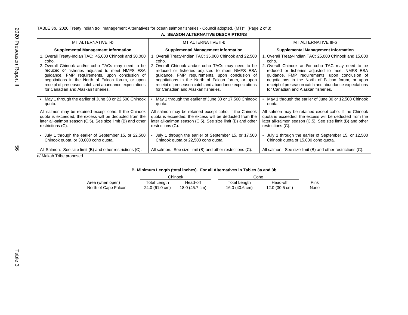TABLE 3b. 2020 Treaty Indian troll management Alternatives for ocean salmon fisheries - Council adopted. (MT)<sup>a/</sup> (Page 2 of 3)

| A. SEASON ALTERNATIVE DESCRIPTIONS                                                                                                                                                                                                                                                                      |                                                             |                                                             |
|---------------------------------------------------------------------------------------------------------------------------------------------------------------------------------------------------------------------------------------------------------------------------------------------------------|-------------------------------------------------------------|-------------------------------------------------------------|
| MT ALTERNATIVE I-b                                                                                                                                                                                                                                                                                      | MT ALTERNATIVE II-b                                         | MT ALTERNATIVE III-b                                        |
| <b>Supplemental Management Information</b>                                                                                                                                                                                                                                                              | <b>Supplemental Management Information</b>                  | <b>Supplemental Management Information</b>                  |
| 1. Overall Treaty-Indian TAC: 45,000 Chinook and 30,000                                                                                                                                                                                                                                                 | 1. Overall Treaty-Indian TAC: 35,000 Chinook and 22,500     | 1. Overall Treaty-Indian TAC: 25,000 Chinook and 15,000     |
| coho.                                                                                                                                                                                                                                                                                                   | coho.                                                       | coho.                                                       |
| 2. Overall Chinook and/or coho TACs may need to be                                                                                                                                                                                                                                                      | 2. Overall Chinook and/or coho TACs may need to be          | 2. Overall Chinook and/or coho TAC may need to be           |
| reduced or fisheries adjusted to meet NMFS ESA                                                                                                                                                                                                                                                          | reduced or fisheries adjusted to meet NMFS ESA              | reduced or fisheries adjusted to meet NMFS ESA              |
| guidance, FMP requirements, upon conclusion of                                                                                                                                                                                                                                                          | guidance, FMP requirements, upon conclusion of              | guidance, FMP requirements, upon conclusion of              |
| negotiations in the North of Falcon forum, or upon                                                                                                                                                                                                                                                      | negotiations in the North of Falcon forum, or upon          | negotiations in the North of Falcon forum, or upon          |
| receipt of preseason catch and abundance expectations                                                                                                                                                                                                                                                   | receipt of preseason catch and abundance expectations       | receipt of preseason catch and abundance expectations       |
| for Canadian and Alaskan fisheries.                                                                                                                                                                                                                                                                     | for Canadian and Alaskan fisheries.                         | for Canadian and Alaskan fisheries.                         |
| • May 1 through the earlier of June 30 or 22,500 Chinook                                                                                                                                                                                                                                                | May 1 through the earlier of June 30 or 17,500 Chinook      | May 1 through the earlier of June 30 or 12,500 Chinook      |
| quota.                                                                                                                                                                                                                                                                                                  | quota.                                                      | quota.                                                      |
| All salmon may be retained except coho. If the Chinook                                                                                                                                                                                                                                                  | All salmon may be retained except coho. If the Chinook      | All salmon may be retained except coho. If the Chinook      |
| quota is exceeded, the excess will be deducted from the                                                                                                                                                                                                                                                 | quota is exceeded, the excess will be deducted from the     | quota is exceeded, the excess will be deducted from the     |
| later all-salmon season (C.5). See size limit (B) and other                                                                                                                                                                                                                                             | later all-salmon season (C.5). See size limit (B) and other | later all-salmon season (C.5). See size limit (B) and other |
| restrictions (C).                                                                                                                                                                                                                                                                                       | restrictions (C).                                           | restrictions (C).                                           |
| • July 1 through the earlier of September 15, or 22,500                                                                                                                                                                                                                                                 | July 1 through the earlier of September 15, or 17,500       | • July 1 through the earlier of September 15, or 12,500     |
| Chinook quota, or 30,000 coho quota.                                                                                                                                                                                                                                                                    | Chinook quota or 22,500 coho quota                          | Chinook quota or 15,000 coho quota.                         |
| All Salmon. See size limit (B) and other restrictions (C).<br>$\overline{I}$ Modern Left $\overline{I}$ with a construction of the state of the state of the state of the state of the state of the state of the state of the state of the state of the state of the state of the state of the state of | All salmon. See size limit (B) and other restrictions (C).  | All salmon. See size limit (B) and other restrictions (C).  |

a/ Makah Tribe proposed.

|                      |                | Chinook        | Coho            |                |      |
|----------------------|----------------|----------------|-----------------|----------------|------|
| Area (when open)     | Total Length   | Head-off       | Total<br>Lenath | Head-off       | Pink |
| North of Cape Falcon | 24.0 (61.0 cm) | 18.0 (45.7 cm) | 16.0 (40.6 cm)  | 12.0 (30.5 cm) | None |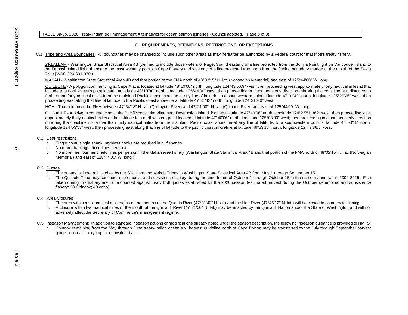### TABLE 3a/3b. 2020 Treaty Indian troll management Alternatives for ocean salmon fisheries - Council adopted**.** (Page 3 of 3)

## **C. REQUIREMENTS, DEFINITIONS, RESTRICTIONS, OR EXCEPTIONS**

C.1. Tribe and Area Boundaries. All boundaries may be changed to include such other areas as may hereafter be authorized by a Federal court for that tribe's treaty fishery.

S'KLALLAM - Washington State Statistical Area 4B (defined to include those waters of Puget Sound easterly of a line projected from the Bonilla Point light on Vancouver Island to the Tatoosh Island light, thence to the most westerly point on Cape Flattery and westerly of a line projected true north from the fishing boundary marker at the mouth of the Sekiu River [WAC 220-301-030]).

MAKAH - Washington State Statistical Area 4B and that portion of the FMA north of 48°02'15" N. lat. (Norwegian Memorial) and east of 125°44'00" W. long.

QUILEUTE - A polygon commencing at Cape Alava, located at latitude 48°10'00" north, longitude 124°43'56.9" west; then proceeding west approximately forty nautical miles at that latitude to a northwestern point located at latitude 48°10'00" north, longitude 125°44'00" west; then proceeding in a southeasterly direction mirroring the coastline at a distance no farther than forty nautical miles from the mainland Pacific coast shoreline at any line of latitude, to a southwestern point at latitude 47°31'42" north, longitude 125°20'26" west; then proceeding east along that line of latitude to the Pacific coast shoreline at latitude 47°31'42" north, longitude 124°21'9.0" west.

HOH - That portion of the FMA between 47°54'18" N. lat. (Quillayute River) and 47°21'00" N. lat. (Quinault River) and east of 125°44'00" W. long.

QUINAULT - A polygon commencing at the Pacific coast shoreline near Destruction Island, located at latitude 47°40'06" north, longitude 124°23'51.362" west; then proceeding west approximately thirty nautical miles at that latitude to a northwestern point located at latitude 47°40'06" north, longitude 125°08'30" west; then proceeding in a southeasterly direction mirroring the coastline no farther than thirty nautical miles from the mainland Pacific coast shoreline at any line of latitude, to a southwestern point at latitude 46°53'18" north, longitude 124°53'53" west; then proceeding east along that line of latitude to the pacific coast shoreline at latitude 46°53'18" north, longitude 124°7'36.6" west.

#### C.2. Gear restrictions

- a. Single point, single shank, barbless hooks are required in all fisheries.
- b. No more than eight fixed lines per boat.
- c. No more than four hand held lines per person in the Makah area fishery (Washington State Statistical Area 4B and that portion of the FMA north of 48°02'15" N. lat. (Norwegian Memorial) and east of 125°44'00" W. long.)

#### C.3. Quotas

- a. The quotas include troll catches by the S'Klallam and Makah Tribes in Washington State Statistical Area 4B from May 1 through September 15.
- b. The Quileute Tribe may continue a ceremonial and subsistence fishery during the time frame of October 1 through October 15 in the same manner as in 2004-2015. Fish taken during this fishery are to be counted against treaty troll quotas established for the 2020 season (estimated harvest during the October ceremonial and subsistence fishery: 20 Chinook; 40 coho).

#### C.4. Area Closures

- a. The area within a six nautical mile radius of the mouths of the Queets River (47°31'42" N. lat.) and the Hoh River (47°45'12" N. lat.) will be closed to commercial fishing.
- b. A closure within two nautical miles of the mouth of the Quinault River (47°21'00" N. lat.) may be enacted by the Quinault Nation and/or the State of Washington and will not adversely affect the Secretary of Commerce's management regime.
- C.5. Inseason Management: In addition to standard inseason actions or modifications already noted under the season description, the following inseason guidance is provided to NMFS:
	- a. Chinook remaining from the May through June treaty-Indian ocean troll harvest guideline north of Cape Falcon may be transferred to the July through September harvest guideline on a fishery impact equivalent basis.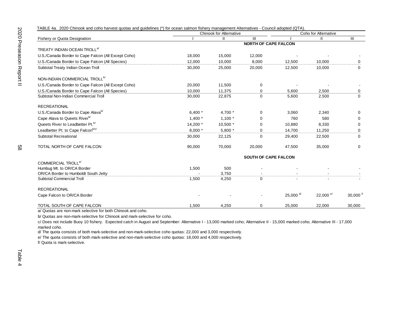| TABLE 4a. 2020 Chinook and coho harvest quotas and guidelines (*) for ocean salmon fishery management Alternatives - Council adopted (QTA) |           |                                |                             |             |                      |                      |  |
|--------------------------------------------------------------------------------------------------------------------------------------------|-----------|--------------------------------|-----------------------------|-------------|----------------------|----------------------|--|
|                                                                                                                                            |           | <b>Chinook for Alternative</b> |                             |             | Coho for Alternative |                      |  |
| Fishery or Quota Designation                                                                                                               |           | $\mathbf{I}$                   | Ш                           |             | Ш                    | Ш                    |  |
|                                                                                                                                            |           |                                | <b>NORTH OF CAPE FALCON</b> |             |                      |                      |  |
| TREATY INDIAN OCEAN TROLL <sup>a/</sup>                                                                                                    |           |                                |                             |             |                      |                      |  |
| U.S./Canada Border to Cape Falcon (All Except Coho)                                                                                        | 18,000    | 15,000                         | 12,000                      |             |                      |                      |  |
| U.S./Canada Border to Cape Falcon (All Species)                                                                                            | 12,000    | 10,000                         | 8.000                       | 12,500      | 10,000               | 0                    |  |
| Subtotal Treaty Indian Ocean Troll                                                                                                         | 30,000    | 25,000                         | 20,000                      | 12,500      | 10.000               | $\mathbf 0$          |  |
| NON-INDIAN COMMERCIAL TROLL <sup>b/</sup>                                                                                                  |           |                                |                             |             |                      |                      |  |
| U.S./Canada Border to Cape Falcon (All Except Coho)                                                                                        | 20,000    | 11,500                         | $\mathbf 0$                 |             |                      |                      |  |
| U.S./Canada Border to Cape Falcon (All Species)                                                                                            | 10,000    | 11,375                         | $\mathbf 0$                 | 5.600       | 2,500                | 0                    |  |
| Subtotal Non-Indian Commercial Troll                                                                                                       | 30,000    | 22,875                         | 0                           | 5,600       | 2,500                | $\Omega$             |  |
| <b>RECREATIONAL</b>                                                                                                                        |           |                                |                             |             |                      |                      |  |
| U.S./Canada Border to Cape Alava <sup>b/</sup>                                                                                             | 6,400 $*$ | 4,700 *                        | $\Omega$                    | 3,060       | 2,340                | $\Omega$             |  |
| Cape Alava to Queets River <sup>b/</sup>                                                                                                   | $1,400*$  | $1,100*$                       | 0                           | 760         | 580                  | $\Omega$             |  |
| Queets River to Leadbetter Pt. <sup>b/</sup>                                                                                               | 14,200 *  | 10,500 *                       | 0                           | 10,880      | 8,330                | 0                    |  |
| Leadbetter Pt. to Cape Falconblc/                                                                                                          | $8.000*$  | $5.800*$                       | $\Omega$                    | 14.700      | 11.250               | 0                    |  |
| <b>Subtotal Recreational</b>                                                                                                               | 30,000    | 22,125                         | 0                           | 29,400      | 22,500               | $\mathbf 0$          |  |
| TOTAL NORTH OF CAPE FALCON                                                                                                                 | 90,000    | 70,000                         | 20,000                      | 47,500      | 35,000               | 0                    |  |
|                                                                                                                                            |           |                                | <b>SOUTH OF CAPE FALCON</b> |             |                      |                      |  |
| COMMERCIAL TROLL <sup>a/</sup>                                                                                                             |           |                                |                             |             |                      |                      |  |
| Humbug Mt. to OR/CA Border                                                                                                                 | 1,500     | 500                            |                             |             |                      |                      |  |
| OR/CA Border to Humboldt South Jetty                                                                                                       |           | 3,750                          |                             |             |                      |                      |  |
| <b>Subtotal Commercial Troll</b>                                                                                                           | 1,500     | 4,250                          | $\Omega$                    |             |                      |                      |  |
| <b>RECREATIONAL</b>                                                                                                                        |           |                                |                             |             |                      |                      |  |
| Cape Falcon to OR/CA Border                                                                                                                |           |                                |                             | 25,000 $d/$ | 22,000 <sup>e/</sup> | 30,000 $\frac{f}{f}$ |  |
| TOTAL SOUTH OF CAPE FALCON                                                                                                                 | 1,500     | 4,250                          | $\Omega$                    | 25,000      | 22,000               | 30,000               |  |

a/ Quotas are non-mark selective for both Chinook and coho.

b/ Quotas are non-mark-selective for Chinook and mark-selective for coho.

c/ Does not include Buoy 10 fishery. Expected catch in August and September: Alternative I - 13,000 marked coho; Alternative II - 15,000 marked coho; Alternative III - 17,000 marked coho.

d/ The quota consists of both mark-selective and non-mark-selective coho quotas: 22,000 and 3,000 respectively.

e/ The quota consists of both mark-selective and non-mark-selective coho quotas: 18,000 and 4,000 respectively.

f/ Quota is mark-selective.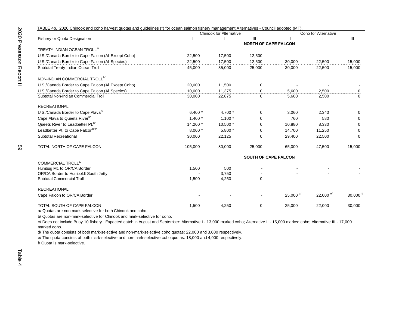| TABLE 4b. 2020 Chinook and coho harvest quotas and guidelines (*) for ocean salmon fishery management Alternatives - Council adopted (MT) |           |                                |                             |             |                      |                        |
|-------------------------------------------------------------------------------------------------------------------------------------------|-----------|--------------------------------|-----------------------------|-------------|----------------------|------------------------|
|                                                                                                                                           |           | <b>Chinook for Alternative</b> |                             |             | Coho for Alternative |                        |
| Fishery or Quota Designation                                                                                                              |           | $\mathbf{II}$                  | Ш                           |             | Ш                    | Ш                      |
|                                                                                                                                           |           |                                | <b>NORTH OF CAPE FALCON</b> |             |                      |                        |
| TREATY INDIAN OCEAN TROLL <sup>a/</sup>                                                                                                   |           |                                |                             |             |                      |                        |
| U.S./Canada Border to Cape Falcon (All Except Coho)                                                                                       | 22,500    | 17,500                         | 12,500                      |             |                      |                        |
| U.S./Canada Border to Cape Falcon (All Species)                                                                                           | 22,500    | 17.500                         | 12,500                      | 30,000      | 22,500               | 15,000                 |
| Subtotal Treaty Indian Ocean Troll                                                                                                        | 45,000    | 35,000                         | 25,000                      | 30,000      | 22,500               | 15,000                 |
| NON-INDIAN COMMERCIAL TROLL <sup>b/</sup>                                                                                                 |           |                                |                             |             |                      |                        |
| U.S./Canada Border to Cape Falcon (All Except Coho)                                                                                       | 20,000    | 11,500                         | $\mathbf 0$                 |             |                      |                        |
| U.S./Canada Border to Cape Falcon (All Species)                                                                                           | 10.000    | 11.375                         | $\Omega$                    | 5.600       | 2.500                | 0                      |
| Subtotal Non-Indian Commercial Troll                                                                                                      | 30,000    | 22,875                         | $\Omega$                    | 5,600       | 2,500                | $\Omega$               |
| <b>RECREATIONAL</b>                                                                                                                       |           |                                |                             |             |                      |                        |
| U.S./Canada Border to Cape Alava <sup>b/</sup>                                                                                            | 6,400 $*$ | 4,700 *                        | 0                           | 3,060       | 2,340                | 0                      |
| Cape Alava to Queets Riverb/                                                                                                              | $1.400*$  | $1.100*$                       | 0                           | 760         | 580                  | $\Omega$               |
| Queets River to Leadbetter Pt. <sup>b/</sup>                                                                                              | 14,200 *  | 10,500 *                       | $\Omega$                    | 10,880      | 8,330                | $\Omega$               |
| Leadbetter Pt. to Cape Falconb/c/                                                                                                         | $8.000*$  | $5.800*$                       | $\Omega$                    | 14.700      | 11.250               | 0                      |
| Subtotal Recreational                                                                                                                     | 30,000    | 22,125                         | 0                           | 29,400      | 22,500               | $\Omega$               |
| TOTAL NORTH OF CAPE FALCON                                                                                                                | 105,000   | 80,000                         | 25,000                      | 65,000      | 47,500               | 15,000                 |
|                                                                                                                                           |           |                                | <b>SOUTH OF CAPE FALCON</b> |             |                      |                        |
| COMMERCIAL TROLL <sup>a/</sup>                                                                                                            |           |                                |                             |             |                      |                        |
| Humbug Mt. to OR/CA Border                                                                                                                | 1,500     | 500                            |                             |             |                      |                        |
| OR/CA Border to Humboldt South Jetty                                                                                                      |           | 3,750                          |                             |             |                      |                        |
| <b>Subtotal Commercial Troll</b>                                                                                                          | 1,500     | 4,250                          | 0                           |             |                      |                        |
| <b>RECREATIONAL</b>                                                                                                                       |           |                                |                             |             |                      |                        |
| Cape Falcon to OR/CA Border                                                                                                               |           |                                |                             | 25,000 $d/$ | 22,000 <sup>e/</sup> | $30,000$ <sup>f/</sup> |
| TOTAL SOUTH OF CAPE FALCON                                                                                                                | 1,500     | 4,250                          | 0                           | 25,000      | 22,000               | 30,000                 |

a/ Quotas are non-mark selective for both Chinook and coho.

b/ Quotas are non-mark-selective for Chinook and mark-selective for coho.

c/ Does not include Buoy 10 fishery. Expected catch in August and September: Alternative I - 13,000 marked coho; Alternative II - 15,000 marked coho; Alternative III - 17,000 marked coho.

d/ The quota consists of both mark-selective and non-mark-selective coho quotas: 22,000 and 3,000 respectively.

e/ The quota consists of both mark-selective and non-mark-selective coho quotas: 18,000 and 4,000 respectively.

f/ Quota is mark-selective.

59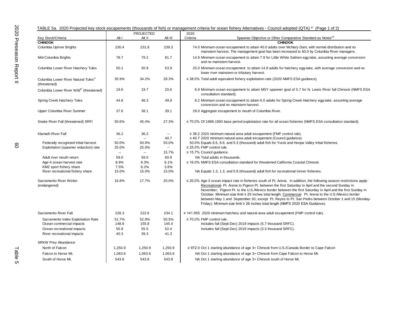|                                                                  |                | <b>PROJECTED</b> |                          | 2020                                                                                                                                                                                                                                                                                                                                                                                                                                                                                                                                                                                                                                         |  |
|------------------------------------------------------------------|----------------|------------------|--------------------------|----------------------------------------------------------------------------------------------------------------------------------------------------------------------------------------------------------------------------------------------------------------------------------------------------------------------------------------------------------------------------------------------------------------------------------------------------------------------------------------------------------------------------------------------------------------------------------------------------------------------------------------------|--|
| Key Stock/Criteria                                               | Alt I          | Alt II           | Alt III                  | Spawner Objective or Other Comparative Standard as Noted b/<br>Criteria                                                                                                                                                                                                                                                                                                                                                                                                                                                                                                                                                                      |  |
| <b>CHINOOK</b>                                                   |                |                  |                          | <b>CHINOOK</b>                                                                                                                                                                                                                                                                                                                                                                                                                                                                                                                                                                                                                               |  |
| Columbia Upriver Brights                                         | 230.4          | 231.8            | 239.3                    | 74.0 Minimum ocean escapement to attain 40.0 adults over McNary Dam, with normal distribution and no<br>mainstem harvest. The management goal has been increased to 60.0 by Columbia River managers.                                                                                                                                                                                                                                                                                                                                                                                                                                         |  |
| Mid-Columbia Brights                                             | 78.7           | 79.2             | 81.7                     | 14.9 Minimum ocean escapement to attain 7.9 for Little White Salmon egg-take, assuming average conversion<br>and no mainstem harvest.                                                                                                                                                                                                                                                                                                                                                                                                                                                                                                        |  |
| Columbia Lower River Hatchery Tules                              | 50.1           | 50.9             | 53.9                     | 25.0 Minimum ocean escapement to attain 14.8 adults for hatchery egg-take, with average conversion and no<br>lower river mainstem or tributary harvest.                                                                                                                                                                                                                                                                                                                                                                                                                                                                                      |  |
| Columbia Lower River Natural Tules <sup>c/</sup><br>(threatened) | 35.9%          | 34.2%            | 28.3%                    | $\leq$ 38.0% Total adult equivalent fishery exploitation rate (2020 NMFS ESA guidance).                                                                                                                                                                                                                                                                                                                                                                                                                                                                                                                                                      |  |
| Columbia Lower River Wilde (threatened)                          | 19.6           | 19.7             | 20.6                     | 6.9 Minimum ocean escapement to attain MSY spawner goal of 5.7 for N. Lewis River fall Chinook (NMFS ESA<br>consultation standard).                                                                                                                                                                                                                                                                                                                                                                                                                                                                                                          |  |
| Spring Creek Hatchery Tules                                      | 44.8           | 46.3             | 49.9                     | 8.2 Minimum ocean escapement to attain 6.0 adults for Spring Creek Hatchery egg-take, assuming average<br>conversion and no mainstem harvest.                                                                                                                                                                                                                                                                                                                                                                                                                                                                                                |  |
| Upper Columbia River Summer                                      | 37.6           | 38.1             | 39.1                     | 29.0 Aggregate escapement to mouth of Columbia River.                                                                                                                                                                                                                                                                                                                                                                                                                                                                                                                                                                                        |  |
| Snake River Fall (threatened) SRFI                               | 50.6%          | 45.4%            | 27.3%                    | $\leq$ 70.0% Of 1988-1993 base period exploitation rate for all ocean fisheries (NMFS ESA consultation standard).                                                                                                                                                                                                                                                                                                                                                                                                                                                                                                                            |  |
| <b>Klamath River Fall</b>                                        | 36.2           | 36.2             | $\overline{\phantom{a}}$ | $\geq$ 36.2 2020 minimum natural area adult escapement (FMP control rule).                                                                                                                                                                                                                                                                                                                                                                                                                                                                                                                                                                   |  |
|                                                                  |                | ۰.               | 40.7                     | $\geq$ 40.7 2020 minimum natural area adult escapement (Council guidance).                                                                                                                                                                                                                                                                                                                                                                                                                                                                                                                                                                   |  |
| Federally recognized tribal harvest                              | 50.0%          | 50.0%            | 50.0%                    | 50.0% Equals 8.6, 8.6, and 5.3 (thousand) adult fish for Yurok and Hoopa Valley tribal fisheries.                                                                                                                                                                                                                                                                                                                                                                                                                                                                                                                                            |  |
| Exploitation (spawner reduction) rate                            | 25.0%          | 25.0%            | $\overline{\phantom{a}}$ | $\leq$ 25.0% FMP control rule.                                                                                                                                                                                                                                                                                                                                                                                                                                                                                                                                                                                                               |  |
| Adult river mouth return                                         | $\sim$<br>59.0 | $\sim$<br>59.0   | 15.7%<br>60.9            | ≤ 15.7% Council guidance.<br>NA Total adults in thousands.                                                                                                                                                                                                                                                                                                                                                                                                                                                                                                                                                                                   |  |
| Age-4 ocean harvest rate                                         | 8.9%           | 9.3%             | 6.1%                     | $\leq$ 16.0% NMFS ESA consultation standard for threatened California Coastal Chinook.                                                                                                                                                                                                                                                                                                                                                                                                                                                                                                                                                       |  |
| KMZ sport fishery share                                          | 7.5%           | 6.2%             | 3.6%                     |                                                                                                                                                                                                                                                                                                                                                                                                                                                                                                                                                                                                                                              |  |
| River recreational fishery share                                 | 15.0%          | 15.0%            | 15.0%                    | NA Equals 1.3, 1.3, and 0.8 (thousand) adult fish for recreational inriver fisheries.                                                                                                                                                                                                                                                                                                                                                                                                                                                                                                                                                        |  |
| Sacramento River Winter<br>(endangered)                          | 16.8%          | 17.7%            | 20.0%                    | ≤ 20.0% Age-3 ocean impact rate in fisheries south of Pt. Arena. In addition, the following season restrictions apply:<br>Recreational- Pt. Arena to Pigeon Pt. between the first Saturday in April and the second Sunday in<br>November; Pigeon Pt. to the U.S./Mexico border between the first Saturday in April and the first Sunday in<br>October. Minimum size limit ≥ 20 inches total length. Commercial- Pt. Arena to the U.S./Mexico border<br>between May 1 and September 30, except Pt. Reyes to Pt. San Pedro between October 1 and 15 (Monday-<br>Friday). Minimum size limit ≥ 26 inches total length (NMFS 2020 ESA Guidance). |  |
| Sacramento River Fall                                            | 228.3          | 222.6            | 234.1                    | $\geq$ 141.955 2020 minimum hatchery and natural area adult escapement (FMP control rule).                                                                                                                                                                                                                                                                                                                                                                                                                                                                                                                                                   |  |
| Sacramento Index Exploitation Rate                               | 51.7%          | 52.9%            | 50.5%                    | $\leq$ 70.0% FMP control rule.                                                                                                                                                                                                                                                                                                                                                                                                                                                                                                                                                                                                               |  |
| Ocean commercial impacts                                         | 148.6          | 155.8            | 145.4                    | Includes fall (Sept-Dec) 2019 impacts (5.7 thousand SRFC).                                                                                                                                                                                                                                                                                                                                                                                                                                                                                                                                                                                   |  |
| Ocean recreational impacts                                       | 55.9           | 55.5             | 52.4                     | Includes fall (Sept-Dec) 2019 impacts (3.3 thousand SRFC).                                                                                                                                                                                                                                                                                                                                                                                                                                                                                                                                                                                   |  |
| River recreational impacts                                       | 40.3           | 39.3             | 41.3                     |                                                                                                                                                                                                                                                                                                                                                                                                                                                                                                                                                                                                                                              |  |
| <b>SRKW Prey Abundance</b>                                       |                |                  |                          |                                                                                                                                                                                                                                                                                                                                                                                                                                                                                                                                                                                                                                              |  |
| North of Falcon                                                  | 1,250.9        | 1,250.9          | 1,250.9                  | ≥ 972.0 Oct 1 starting abundance of age $3+$ Chinook from U.S./Canada Border to Cape Falcon                                                                                                                                                                                                                                                                                                                                                                                                                                                                                                                                                  |  |
| Falcon to Horse Mt.                                              | 1,063.6        | 1,063.6          | 1,063.6                  | NA Oct 1 starting abundance of age 3+ Chinook from Cape Falcon to Horse Mt.                                                                                                                                                                                                                                                                                                                                                                                                                                                                                                                                                                  |  |
| South of Horse Mt.                                               | 543.8          | 543.8            | 543.8                    | NA Oct 1 starting abundance of age 3+ Chinook south of Horse Mt.                                                                                                                                                                                                                                                                                                                                                                                                                                                                                                                                                                             |  |

## TABLE 5a. 2020 Projected key stock escapements (thousands of fish) or management criteria for ocean fishery Alternatives - Council adopted (QTA) <sup>a/</sup> (Page 1 of 2)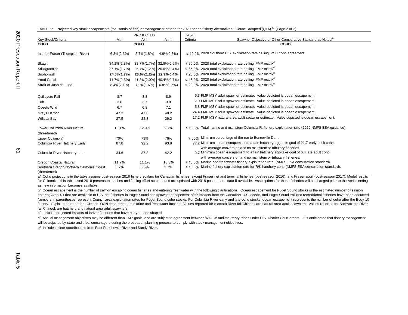|  |  |  |  | TABLE 5a. Projected key stock escapements (thousands of fish) or management criteria for 2020 ocean fishery Alternatives - Council adopted (QTA). <sup>a/</sup> (Page 2 of 2) |  |  |  |  |  |  |  |  |  |  |  |  |
|--|--|--|--|-------------------------------------------------------------------------------------------------------------------------------------------------------------------------------|--|--|--|--|--|--|--|--|--|--|--|--|
|--|--|--|--|-------------------------------------------------------------------------------------------------------------------------------------------------------------------------------|--|--|--|--|--|--|--|--|--|--|--|--|

|                                                           |                | <b>PROJECTED</b>                  |                         | 2020                                                                                                   |
|-----------------------------------------------------------|----------------|-----------------------------------|-------------------------|--------------------------------------------------------------------------------------------------------|
| Key Stock/Criteria                                        | Alt I          | Alt II                            | Alt III                 | Spawner Objective or Other Comparative Standard as Noted <sup>b/</sup><br>Criteria                     |
| <b>COHO</b>                                               |                | COHO                              |                         | <b>COHO</b>                                                                                            |
| Interior Fraser (Thompson River)                          | $6.3\%(2.3\%)$ | 5.7%(1.8%)                        | $4.6\%(0.6\%)$          | $\leq$ 10.0% 2020 Southern U.S. exploitation rate ceiling; PSC coho agreement.                         |
| Skagit                                                    | 34.1%(2.3%)    | $ 33.7\%$ (1.7%) $ 32.8\%$ (0.6%) |                         | $\leq$ 35.0% 2020 total exploitation rate ceiling; FMP matrix <sup>d/</sup>                            |
| Stillaguamish                                             | 27.1%(1.7%)    | $ 26.7\%(1.2\%) 26.0\%(0.4\%)$    |                         | $\leq$ 35.0% 2020 total exploitation rate ceiling; FMP matrix <sup>d/</sup>                            |
| Snohomish                                                 | 24.0%(1.7%)    |                                   | 23.6%(1.2%) 22.9%(0.4%) | $\leq$ 20.0% 2020 total exploitation rate ceiling; FMP matrix <sup>a/</sup>                            |
| <b>Hood Canal</b>                                         | 41.7%(2.6%)    |                                   | 41.3%(2.0%) 40.4%(0.7%) | $\leq$ 45.0% 2020 total exploitation rate ceiling; FMP matrix <sup>d/</sup>                            |
| Strait of Juan de Fuca                                    | $8.4\%(2.1\%)$ | 7.9%(1.6%)                        | $6.8\%(0.6\%)$          | $\leq$ 20.0% 2020 total exploitation rate ceiling; FMP matrix <sup>a/</sup>                            |
|                                                           |                |                                   |                         |                                                                                                        |
| Quillayute Fall                                           | 8.7            | 8.8                               | 8.9                     | 6.3 FMP MSY adult spawner estimate. Value depicted is ocean escapement.                                |
| Hoh                                                       | 3.6            | 3.7                               | 3.8                     | 2.0 FMP MSY adult spawner estimate. Value depicted is ocean escapement.                                |
| Queets Wild                                               | 6.7            | 6.8                               | 7.1                     | 5.8 FMP MSY adult spawner estimate. Value depicted is ocean escapement.                                |
| Grays Harbor                                              | 47.2           | 47.6                              | 48.2                    | 24.4 FMP MSY adult spawner estimate. Value depicted is ocean escapement.                               |
| Willapa Bay                                               | 27.5           | 28.3                              | 29.2                    | 17.2 FMP MSY natural area adult spawner estimate. Value depicted is ocean escapement.                  |
|                                                           |                |                                   |                         |                                                                                                        |
| Lower Columbia River Natural                              | 15.1%          | 12.9%                             | 9.7%                    | $\leq$ 18.0% Total marine and mainstem Columbia R. fishery exploitation rate (2020 NMFS ESA guidance). |
| (threatened)                                              |                |                                   |                         |                                                                                                        |
| Upper Columbia <sup>c/</sup>                              | 70%            | 73%                               | 76%                     | $\geq$ 50% Minimum percentage of the run to Bonneville Dam.                                            |
| Columbia River Hatchery Early                             | 87.8           | 92.2                              | 93.8                    | 77.2 Minimum ocean escapement to attain hatchery egg-take goal of 21.7 early adult coho,               |
|                                                           |                |                                   |                         | with average conversion and no mainstem or tributary fisheries.                                        |
| Columbia River Hatchery Late                              | 34.6           | 37.3                              | 42.2                    | 9.7 Minimum ocean escapement to attain hatchery egg-take goal of 6.4 late adult coho,                  |
|                                                           |                |                                   |                         | with average conversion and no mainstem or tributary fisheries.                                        |
| Oregon Coastal Natural                                    | 11.7%          | 11.1%                             | 10.3%                   | $\leq$ 15.0% Marine and freshwater fishery exploitation rate (NMFS ESA consultation standard).         |
| Southern Oregon/Northern California Coast<br>(threatened) | 3.2%           | 3.5%                              | 2.7%                    | $\leq$ 13.0% Marine fishery exploitation rate for R/K hatchery coho (NMFS ESA consultation standard).  |

a/ Coho projections in the table assume post-season 2018 fishery scalars for Canadian fisheries, except Fraser net and terminal fisheries (post-season 2016), and Fraser sport (post-season 2017). Model results for Chinook in this table used 2018 preseason catches and fishing effort scalers, and are updated with 2018 post season data if available. Assumptions for these fisheries will be changed prior to the April meeting as new information becomes available.

b/ Ocean escapement is the number of salmon escaping ocean fisheries and entering freshwater with the following clarifications. Ocean escapement for Puget Sound stocks is the estimated number of salmon entering Area 4B that are available to U.S. net fisheries in Puget Sound and spawner escapement after impacts from the Canadian, U.S. ocean, and Puget Sound troll and recreational fisheries have been deducted. Numbers in parentheses represent Council area exploitation rates for Puget Sound coho stocks. For Columbia River early and late coho stocks, ocean escapement represents the number of coho after the Buoy 10 fishery. Exploitation rates for LCN and OCN coho represent marine and freshwater impacts. Values reported for Klamath River fall Chinook are natural area adult spawners. Values reported for Sacramento River fall Chinook are hatchery and natural area adult spawners.

c/ Includes projected impacts of inriver fisheries that have not yet been shaped.

d/ Annual management objectives may be different than FMP goals, and are subject to agreement between WDFW and the treaty tribes under U.S. District Court orders. It is anticipated that fishery management will be adjusted by state and tribal comanagers during the preseason planning process to comply with stock management objectives.

e/ Includes minor contributions from East Fork Lewis River and Sandy River.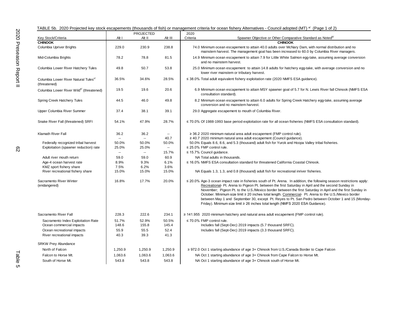|                                                                              |                          | <b>PROJECTED</b> |                          | 2020                                                                                                                                                                                                                                                                                                                                                                                                                                                                                                                                                                                                                                              |
|------------------------------------------------------------------------------|--------------------------|------------------|--------------------------|---------------------------------------------------------------------------------------------------------------------------------------------------------------------------------------------------------------------------------------------------------------------------------------------------------------------------------------------------------------------------------------------------------------------------------------------------------------------------------------------------------------------------------------------------------------------------------------------------------------------------------------------------|
| Key Stock/Criteria                                                           | Alt I                    | Alt II           | Alt III                  | Spawner Objective or Other Comparative Standard as Noted <sup>b/</sup><br>Criteria                                                                                                                                                                                                                                                                                                                                                                                                                                                                                                                                                                |
| <b>CHINOOK</b>                                                               |                          |                  |                          | <b>CHINOOK</b>                                                                                                                                                                                                                                                                                                                                                                                                                                                                                                                                                                                                                                    |
| Columbia Upriver Brights                                                     | 229.0                    | 230.9            | 238.8                    | 74.0 Minimum ocean escapement to attain 40.0 adults over McNary Dam, with normal distribution and no<br>mainstem harvest. The management goal has been increased to 60.0 by Columbia River managers.                                                                                                                                                                                                                                                                                                                                                                                                                                              |
| Mid-Columbia Brights                                                         | 78.2                     | 78.8             | 81.5                     | 14.9 Minimum ocean escapement to attain 7.9 for Little White Salmon egg-take, assuming average conversion<br>and no mainstem harvest.                                                                                                                                                                                                                                                                                                                                                                                                                                                                                                             |
| Columbia Lower River Hatchery Tules                                          | 49.8                     | 50.7             | 53.8                     | 25.0 Minimum ocean escapement to attain 14.8 adults for hatchery egg-take, with average conversion and no<br>lower river mainstem or tributary harvest.                                                                                                                                                                                                                                                                                                                                                                                                                                                                                           |
| Columbia Lower River Natural Tules <sup>c/</sup><br>(threatened)             | 36.5%                    | 34.6%            | 28.5%                    | $\leq$ 38.0% Total adult equivalent fishery exploitation rate (2020 NMFS ESA guidance).                                                                                                                                                                                                                                                                                                                                                                                                                                                                                                                                                           |
| Columbia Lower River Wilde (threatened)                                      | 19.5                     | 19.6             | 20.6                     | 6.9 Minimum ocean escapement to attain MSY spawner goal of 5.7 for N. Lewis River fall Chinook (NMFS ESA<br>consultation standard).                                                                                                                                                                                                                                                                                                                                                                                                                                                                                                               |
| Spring Creek Hatchery Tules                                                  | 44.5                     | 46.0             | 49.8                     | 8.2 Minimum ocean escapement to attain 6.0 adults for Spring Creek Hatchery egg-take, assuming average<br>conversion and no mainstem harvest.                                                                                                                                                                                                                                                                                                                                                                                                                                                                                                     |
| Upper Columbia River Summer                                                  | 37.4                     | 38.1             | 39.1                     | 29.0 Aggregate escapement to mouth of Columbia River.                                                                                                                                                                                                                                                                                                                                                                                                                                                                                                                                                                                             |
| Snake River Fall (threatened) SRFI                                           | 54.1%                    | 47.9%            | 28.7%                    | $\leq$ 70.0% Of 1988-1993 base period exploitation rate for all ocean fisheries (NMFS ESA consultation standard).                                                                                                                                                                                                                                                                                                                                                                                                                                                                                                                                 |
| <b>Klamath River Fall</b>                                                    | 36.2                     | 36.2             | $\overline{\phantom{a}}$ | $\geq$ 36.2 2020 minimum natural area adult escapement (FMP control rule).                                                                                                                                                                                                                                                                                                                                                                                                                                                                                                                                                                        |
|                                                                              | $\overline{\phantom{a}}$ | $\sim$           | 40.7                     | $\geq$ 40.7 2020 minimum natural area adult escapement (Council guidance).                                                                                                                                                                                                                                                                                                                                                                                                                                                                                                                                                                        |
| Federally recognized tribal harvest<br>Exploitation (spawner reduction) rate | 50.0%<br>25.0%           | 50.0%<br>25.0%   | 50.0%<br>$\sim$          | 50.0% Equals 8.6, 8.6, and 5.3 (thousand) adult fish for Yurok and Hoopa Valley tribal fisheries.<br>$\leq$ 25.0% FMP control rule.                                                                                                                                                                                                                                                                                                                                                                                                                                                                                                               |
|                                                                              | н.                       | $\sim$           | 15.7%                    | ≤ 15.7% Council guidance.                                                                                                                                                                                                                                                                                                                                                                                                                                                                                                                                                                                                                         |
| Adult river mouth return                                                     | 59.0                     | 59.0             | 60.9                     | NA Total adults in thousands.                                                                                                                                                                                                                                                                                                                                                                                                                                                                                                                                                                                                                     |
| Age-4 ocean harvest rate                                                     | 8.9%                     | 9.3%             | 6.1%                     | $\leq$ 16.0% NMFS ESA consultation standard for threatened California Coastal Chinook.                                                                                                                                                                                                                                                                                                                                                                                                                                                                                                                                                            |
| KMZ sport fishery share                                                      | 7.5%                     | 6.2%             | 3.6%                     |                                                                                                                                                                                                                                                                                                                                                                                                                                                                                                                                                                                                                                                   |
| River recreational fishery share                                             | 15.0%                    | 15.0%            | 15.0%                    | NA Equals 1.3, 1.3, and 0.8 (thousand) adult fish for recreational inriver fisheries.                                                                                                                                                                                                                                                                                                                                                                                                                                                                                                                                                             |
| Sacramento River Winter<br>(endangered)                                      | 16.8%                    | 17.7%            | 20.0%                    | $\leq$ 20.0% Age-3 ocean impact rate in fisheries south of Pt. Arena. In addition, the following season restrictions apply:<br>Recreational- Pt. Arena to Pigeon Pt. between the first Saturday in April and the second Sunday in<br>November; Pigeon Pt. to the U.S./Mexico border between the first Saturday in April and the first Sunday in<br>October. Minimum size limit ≥ 20 inches total length. Commercial- Pt. Arena to the U.S./Mexico border<br>between May 1 and September 30, except Pt. Reyes to Pt. San Pedro between October 1 and 15 (Monday-<br>Friday). Minimum size limit ≥ 26 inches total length (NMFS 2020 ESA Guidance). |
| Sacramento River Fall                                                        | 228.3                    | 222.6            | 234.1                    | $\geq$ 141.955 2020 minimum hatchery and natural area adult escapement (FMP control rule).                                                                                                                                                                                                                                                                                                                                                                                                                                                                                                                                                        |
| Sacramento Index Exploitation Rate                                           | 51.7%                    | 52.9%            | 50.5%                    | $\leq$ 70.0% FMP control rule.                                                                                                                                                                                                                                                                                                                                                                                                                                                                                                                                                                                                                    |
| Ocean commercial impacts                                                     | 148.6                    | 155.8            | 145.4                    | Includes fall (Sept-Dec) 2019 impacts (5.7 thousand SRFC).                                                                                                                                                                                                                                                                                                                                                                                                                                                                                                                                                                                        |
| Ocean recreational impacts                                                   | 55.9                     | 55.5             | 52.4                     | Includes fall (Sept-Dec) 2019 impacts (3.3 thousand SRFC).                                                                                                                                                                                                                                                                                                                                                                                                                                                                                                                                                                                        |
| River recreational impacts                                                   | 40.3                     | 39.3             | 41.3                     |                                                                                                                                                                                                                                                                                                                                                                                                                                                                                                                                                                                                                                                   |
| <b>SRKW Prey Abundance</b>                                                   |                          |                  |                          |                                                                                                                                                                                                                                                                                                                                                                                                                                                                                                                                                                                                                                                   |
| North of Falcon                                                              | 1,250.9                  | 1,250.9          | 1,250.9                  | ≥ 972.0 Oct 1 starting abundance of age $3+$ Chinook from U.S./Canada Border to Cape Falcon                                                                                                                                                                                                                                                                                                                                                                                                                                                                                                                                                       |
| Falcon to Horse Mt.                                                          | 1,063.6                  | 1,063.6          | 1,063.6                  | NA Oct 1 starting abundance of age 3+ Chinook from Cape Falcon to Horse Mt.                                                                                                                                                                                                                                                                                                                                                                                                                                                                                                                                                                       |
| South of Horse Mt.                                                           | 543.8                    | 543.8            | 543.8                    | NA Oct 1 starting abundance of age 3+ Chinook south of Horse Mt.                                                                                                                                                                                                                                                                                                                                                                                                                                                                                                                                                                                  |

## TABLE 5b. 2020 Projected key stock escapements (thousands of fish) or management criteria for ocean fishery Alternatives - Council adopted (MT) <sup>a/</sup> (Page 1 of 2)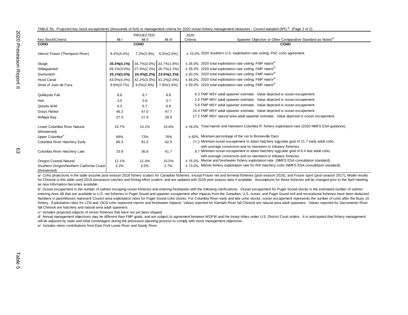|  |  |  |  |  |  |  |  |  | TABLE 5b. Projected key stock escapements (thousands of fish) or management criteria for 2020 ocean fishery management measures - Council adopted (MT). <sup>a/</sup> (Page 2 of 2) |  |  |  |  |  |  |
|--|--|--|--|--|--|--|--|--|-------------------------------------------------------------------------------------------------------------------------------------------------------------------------------------|--|--|--|--|--|--|
|--|--|--|--|--|--|--|--|--|-------------------------------------------------------------------------------------------------------------------------------------------------------------------------------------|--|--|--|--|--|--|

|                                                           |                   | <b>PROJECTED</b>        |                         | 2020                                                                                                   |
|-----------------------------------------------------------|-------------------|-------------------------|-------------------------|--------------------------------------------------------------------------------------------------------|
| Key Stock/Criteria                                        | Alt I             | Alt II                  | Alt III                 | Spawner Objective or Other Comparative Standard as Noted <sup>b/</sup><br>Criteria                     |
| <b>COHO</b>                                               |                   | COHO                    |                         | COHO                                                                                                   |
| Interior Fraser (Thompson River)                          | $8.4\%$ $(4.4\%)$ | $7.2\%(3.3\%)$          | $6.0\frac{1}{2}(2.0\%)$ | $\leq$ 10.0% 2020 Southern U.S. exploitation rate ceiling; PSC coho agreement.                         |
| Skagit                                                    | 35.5%(4.1%)       | 34.7%(3.0%) 33.7%(1.8%) |                         | $\leq$ 35.0% 2020 total exploitation rate ceiling; FMP matrix <sup>a/</sup>                            |
| Stillaguamish                                             | 28.1%(3.0%)       | 27.4%(2.2%) 26.7%(1.3%) |                         | $\leq$ 35.0% 2020 total exploitation rate ceiling; FMP matrix <sup>d/</sup>                            |
| Snohomish                                                 | 25.1%(3.0%)       |                         | 24.4%(2.2%) 23.6%(1.3%) | $\leq$ 20.0% 2020 total exploitation rate ceiling; FMP matrix <sup>d/</sup>                            |
| <b>Hood Canal</b>                                         | 43.0%(4.4%)       |                         | 42.2%(3.3%) 41.2%(2.0%) | $\leq$ 45.0% 2020 total exploitation rate ceiling; FMP matrix <sup>d/</sup>                            |
| Strait of Juan de Fuca                                    | $9.9\%(3.7\%)$    | $9.0\%(2.8\%)$          | 7.9%(1.6%)              | $\leq$ 20.0% 2020 total exploitation rate ceiling; FMP matrix <sup>a/</sup>                            |
|                                                           |                   |                         |                         |                                                                                                        |
| Quillayute Fall                                           | 8.6               | 8.7                     | 8.8                     | 6.3 FMP MSY adult spawner estimate. Value depicted is ocean escapement.                                |
| <b>Hoh</b>                                                | 3.5               | 3.6                     | 3.7                     | 2.0 FMP MSY adult spawner estimate. Value depicted is ocean escapement.                                |
| Queets Wild                                               | 6.5               | 6.7                     | 6.9                     | 5.8 FMP MSY adult spawner estimate. Value depicted is ocean escapement.                                |
| Grays Harbor                                              | 46.3              | 47.0                    | 47.7                    | 24.4 FMP MSY adult spawner estimate. Value depicted is ocean escapement.                               |
| Willapa Bay                                               | 27.0              | 27.9                    | 28.9                    | 17.2 FMP MSY natural area adult spawner estimate. Value depicted is ocean escapement.                  |
|                                                           |                   |                         |                         |                                                                                                        |
| Lower Columbia River Natural                              | 16.7%             | 14.1%                   | 10.6%                   | $\leq$ 18 0% Total marine and mainstem Columbia R. fishery exploitation rate (2020 NMFS ESA quidance). |
| (threatened)                                              |                   |                         |                         |                                                                                                        |
| Upper Columbia <sup>c/</sup>                              | 69%               | 73%                     | 76%                     | $\geq$ 50% Minimum percentage of the run to Bonneville Dam.                                            |
| Columbia River Hatchery Early                             | 86.3              | 91.0                    | 92.9                    | 77.2 Minimum ocean escapement to attain hatchery egg-take goal of 21.7 early adult coho,               |
|                                                           |                   |                         |                         | with average conversion and no mainstem or tributary fisheries.                                        |
| Columbia River Hatchery Late                              | 33.9              | 36.8                    | 41.7                    | 9.7 Minimum ocean escapement to attain hatchery egg-take goal of 6.4 late adult coho,                  |
|                                                           |                   |                         |                         | with average conversion and no mainstem or tributary fisheries.                                        |
| Oregon Coastal Natural                                    | 12.1%             | 11.4%                   | 10.5%                   | ≤ 15.0% Marine and freshwater fishery exploitation rate (NMFS ESA consultation standard).              |
| Southern Oregon/Northern California Coast<br>(threatened) | 3.2%              | 3.5%                    | 2.7%                    | $\leq$ 13.0% Marine fishery exploitation rate for R/K hatchery coho (NMFS ESA consultation standard).  |

a/ Coho projections in the table assume post-season 2018 fishery scalars for Canadian fisheries, except Fraser net and terminal fisheries (post-season 2016), and Fraser sport (post-season 2017), Model results for Chinook in this table used 2018 preseason catches and fishing effort scalers, and are updated with 2018 post season data if available. Assumptions for these fisheries will be changed prior to the April meeting as new information becomes available.

b/ Ocean escapement is the number of salmon escaping ocean fisheries and entering freshwater with the following clarifications. Ocean escapement for Puget Sound stocks is the estimated number of salmon entering Area 4B that are available to U.S. net fisheries in Puget Sound and spawner escapement after impacts from the Canadian, U.S. ocean, and Puget Sound troll and recreational fisheries have been deducted. Numbers in parentheses represent Council area exploitation rates for Puget Sound coho stocks. For Columbia River early and late coho stocks, ocean escapement represents the number of coho after the Buoy 10 fishery. Exploitation rates for LCN and OCN coho represent marine and freshwater impacts. Values reported for Klamath River fall Chinook are natural area adult spawners. Values reported for Sacramento River fall Chinook are hatchery and natural area adult spawners.

c/ Includes projected impacts of inriver fisheries that have not yet been shaped.

d/ Annual management objectives may be different than FMP goals, and are subject to agreement between WDFW and the treaty tribes under U.S. District Court orders. It is anticipated that fishery management will be adjusted by state and tribal comanagers during the preseason planning process to comply with stock management objectives.

e/ Includes minor contributions from East Fork Lewis River and Sandy River.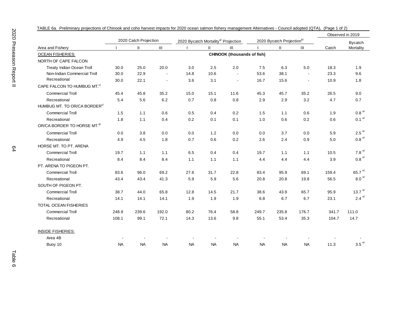|                                          |           |                       |                                    |                                                 |              |                                    |           |                                       | Observed in 2019 |       |                        |
|------------------------------------------|-----------|-----------------------|------------------------------------|-------------------------------------------------|--------------|------------------------------------|-----------|---------------------------------------|------------------|-------|------------------------|
|                                          |           | 2020 Catch Projection |                                    | 2020 Bycatch Mortality <sup>a/</sup> Projection |              |                                    |           | 2020 Bycatch Projection <sup>b/</sup> |                  |       | <b>Bycatch</b>         |
| Area and Fishery                         |           | $\mathbf{II}$         | $\ensuremath{\mathsf{III}}\xspace$ |                                                 | $\mathbf{H}$ | III                                |           | $\mathbf{II}$                         | $\mathbf{III}$   | Catch | Mortality              |
| <b>OCEAN FISHERIES:</b>                  |           |                       |                                    |                                                 |              | <b>CHINOOK (thousands of fish)</b> |           |                                       |                  |       |                        |
| NORTH OF CAPE FALCON                     |           |                       |                                    |                                                 |              |                                    |           |                                       |                  |       |                        |
| Treaty Indian Ocean Troll                | 30.0      | 25.0                  | 20.0                               | 3.0                                             | 2.5          | 2.0                                | 7.5       | 6.3                                   | 5.0              | 18.3  | 1.9                    |
| Non-Indian Commercial Troll              | 30.0      | 22.9                  | $\blacksquare$                     | 14.8                                            | 10.6         | $\blacksquare$                     | 53.6      | 38.1                                  |                  | 23.3  | 9.6                    |
| Recreational                             | 30.0      | 22.1                  | $\blacksquare$                     | 3.6                                             | 3.1          | $\blacksquare$                     | 16.7      | 15.6                                  |                  | 10.9  | 1.8                    |
| CAPE FALCON TO HUMBUG MT. <sup>c/</sup>  |           |                       |                                    |                                                 |              |                                    |           |                                       |                  |       |                        |
| <b>Commercial Troll</b>                  | 45.4      | 45.8                  | 35.2                               | 15.0                                            | 15.1         | 11.6                               | 45.3      | 45.7                                  | 35.2             | 26.5  | 9.0                    |
| Recreational                             | 5.4       | 5.6                   | 6.2                                | 0.7                                             | 0.8          | 0.8                                | 2.9       | 2.9                                   | 3.2              | 4.7   | 0.7                    |
| HUMBUG MT. TO OR/CA BORDER <sup>c/</sup> |           |                       |                                    |                                                 |              |                                    |           |                                       |                  |       |                        |
| <b>Commercial Troll</b>                  | 1.5       | 1.1                   | 0.6                                | 0.5                                             | 0.4          | 0.2                                | 1.5       | 1.1                                   | 0.6              | 1.9   | $0.8\,^{\mathrm{e/}}$  |
| Recreational                             | 1.8       | 1.1                   | 0.4                                | 0.2                                             | 0.1          | 0.1                                | 1.0       | 0.6                                   | 0.2              | 0.6   | $0.1$ $^{\mathrm{e/}}$ |
| OR/CA BORDER TO HORSE MT. <sup>d/</sup>  |           |                       |                                    |                                                 |              |                                    |           |                                       |                  |       |                        |
| <b>Commercial Troll</b>                  | 0.0       | 3.8                   | 0.0                                | 0.0                                             | 1.2          | 0.0                                | 0.0       | 3.7                                   | 0.0              | 5.9   | $2.5$ e/               |
| Recreational                             | 4.9       | 4.5                   | 1.8                                | 0.7                                             | 0.6          | 0.2                                | 2.6       | 2.4                                   | 0.9              | 5.0   | $0.8$ $^{\circ/}$      |
| HORSE MT. TO PT. ARENA                   |           |                       |                                    |                                                 |              |                                    |           |                                       |                  |       |                        |
| <b>Commercial Troll</b>                  | 19.7      | 1.1                   | 1.1                                | 6.5                                             | 0.4          | 0.4                                | 19.7      | 1.1                                   | 1.1              | 10.5  | 7.8 $e/$               |
| Recreational                             | 8.4       | 8.4                   | 8.4                                | 1.1                                             | 1.1          | 1.1                                | 4.4       | 4.4                                   | 4.4              | 3.9   | $0.8$ $^{\mathrm{e/}}$ |
| PT. ARENA TO PIGEON PT.                  |           |                       |                                    |                                                 |              |                                    |           |                                       |                  |       |                        |
| <b>Commercial Troll</b>                  | 83.6      | 96.0                  | 69.2                               | 27.6                                            | 31.7         | 22.8                               | 83.4      | 95.9                                  | 69.1             | 159.4 | 65.7 $e$               |
| Recreational                             | 43.4      | 43.4                  | 41.3                               | 5.9                                             | 5.9          | 5.6                                | 20.8      | 20.8                                  | 19.8             | 56.5  | $8.0e$ <sup>e/</sup>   |
| SOUTH OF PIGEON PT.                      |           |                       |                                    |                                                 |              |                                    |           |                                       |                  |       |                        |
| <b>Commercial Troll</b>                  | 38.7      | 44.0                  | 65.8                               | 12.8                                            | 14.5         | 21.7                               | 38.6      | 43.9                                  | 65.7             | 95.9  | 13.7 $e/$              |
| Recreational                             | 14.1      | 14.1                  | 14.1                               | 1.9                                             | 1.9          | 1.9                                | 6.8       | 6.7                                   | 6.7              | 23.1  | 2.4 $e$                |
| TOTAL OCEAN FISHERIES                    |           |                       |                                    |                                                 |              |                                    |           |                                       |                  |       |                        |
| <b>Commercial Troll</b>                  | 248.9     | 239.6                 | 192.0                              | 80.2                                            | 76.4         | 58.8                               | 249.7     | 235.8                                 | 176.7            | 341.7 | 111.0                  |
| Recreational                             | 108.1     | 99.1                  | 72.1                               | 14.3                                            | 13.6         | 9.8                                | 55.1      | 53.4                                  | 35.3             | 104.7 | 14.7                   |
| <b>INSIDE FISHERIES:</b>                 |           |                       |                                    |                                                 |              |                                    |           |                                       |                  |       |                        |
| Area 4B                                  |           |                       |                                    |                                                 |              |                                    |           |                                       |                  |       |                        |
| Buoy 10                                  | <b>NA</b> | <b>NA</b>             | <b>NA</b>                          | <b>NA</b>                                       | <b>NA</b>    | <b>NA</b>                          | <b>NA</b> | <b>NA</b>                             | <b>NA</b>        | 11.3  | $3.5$ $\degree$        |

TABLE 6a. Preliminary projections of Chinook and coho harvest impacts for 2020 ocean salmon fishery management Alternatives - Council adopted (QTA)**.** (Page 1 of 2)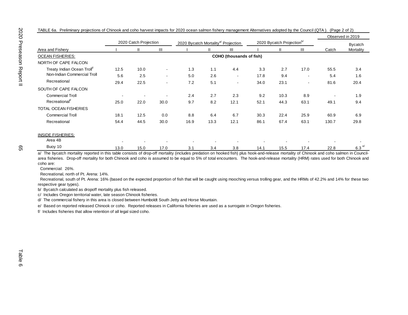|                                         |                          |                       |                          |                                                 |      |                                 |                                       |      |                          |       | Observed in 2019 |
|-----------------------------------------|--------------------------|-----------------------|--------------------------|-------------------------------------------------|------|---------------------------------|---------------------------------------|------|--------------------------|-------|------------------|
|                                         |                          | 2020 Catch Projection |                          | 2020 Bycatch Mortality <sup>a/</sup> Projection |      |                                 | 2020 Bycatch Projection <sup>b/</sup> |      |                          |       | <b>Bycatch</b>   |
| Area and Fishery                        |                          | Ш                     | Ш                        |                                                 | Ш    | Ш                               |                                       | Ш    | Ш                        | Catch | Mortality        |
| <b>OCEAN FISHERIES:</b>                 |                          |                       |                          |                                                 |      | <b>COHO (thousands of fish)</b> |                                       |      |                          |       |                  |
| NORTH OF CAPE FALCON                    |                          |                       |                          |                                                 |      |                                 |                                       |      |                          |       |                  |
| Treaty Indian Ocean Troll <sup>t/</sup> | 12.5                     | 10.0                  | $\overline{\phantom{a}}$ | 1.3                                             | 1.1  | 4.4                             | 3.3                                   | 2.7  | 17.0                     | 55.5  | 3.4              |
| Non-Indian Commercial Troll             | 5.6                      | 2.5                   | $\overline{\phantom{a}}$ | 5.0                                             | 2.6  | $\overline{\phantom{a}}$        | 17.8                                  | 9.4  | $\overline{\phantom{a}}$ | 5.4   | 1.6              |
| Recreational                            | 29.4                     | 22.5                  | $\overline{\phantom{a}}$ | 7.2                                             | 5.1  | $\overline{\phantom{a}}$        | 34.0                                  | 23.1 | $\overline{\phantom{a}}$ | 81.6  | 20.4             |
| SOUTH OF CAPE FALCON                    |                          |                       |                          |                                                 |      |                                 |                                       |      |                          |       |                  |
| <b>Commercial Troll</b>                 | $\overline{\phantom{a}}$ |                       |                          | 2.4                                             | 2.7  | 2.3                             | 9.2                                   | 10.3 | 8.9                      |       | 1.9              |
| Recreational <sup>t/</sup>              | 25.0                     | 22.0                  | 30.0                     | 9.7                                             | 8.2  | 12.1                            | 52.1                                  | 44.3 | 63.1                     | 49.1  | 9.4              |
| <b>TOTAL OCEAN FISHERIES</b>            |                          |                       |                          |                                                 |      |                                 |                                       |      |                          |       |                  |
| <b>Commercial Troll</b>                 | 18.1                     | 12.5                  | 0.0                      | 8.8                                             | 6.4  | 6.7                             | 30.3                                  | 22.4 | 25.9                     | 60.9  | 6.9              |
| Recreational                            | 54.4                     | 44.5                  | 30.0                     | 16.9                                            | 13.3 | 12.1                            | 86.1                                  | 67.4 | 63.1                     | 130.7 | 29.8             |
| <b>INSIDE FISHERIES:</b><br>Area 4B     |                          |                       |                          |                                                 |      |                                 |                                       |      |                          |       |                  |
|                                         |                          |                       |                          |                                                 |      |                                 |                                       |      |                          |       |                  |

TABLE 6a. Preliminary projections of Chinook and coho harvest impacts for 2020 ocean salmon fishery management Alternatives adopted by the Council (QTA ). (Page 2 of 2)

Buoy 10  $13.0$  13.0  $15.0$  17.0  $3.1$   $3.4$   $3.8$   $14.1$   $15.5$   $17.4$   $22.8$   $6.3$   $6.3$ a/ The bycatch mortality reported in this table consists of drop-off mortality (includes predation on hooked fish) plus hook-and-release mortality of Chinook and coho salmon in Councilarea fisheries. Drop-off mortality for both Chinook and coho is assumed to be equal to 5% of total encounters. The hook-and-release mortality (HRM) rates used for both Chinook and coho are:

Commercial: 26%.

Recreational, north of Pt. Arena: 14%.

Recreational, south of Pt. Arena: 16% (based on the expected proportion of fish that will be caught using mooching versus trolling gear, and the HRMs of 42.2% and 14% for these two respective gear types).

b/ Bycatch calculated as dropoff mortality plus fish released.

c/ Includes Oregon territorial water, late season Chinook fisheries.

d/ The commercial fishery in this area is closed between Humboldt South Jetty and Horse Mountain.

e/ Based on reported released Chinook or coho. Reported releases in California fisheries are used as a surrogate in Oregon fisheries.

f/ Includes fisheries that allow retention of all legal sized coho.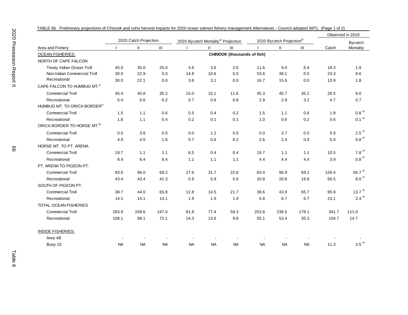|                                          |           |                       |           |                                                 |               |                                    |           |                                       |                |       | Observed in 2019       |
|------------------------------------------|-----------|-----------------------|-----------|-------------------------------------------------|---------------|------------------------------------|-----------|---------------------------------------|----------------|-------|------------------------|
|                                          |           | 2020 Catch Projection |           | 2020 Bycatch Mortality <sup>a/</sup> Projection |               |                                    |           | 2020 Bycatch Projection <sup>b/</sup> |                |       | <b>Bycatch</b>         |
| Area and Fishery                         |           | $\mathbf{H}$          | III       |                                                 | $\mathbf{II}$ | Ш                                  |           | $\mathbf{II}$                         | $\mathbf{III}$ | Catch | Mortality              |
| <b>OCEAN FISHERIES:</b>                  |           |                       |           |                                                 |               | <b>CHINOOK (thousands of fish)</b> |           |                                       |                |       |                        |
| NORTH OF CAPE FALCON                     |           |                       |           |                                                 |               |                                    |           |                                       |                |       |                        |
| Treaty Indian Ocean Troll                | 45.0      | 35.0                  | 25.0      | 4.6                                             | 3.6           | 2.6                                | 11.6      | 9.0                                   | 6.4            | 18.3  | 1.9                    |
| Non-Indian Commercial Troll              | 30.0      | 22.9                  | 0.0       | 14.8                                            | 10.6          | 0.0                                | 53.6      | 38.1                                  | 0.0            | 23.3  | 9.6                    |
| Recreational                             | 30.0      | 22.1                  | $0.0\,$   | 3.6                                             | 3.1           | 0.0                                | 16.7      | 15.6                                  | $0.0\,$        | 10.9  | 1.8                    |
| CAPE FALCON TO HUMBUG MT. <sup>c/</sup>  |           |                       |           |                                                 |               |                                    |           |                                       |                |       |                        |
| <b>Commercial Troll</b>                  | 45.4      | 45.8                  | 35.2      | 15.0                                            | 15.1          | 11.6                               | 45.3      | 45.7                                  | 35.2           | 26.5  | 9.0                    |
| Recreational                             | 5.4       | 5.6                   | 6.2       | 0.7                                             | 0.8           | 0.8                                | 2.9       | 2.9                                   | 3.2            | 4.7   | 0.7                    |
| HUMBUG MT. TO OR/CA BORDER <sup>c/</sup> |           |                       |           |                                                 |               |                                    |           |                                       |                |       |                        |
| <b>Commercial Troll</b>                  | 1.5       | 1.1                   | 0.6       | 0.5                                             | 0.4           | 0.2                                | 1.5       | 1.1                                   | 0.6            | 1.9   | 0.8e                   |
| Recreational                             | 1.8       | 1.1                   | 0.4       | 0.2                                             | 0.1           | 0.1                                | 1.0       | 0.6                                   | 0.2            | 0.6   | $0.1$ e/               |
| OR/CA BORDER TO HORSE MT. <sup>d/</sup>  |           |                       |           |                                                 |               |                                    |           |                                       |                |       |                        |
| <b>Commercial Troll</b>                  | 0.0       | 3.8                   | 0.0       | 0.0                                             | 1.2           | 0.0                                | 0.0       | 3.7                                   | 0.0            | 5.9   | $2.5$ <sup>e/</sup>    |
| Recreational                             | 4.9       | 4.5                   | 1.8       | 0.7                                             | 0.6           | 0.2                                | 2.6       | 2.4                                   | 0.9            | 5.0   | $0.8$ <sup>e/</sup>    |
| HORSE MT. TO PT. ARENA                   |           |                       |           |                                                 |               |                                    |           |                                       |                |       |                        |
| <b>Commercial Troll</b>                  | 19.7      | 1.1                   | 1.1       | 6.5                                             | 0.4           | 0.4                                | 19.7      | 1.1                                   | 1.1            | 10.5  | 7.8 $e/$               |
| Recreational                             | 8.4       | 8.4                   | 8.4       | 1.1                                             | 1.1           | 1.1                                | 4.4       | 4.4                                   | 4.4            | 3.9   | $0.8$ <sup>e/</sup>    |
| PT. ARENA TO PIGEON PT.                  |           |                       |           |                                                 |               |                                    |           |                                       |                |       |                        |
| <b>Commercial Troll</b>                  | 83.6      | 96.0                  | 69.2      | 27.6                                            | 31.7          | 22.8                               | 83.4      | 95.9                                  | 69.1           | 159.4 | 65.7 $e$ <sup>e/</sup> |
| Recreational                             | 43.4      | 43.4                  | 41.3      | 5.9                                             | 5.9           | 5.6                                | 20.8      | 20.8                                  | 19.8           | 56.5  | $8.0$ $\degree$        |
| SOUTH OF PIGEON PT.                      |           |                       |           |                                                 |               |                                    |           |                                       |                |       |                        |
| <b>Commercial Troll</b>                  | 38.7      | 44.0                  | 65.8      | 12.8                                            | 14.5          | 21.7                               | 38.6      | 43.9                                  | 65.7           | 95.9  | 13.7 $e/$              |
| Recreational                             | 14.1      | 14.1                  | 14.1      | 1.9                                             | 1.9           | 1.9                                | 6.8       | 6.7                                   | 6.7            | 23.1  | 2.4 $e/$               |
| <b>TOTAL OCEAN FISHERIES</b>             |           |                       |           |                                                 |               |                                    |           |                                       |                |       |                        |
| <b>Commercial Troll</b>                  | 263.9     | 249.6                 | 197.0     | 81.8                                            | 77.4          | 59.3                               | 253.8     | 238.5                                 | 178.1          | 341.7 | 111.0                  |
| Recreational                             | 108.1     | 99.1                  | 72.1      | 14.3                                            | 13.6          | 9.8                                | 55.1      | 53.4                                  | 35.3           | 104.7 | 14.7                   |
| <b>INSIDE FISHERIES:</b>                 |           |                       |           |                                                 |               |                                    |           |                                       |                |       |                        |
| Area 4B                                  |           |                       |           |                                                 |               |                                    |           |                                       |                |       |                        |
| Buoy 10                                  | <b>NA</b> | <b>NA</b>             | <b>NA</b> | <b>NA</b>                                       | <b>NA</b>     | <b>NA</b>                          | <b>NA</b> | <b>NA</b>                             | <b>NA</b>      | 11.3  | $3.5$ <sup>e/</sup>    |

TABLE 6b. Preliminary projections of Chinook and coho harvest impacts for 2020 ocean salmon fishery management Alternatives - Council adopted (MT)**.** (Page 1 of 2)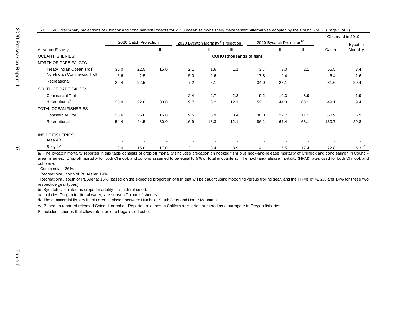|                                         |                |                          |                          |                                                 |      |                                 |      |                                       |                          |       | Observed in 2019    |
|-----------------------------------------|----------------|--------------------------|--------------------------|-------------------------------------------------|------|---------------------------------|------|---------------------------------------|--------------------------|-------|---------------------|
|                                         |                | 2020 Catch Projection    |                          | 2020 Bycatch Mortality <sup>a/</sup> Projection |      |                                 |      | 2020 Bycatch Projection <sup>b/</sup> |                          |       | <b>Bycatch</b>      |
| Area and Fishery                        |                | Ш                        | Ш                        |                                                 |      | Ш                               |      | $\mathbf{H}$                          | $\mathbf{III}$           | Catch | Mortality           |
| <b>OCEAN FISHERIES:</b>                 |                |                          |                          |                                                 |      | <b>COHO</b> (thousands of fish) |      |                                       |                          |       |                     |
| NORTH OF CAPE FALCON                    |                |                          |                          |                                                 |      |                                 |      |                                       |                          |       |                     |
| Treaty Indian Ocean Troll <sup>t/</sup> | 30.0           | 22.5                     | 15.0                     | 2.1                                             | 1.6  | 1.1                             | 3.7  | 3.0                                   | 2.1                      | 55.5  | 3.4                 |
| Non-Indian Commercial Troll             | 5.6            | 2.5                      | $\blacksquare$           | 5.0                                             | 2.6  | $\overline{\phantom{a}}$        | 17.8 | 9.4                                   | $\overline{\phantom{a}}$ | 5.4   | 1.6                 |
| Recreational                            | 29.4           | 22.5                     | $\overline{\phantom{a}}$ | 7.2                                             | 5.1  | $\overline{\phantom{a}}$        | 34.0 | 23.1                                  | $\overline{\phantom{a}}$ | 81.6  | 20.4                |
| SOUTH OF CAPE FALCON                    |                |                          |                          |                                                 |      |                                 |      |                                       |                          |       |                     |
| <b>Commercial Troll</b>                 | $\blacksquare$ | $\overline{\phantom{a}}$ | $\overline{\phantom{a}}$ | 2.4                                             | 2.7  | 2.3                             | 9.2  | 10.3                                  | 8.9                      |       | 1.9                 |
| Recreational <sup>t/</sup>              | 25.0           | 22.0                     | 30.0                     | 9.7                                             | 8.2  | 12.1                            | 52.1 | 44.3                                  | 63.1                     | 49.1  | 9.4                 |
| <b>TOTAL OCEAN FISHERIES</b>            |                |                          |                          |                                                 |      |                                 |      |                                       |                          |       |                     |
| <b>Commercial Troll</b>                 | 35.6           | 25.0                     | 15.0                     | 9.5                                             | 6.9  | 3.4                             | 30.8 | 22.7                                  | 11.1                     | 60.9  | 6.9                 |
| Recreational                            | 54.4           | 44.5                     | 30.0                     | 16.9                                            | 13.3 | 12.1                            | 86.1 | 67.4                                  | 63.1                     | 130.7 | 29.8                |
| <b>INSIDE FISHERIES:</b>                |                |                          |                          |                                                 |      |                                 |      |                                       |                          |       |                     |
| Area 4B                                 |                |                          |                          |                                                 |      |                                 |      |                                       |                          |       |                     |
| Buoy 10                                 | 13.0           | 15.0                     | 17.0                     | 3.1                                             | 3.4  | 3.9                             | 14.1 | 15.5                                  | 17.4                     | 22.8  | $6.3$ <sup>e/</sup> |

TABLE 6b. Preliminary projections of Chinook and coho harvest impacts for 2020 ocean salmon fishery management Alternatives adopted by the Council (MT). (Page 2 of 2)

67

a/ The bycatch mortality reported in this table consists of drop-off mortality (includes predation on hooked fish) plus hook-and-release mortality of Chinook and coho salmon in Councilarea fisheries. Drop-off mortality for both Chinook and coho is assumed to be equal to 5% of total encounters. The hook-and-release mortality (HRM) rates used for both Chinook and coho are:

Commercial: 26%.

Recreational, north of Pt. Arena: 14%.

Recreational, south of Pt. Arena: 16% (based on the expected proportion of fish that will be caught using mooching versus trolling gear, and the HRMs of 42.2% and 14% for these two respective gear types).

b/ Bycatch calculated as dropoff mortality plus fish released.

c/ Includes Oregon territorial water, late season Chinook fisheries.

d/ The commercial fishery in this area is closed between Humboldt South Jetty and Horse Mountain.

e/ Based on reported released Chinook or coho. Reported releases in California fisheries are used as a surrogate in Oregon fisheries.

f/ Includes fisheries that allow retention of all legal sized coho.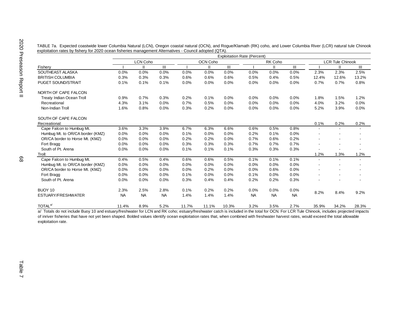|  |                                                                                                         |  | TABLE 7a. Expected coastwide lower Columbia Natural (LCN), Oregon coastal natural (OCN), and Rogue/Klamath (RK) coho, and Lower Columbia River (LCR) natural tule Chinook |  |  |  |
|--|---------------------------------------------------------------------------------------------------------|--|---------------------------------------------------------------------------------------------------------------------------------------------------------------------------|--|--|--|
|  | exploitation rates by fishery for 2020 ocean fisheries management Alternatives - Council adopted (QTA). |  |                                                                                                                                                                           |  |  |  |

|                                  | <b>Exploitation Rate (Percent)</b> |                 |           |       |          |       |           |           |                |       |                         |                |  |  |
|----------------------------------|------------------------------------|-----------------|-----------|-------|----------|-------|-----------|-----------|----------------|-------|-------------------------|----------------|--|--|
|                                  |                                    | <b>LCN Coho</b> |           |       | OCN Coho |       |           | RK Coho   |                |       | <b>LCR Tule Chinook</b> |                |  |  |
| Fishery                          |                                    | Ш               | III       |       | Ш        | Ш     |           | Ш         | $\mathbf{III}$ |       | $\mathbf{H}$            | $\mathbf{III}$ |  |  |
| SOUTHEAST ALASKA                 | 0.0%                               | 0.0%            | 0.0%      | 0.0%  | 0.0%     | 0.0%  | 0.0%      | 0.0%      | 0.0%           | 2.3%  | 2.3%                    | 2.5%           |  |  |
| <b>BRITISH COLUMBIA</b>          | 0.3%                               | 0.3%            | 0.3%      | 0.6%  | 0.6%     | 0.6%  | 0.5%      | 0.4%      | 0.5%           | 12.4% | 12.6%                   | 13.2%          |  |  |
| <b>PUGET SOUND/STRAIT</b>        | 0.1%                               | 0.1%            | 0.1%      | 0.0%  | 0.0%     | 0.0%  | 0.0%      | 0.0%      | 0.0%           | 0.7%  | 0.7%                    | 0.8%           |  |  |
| NORTH OF CAPE FALCON             |                                    |                 |           |       |          |       |           |           |                |       |                         |                |  |  |
| <b>Treaty Indian Ocean Troll</b> | 0.9%                               | 0.7%            | 0.3%      | 0.2%  | 0.1%     | 0.0%  | 0.0%      | 0.0%      | 0.0%           | 1.8%  | 1.5%                    | 1.2%           |  |  |
| Recreational                     | 4.3%                               | 3.1%            | 0.0%      | 0.7%  | 0.5%     | 0.0%  | 0.0%      | 0.0%      | 0.0%           | 4.0%  | 3.2%                    | 0.0%           |  |  |
| Non-Indian Troll                 | 1.6%                               | 0.8%            | 0.0%      | 0.3%  | 0.2%     | 0.0%  | 0.0%      | 0.0%      | 0.0%           | 5.2%  | 3.9%                    | 0.0%           |  |  |
| SOUTH OF CAPE FALCON             |                                    |                 |           |       |          |       |           |           |                |       |                         |                |  |  |
| Recreational:                    |                                    |                 |           |       |          |       |           |           |                | 0.1%  | 0.2%                    | 0.2%           |  |  |
| Cape Falcon to Humbug Mt.        | 3.6%                               | 3.3%            | 3.9%      | 6.7%  | 6.3%     | 6.6%  | 0.6%      | 0.5%      | 0.8%           |       |                         |                |  |  |
| Humbug Mt. to OR/CA border (KMZ) | 0.0%                               | 0.0%            | 0.0%      | 0.1%  | 0.0%     | 0.0%  | 0.2%      | 0.1%      | 0.0%           |       |                         |                |  |  |
| OR/CA border to Horse Mt. (KMZ)  | 0.0%                               | 0.0%            | 0.0%      | 0.2%  | 0.2%     | 0.0%  | 0.7%      | 0.6%      | 0.2%           |       |                         |                |  |  |
| Fort Bragg                       | 0.0%                               | 0.0%            | 0.0%      | 0.3%  | 0.3%     | 0.3%  | 0.7%      | 0.7%      | 0.7%           |       |                         |                |  |  |
| South of Pt. Arena               | 0.0%                               | 0.0%            | 0.0%      | 0.1%  | 0.1%     | 0.1%  | 0.3%      | 0.3%      | 0.3%           |       |                         |                |  |  |
| Troll:                           |                                    |                 |           |       |          |       |           |           |                | 1.2%  | 1.3%                    | 1.2%           |  |  |
| Cape Falcon to Humbug Mt.        | 0.4%                               | 0.5%            | 0.4%      | 0.6%  | 0.6%     | 0.5%  | 0.1%      | 0.1%      | 0.1%           |       |                         |                |  |  |
| Humbug Mt. to OR/CA border (KMZ) | 0.0%                               | 0.0%            | 0.0%      | 0.0%  | 0.0%     | 0.0%  | 0.0%      | 0.0%      | 0.0%           |       |                         |                |  |  |
| OR/CA border to Horse Mt. (KMZ)  | 0.0%                               | 0.0%            | 0.0%      | 0.0%  | 0.2%     | 0.0%  | 0.0%      | 0.6%      | 0.0%           |       |                         |                |  |  |
| Fort Bragg                       | 0.0%                               | 0.0%            | 0.0%      | 0.1%  | 0.0%     | 0.0%  | 0.1%      | 0.0%      | 0.0%           |       |                         |                |  |  |
| South of Pt. Arena               | 0.0%                               | 0.0%            | 0.0%      | 0.3%  | 0.4%     | 0.4%  | 0.2%      | 0.2%      | 0.3%           |       |                         |                |  |  |
| BUOY 10                          | 2.3%                               | 2.5%            | 2.8%      | 0.1%  | 0.2%     | 0.2%  | 0.0%      | 0.0%      | 0.0%           | 8.2%  | 8.4%                    | 9.2%           |  |  |
| ESTUARY/FRESHWATER               | <b>NA</b>                          | <b>NA</b>       | <b>NA</b> | 1.4%  | 1.4%     | 1.4%  | <b>NA</b> | <b>NA</b> | <b>NA</b>      |       |                         |                |  |  |
| TOTAL <sup>a/</sup>              | 11.4%                              | 8.9%            | 5.2%      | 11.7% | 11.1%    | 10.3% | 3.2%      | 3.5%      | 2.7%           | 35.9% | 34.2%                   | 28.3%          |  |  |

a/ Totals do not include Buoy 10 and estuary/freshwater for LCN and RK coho; estuary/freshwater catch is included in the total for OCN. For LCR Tule Chinook, includes projected impacts of inriver fisheries that have not yet been shaped. Bolded values identify ocean exploitation rates that, when combined with freshwater harvest rates, would exceed the total allowable exploitation rate.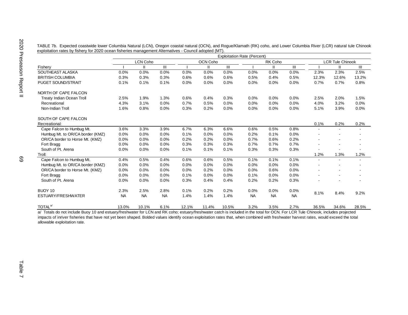| TABLE 7b. Expected coastwide lower Columbia Natural (LCN), Oregon coastal natural (OCN), and Rogue/Klamath (RK) coho, and Lower Columbia River (LCR) natural tule Chinook |  |  |  |
|---------------------------------------------------------------------------------------------------------------------------------------------------------------------------|--|--|--|
| exploitation rates by fishery for 2020 ocean fisheries management Alternatives - Council adopted (MT).                                                                    |  |  |  |

|                                  | <b>Exploitation Rate (Percent)</b> |           |           |       |          |       |           |           |           |                |                          |                          |  |  |
|----------------------------------|------------------------------------|-----------|-----------|-------|----------|-------|-----------|-----------|-----------|----------------|--------------------------|--------------------------|--|--|
|                                  |                                    | LCN Coho  |           |       | OCN Coho |       |           | RK Coho   |           |                | <b>LCR Tule Chinook</b>  |                          |  |  |
| Fishery                          |                                    | Ш         | III       |       | Ш        | III   |           | Ш         | III       |                | Ш                        | III                      |  |  |
| SOUTHEAST ALASKA                 | 0.0%                               | 0.0%      | 0.0%      | 0.0%  | 0.0%     | 0.0%  | 0.0%      | 0.0%      | 0.0%      | 2.3%           | 2.3%                     | 2.5%                     |  |  |
| <b>BRITISH COLUMBIA</b>          | 0.3%                               | 0.3%      | 0.3%      | 0.6%  | 0.6%     | 0.6%  | 0.5%      | 0.4%      | 0.5%      | 12.3%          | 12.6%                    | 13.2%                    |  |  |
| <b>PUGET SOUND/STRAIT</b>        | 0.1%                               | 0.1%      | 0.1%      | 0.0%  | 0.0%     | 0.0%  | 0.0%      | 0.0%      | 0.0%      | 0.7%           | 0.7%                     | 0.8%                     |  |  |
| NORTH OF CAPE FALCON             |                                    |           |           |       |          |       |           |           |           |                |                          |                          |  |  |
| <b>Treaty Indian Ocean Troll</b> | 2.5%                               | 1.9%      | 1.3%      | 0.6%  | 0.4%     | 0.3%  | 0.0%      | 0.0%      | 0.0%      | 2.5%           | 2.0%                     | 1.5%                     |  |  |
| Recreational                     | 4.3%                               | 3.1%      | 0.0%      | 0.7%  | 0.5%     | 0.0%  | 0.0%      | 0.0%      | 0.0%      | 4.0%           | 3.2%                     | 0.0%                     |  |  |
| Non-Indian Troll                 | 1.6%                               | 0.8%      | 0.0%      | 0.3%  | 0.2%     | 0.0%  | 0.0%      | 0.0%      | 0.0%      | 5.1%           | 3.9%                     | 0.0%                     |  |  |
| SOUTH OF CAPE FALCON             |                                    |           |           |       |          |       |           |           |           |                |                          |                          |  |  |
| Recreational:                    |                                    |           |           |       |          |       |           |           |           | 0.1%           | 0.2%                     | 0.2%                     |  |  |
| Cape Falcon to Humbug Mt.        | 3.6%                               | 3.3%      | 3.9%      | 6.7%  | 6.3%     | 6.6%  | 0.6%      | 0.5%      | 0.8%      |                | $\blacksquare$           | $\overline{\phantom{a}}$ |  |  |
| Humbug Mt. to OR/CA border (KMZ) | 0.0%                               | 0.0%      | 0.0%      | 0.1%  | 0.0%     | 0.0%  | 0.2%      | 0.1%      | 0.0%      |                | $\overline{\phantom{a}}$ | $\overline{\phantom{a}}$ |  |  |
| OR/CA border to Horse Mt. (KMZ)  | 0.0%                               | 0.0%      | 0.0%      | 0.2%  | 0.2%     | 0.0%  | 0.7%      | 0.6%      | 0.2%      |                |                          |                          |  |  |
| Fort Bragg                       | 0.0%                               | 0.0%      | 0.0%      | 0.3%  | 0.3%     | 0.3%  | 0.7%      | 0.7%      | 0.7%      |                |                          |                          |  |  |
| South of Pt. Arena               | 0.0%                               | 0.0%      | 0.0%      | 0.1%  | 0.1%     | 0.1%  | 0.3%      | 0.3%      | 0.3%      |                |                          |                          |  |  |
| Troll:                           |                                    |           |           |       |          |       |           |           |           | 1.2%           | 1.3%                     | 1.2%                     |  |  |
| Cape Falcon to Humbug Mt.        | 0.4%                               | 0.5%      | 0.4%      | 0.6%  | 0.6%     | 0.5%  | 0.1%      | 0.1%      | 0.1%      | $\blacksquare$ | $\overline{\phantom{a}}$ | $\overline{\phantom{a}}$ |  |  |
| Humbug Mt. to OR/CA border (KMZ) | 0.0%                               | 0.0%      | 0.0%      | 0.0%  | 0.0%     | 0.0%  | 0.0%      | 0.0%      | 0.0%      |                |                          |                          |  |  |
| OR/CA border to Horse Mt. (KMZ)  | 0.0%                               | 0.0%      | 0.0%      | 0.0%  | 0.2%     | 0.0%  | 0.0%      | 0.6%      | 0.0%      |                |                          |                          |  |  |
| Fort Bragg                       | 0.0%                               | 0.0%      | 0.0%      | 0.1%  | 0.0%     | 0.0%  | 0.1%      | 0.0%      | 0.0%      |                | $\overline{\phantom{a}}$ |                          |  |  |
| South of Pt. Arena               | 0.0%                               | 0.0%      | 0.0%      | 0.3%  | 0.4%     | 0.4%  | 0.2%      | 0.2%      | 0.3%      |                | ٠                        |                          |  |  |
| BUOY 10                          | 2.3%                               | 2.5%      | 2.8%      | 0.1%  | 0.2%     | 0.2%  | 0.0%      | 0.0%      | 0.0%      | 8.1%           | 8.4%                     | 9.2%                     |  |  |
| ESTUARY/FRESHWATER               | <b>NA</b>                          | <b>NA</b> | <b>NA</b> | 1.4%  | 1.4%     | 1.4%  | <b>NA</b> | <b>NA</b> | <b>NA</b> |                |                          |                          |  |  |
| TOTAL <sup>a/</sup>              | 13.0%                              | 10.1%     | 6.1%      | 12.1% | 11.4%    | 10.5% | 3.2%      | 3.5%      | 2.7%      | 36.5%          | 34.6%                    | 28.5%                    |  |  |

a/ Totals do not include Buoy 10 and estuary/freshwater for LCN and RK coho; estuary/freshwater catch is included in the total for OCN. For LCR Tule Chinook, includes projected impacts of inriver fisheries that have not yet been shaped. Bolded values identify ocean exploitation rates that, when combined with freshwater harvest rates, would exceed the total allowable exploitation rate.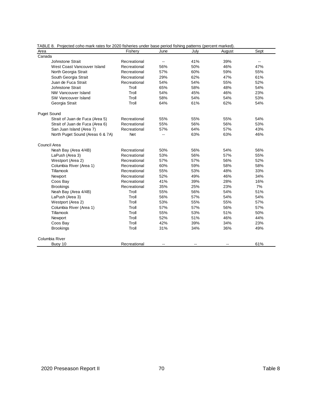| TABLE 6. Projected cono mark rates for 2020 itsheries under base period itshing patterns (percent marked).<br>Area | Fishery      | June                     | July | August | Sept                     |
|--------------------------------------------------------------------------------------------------------------------|--------------|--------------------------|------|--------|--------------------------|
| Canada                                                                                                             |              |                          |      |        |                          |
| Johnstone Strait                                                                                                   | Recreational | $\overline{\phantom{a}}$ | 41%  | 39%    | $\overline{\phantom{a}}$ |
| West Coast Vancouver Island                                                                                        | Recreational | 56%                      | 50%  | 46%    | 47%                      |
| North Georgia Strait                                                                                               | Recreational | 57%                      | 60%  | 59%    | 55%                      |
| South Georgia Strait                                                                                               | Recreational | 29%                      | 62%  | 47%    | 61%                      |
| Juan de Fuca Strait                                                                                                | Recreational | 54%                      | 54%  | 55%    | 52%                      |
| Johnstone Strait                                                                                                   | Troll        | 65%                      | 58%  | 48%    | 54%                      |
| <b>NW Vancouver Island</b>                                                                                         | Troll        | 54%                      | 45%  | 46%    | 23%                      |
| SW Vancouver Island                                                                                                | Troll        | 58%                      | 54%  | 54%    | 53%                      |
| Georgia Strait                                                                                                     | Troll        | 64%                      | 61%  | 62%    | 54%                      |
| <b>Puget Sound</b>                                                                                                 |              |                          |      |        |                          |
| Strait of Juan de Fuca (Area 5)                                                                                    | Recreational | 55%                      | 55%  | 55%    | 54%                      |
| Strait of Juan de Fuca (Area 6)                                                                                    | Recreational | 55%                      | 56%  | 56%    | 53%                      |
| San Juan Island (Area 7)                                                                                           | Recreational | 57%                      | 64%  | 57%    | 43%                      |
| North Puget Sound (Areas 6 & 7A)                                                                                   | <b>Net</b>   | $\overline{a}$           | 63%  | 63%    | 46%                      |
| Council Area                                                                                                       |              |                          |      |        |                          |
| Neah Bay (Area 4/4B)                                                                                               | Recreational | 50%                      | 56%  | 54%    | 56%                      |
| LaPush (Area 3)                                                                                                    | Recreational | 53%                      | 56%  | 57%    | 55%                      |
| Westport (Area 2)                                                                                                  | Recreational | 57%                      | 57%  | 56%    | 52%                      |
| Columbia River (Area 1)                                                                                            | Recreational | 60%                      | 59%  | 58%    | 58%                      |
| Tillamook                                                                                                          | Recreational | 55%                      | 53%  | 48%    | 33%                      |
| Newport                                                                                                            | Recreational | 52%                      | 49%  | 46%    | 34%                      |
| Coos Bay                                                                                                           | Recreational | 41%                      | 39%  | 28%    | 16%                      |
| <b>Brookings</b>                                                                                                   | Recreational | 35%                      | 25%  | 23%    | 7%                       |
| Neah Bay (Area 4/4B)                                                                                               | Troll        | 55%                      | 56%  | 54%    | 51%                      |
| LaPush (Area 3)                                                                                                    | Troll        | 56%                      | 57%  | 54%    | 54%                      |
| Westport (Area 2)                                                                                                  | Troll        | 53%                      | 55%  | 55%    | 57%                      |
| Columbia River (Area 1)                                                                                            | Troll        | 57%                      | 57%  | 56%    | 57%                      |
| Tillamook                                                                                                          | Troll        | 55%                      | 53%  | 51%    | 50%                      |
| Newport                                                                                                            | Troll        | 52%                      | 51%  | 46%    | 44%                      |
| Coos Bay                                                                                                           | Troll        | 42%                      | 39%  | 34%    | 23%                      |
| <b>Brookings</b>                                                                                                   | Troll        | 31%                      | 34%  | 36%    | 49%                      |
| Columbia River                                                                                                     |              |                          |      |        |                          |
| Buoy 10                                                                                                            | Recreational |                          |      |        | 61%                      |

TABLE 8. Projected coho mark rates for 2020 fisheries under base period fishing patterns (percent marked).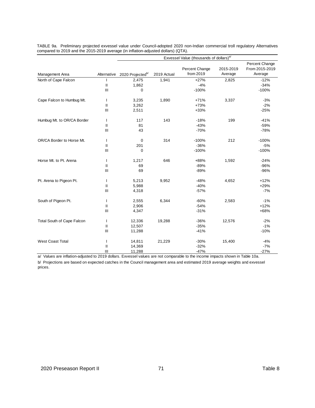|                            | Exvessel Value (thousands of dollars) <sup>a/</sup> |                              |             |                |           |                |
|----------------------------|-----------------------------------------------------|------------------------------|-------------|----------------|-----------|----------------|
|                            |                                                     |                              |             |                |           | Percent Change |
|                            |                                                     |                              |             | Percent Change | 2015-2019 | From 2015-2019 |
| Management Area            | Alternative                                         | 2020 Projected <sup>b/</sup> | 2019 Actual | from 2019      | Average   | Average        |
| North of Cape Falcon       |                                                     | 2,475                        | 1,941       | $+27%$         | 2,825     | $-12%$         |
|                            | $\mathsf{I}\mathsf{I}$                              | 1,862                        |             | $-4%$          |           | $-34%$         |
|                            | Ш                                                   | 0                            |             | $-100%$        |           | $-100%$        |
| Cape Falcon to Humbug Mt.  | $\mathbf{I}$                                        | 3,235                        | 1,890       | $+71%$         | 3,337     | $-3%$          |
|                            | $\mathsf{I}$                                        | 3,262                        |             | $+73%$         |           | $-2%$          |
|                            | III                                                 | 2,511                        |             | +33%           |           | $-25%$         |
| Humbug Mt. to OR/CA Border | $\mathbf{I}$                                        | 117                          | 143         | $-18%$         | 199       | $-41%$         |
|                            | $\mathsf{I}$                                        | 81                           |             | $-43%$         |           | $-59%$         |
|                            | III                                                 | 43                           |             | $-70%$         |           | $-78%$         |
| OR/CA Border to Horse Mt.  | $\mathbf{I}$                                        | 0                            | 314         | $-100%$        | 212       | $-100%$        |
|                            | $\mathbf{II}$                                       | 201                          |             | $-36%$         |           | $-5%$          |
|                            | III                                                 | 0                            |             | $-100%$        |           | $-100%$        |
| Horse Mt. to Pt. Arena     | $\mathbf{I}$                                        | 1,217                        | 646         | +88%           | 1,592     | $-24%$         |
|                            | $\mathbf{II}$                                       | 69                           |             | $-89%$         |           | $-96%$         |
|                            | Ш                                                   | 69                           |             | $-89%$         |           | $-96%$         |
| Pt. Arena to Pigeon Pt.    | $\mathbf{I}$                                        | 5,213                        | 9,952       | $-48%$         | 4,652     | $+12%$         |
|                            | $\mathbf{II}$                                       | 5,988                        |             | $-40%$         |           | $+29%$         |
|                            | III                                                 | 4,318                        |             | $-57%$         |           | $-7%$          |
| South of Pigeon Pt.        |                                                     | 2,555                        | 6,344       | $-60%$         | 2,583     | $-1%$          |
|                            | $\mathbf{II}$                                       | 2,906                        |             | $-54%$         |           | $+12%$         |
|                            | III                                                 | 4,347                        |             | $-31%$         |           | +68%           |
| Total South of Cape Falcon | $\mathbf{I}$                                        | 12,336                       | 19,288      | $-36%$         | 12,576    | $-2%$          |
|                            | Ш                                                   | 12,507                       |             | $-35%$         |           | $-1%$          |
|                            | III                                                 | 11,288                       |             | $-41%$         |           | $-10%$         |
| <b>West Coast Total</b>    | <sup>1</sup>                                        | 14,811                       | 21,229      | $-30%$         | 15,400    | $-4%$          |
|                            | $\mathbf{I}$                                        | 14,369                       |             | $-32%$         |           | $-7%$          |
|                            | Ш                                                   | 11,288                       |             | $-47%$         |           | $-27%$         |

TABLE 9a. Preliminary projected exvessel value under Council-adopted 2020 non-Indian commercial troll regulatory Alternatives compared to 2019 and the 2015-2019 average (in inflation-adjusted dollars) (QTA).

a/ Values are inflation-adjusted to 2019 dollars. Exvessel values are not comparable to the income impacts shown in Table 10a.

b/ Projections are based on expected catches in the Council management area and estimated 2019 average weights and exvessel prices.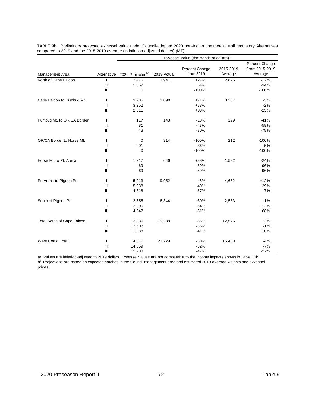|                            |               |                              |             | Exvessel Value (thousands of dollars) <sup>a/</sup> |                      |                           |
|----------------------------|---------------|------------------------------|-------------|-----------------------------------------------------|----------------------|---------------------------|
|                            |               |                              |             |                                                     |                      | Percent Change            |
| Management Area            | Alternative   | 2020 Projected <sup>b/</sup> | 2019 Actual | Percent Change<br>from 2019                         | 2015-2019<br>Average | From 2015-2019<br>Average |
|                            |               |                              |             |                                                     |                      |                           |
| North of Cape Falcon       | $\mathbf{I}$  | 2,475                        | 1,941       | $+27%$<br>$-4%$                                     | 2,825                | $-12%$<br>$-34%$          |
|                            | III           | 1,862                        |             | $-100%$                                             |                      | $-100%$                   |
|                            |               | 0                            |             |                                                     |                      |                           |
| Cape Falcon to Humbug Mt.  | $\mathbf{I}$  | 3,235                        | 1,890       | $+71%$                                              | 3,337                | $-3%$                     |
|                            | $\mathbf{II}$ | 3,262                        |             | +73%                                                |                      | $-2%$                     |
|                            | III           | 2,511                        |             | $+33%$                                              |                      | $-25%$                    |
| Humbug Mt. to OR/CA Border | $\mathbf{I}$  | 117                          | 143         | $-18%$                                              | 199                  | $-41%$                    |
|                            | $\mathbf{II}$ | 81                           |             | $-43%$                                              |                      | $-59%$                    |
|                            | Ш             | 43                           |             | $-70%$                                              |                      | $-78%$                    |
| OR/CA Border to Horse Mt.  | $\mathbf{I}$  | 0                            | 314         | $-100%$                                             | 212                  | $-100%$                   |
|                            | $\mathbf{II}$ | 201                          |             | $-36%$                                              |                      | $-5%$                     |
|                            | III           | 0                            |             | $-100%$                                             |                      | $-100%$                   |
|                            |               |                              |             |                                                     |                      |                           |
| Horse Mt. to Pt. Arena     | $\mathbf{I}$  | 1,217                        | 646         | +88%                                                | 1,592                | $-24%$                    |
|                            | $\mathbf{II}$ | 69                           |             | $-89%$                                              |                      | $-96%$                    |
|                            | III           | 69                           |             | $-89%$                                              |                      | $-96%$                    |
| Pt. Arena to Pigeon Pt.    | $\mathbf{I}$  | 5,213                        | 9,952       | $-48%$                                              | 4,652                | $+12%$                    |
|                            | $\mathbf{II}$ | 5,988                        |             | $-40%$                                              |                      | $+29%$                    |
|                            | III           | 4,318                        |             | $-57%$                                              |                      | $-7%$                     |
| South of Pigeon Pt.        |               | 2,555                        | 6,344       | $-60%$                                              | 2,583                | $-1%$                     |
|                            | $\mathsf{I}$  | 2,906                        |             | $-54%$                                              |                      | $+12%$                    |
|                            | III           | 4,347                        |             | $-31%$                                              |                      | +68%                      |
| Total South of Cape Falcon | $\mathbf{I}$  | 12,336                       | 19,288      | $-36%$                                              | 12,576               | $-2%$                     |
|                            | $\mathsf{I}$  | 12,507                       |             | $-35%$                                              |                      | $-1%$                     |
|                            | III           | 11,288                       |             | $-41%$                                              |                      | $-10%$                    |
| <b>West Coast Total</b>    | $\mathbf{I}$  | 14,811                       | 21,229      | $-30%$                                              | 15,400               | $-4%$                     |
|                            | $\mathbf{I}$  | 14,369                       |             | $-32%$                                              |                      | $-7%$                     |
|                            | III           | 11,288                       |             | $-47%$                                              |                      | $-27%$                    |
|                            |               |                              |             |                                                     |                      |                           |

TABLE 9b. Preliminary projected exvessel value under Council-adopted 2020 non-Indian commercial troll regulatory Alternatives compared to 2019 and the 2015-2019 average (in inflation-adjusted dollars) (MT).

a/ Values are inflation-adjusted to 2019 dollars. Exvessel values are not comparable to the income impacts shown in Table 10b. b/ Projections are based on expected catches in the Council management area and estimated 2019 average weights and exvessel prices.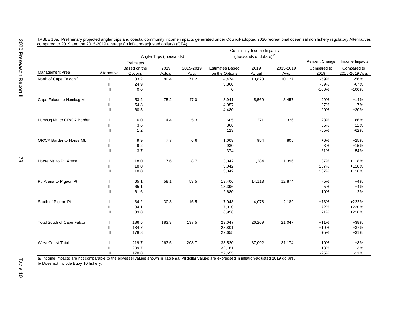|                            |                                    |                         |                          |                   |                                          | Community Income Impacts             |                   |                     |                                  |
|----------------------------|------------------------------------|-------------------------|--------------------------|-------------------|------------------------------------------|--------------------------------------|-------------------|---------------------|----------------------------------|
|                            |                                    |                         | Angler Trips (thousands) |                   |                                          | (thousands of dollars) <sup>a/</sup> |                   |                     |                                  |
|                            |                                    | <b>Estimates</b>        |                          |                   |                                          |                                      |                   |                     | Percent Change in Income Impacts |
| Management Area            | Alternative                        | Based on the<br>Options | 2019<br>Actual           | 2015-2019<br>Avg. | <b>Estimates Based</b><br>on the Options | 2019<br>Actual                       | 2015-2019<br>Avg. | Compared to<br>2019 | Compared to<br>2015-2019 Avg.    |
| North of Cape Falconb/     |                                    | 33.2                    | 80.4                     | 71.2              | 4,474                                    | 10,823                               | 10,127            | $-59%$              | $-56%$                           |
|                            | $\sf II$                           | 24.9                    |                          |                   | 3,360                                    |                                      |                   | $-69%$              | $-67%$                           |
|                            | $\ensuremath{\mathsf{III}}\xspace$ | 0.0                     |                          |                   | 0                                        |                                      |                   | $-100%$             | $-100%$                          |
| Cape Falcon to Humbug Mt.  |                                    | 53.2                    | 75.2                     | 47.0              | 3,941                                    | 5,569                                | 3,457             | $-29%$              | $+14%$                           |
|                            | $\sf II$                           | 54.8                    |                          |                   | 4,057                                    |                                      |                   | $-27%$              | $+17%$                           |
|                            | $\ensuremath{\mathsf{III}}\xspace$ | 60.5                    |                          |                   | 4,480                                    |                                      |                   | $-20%$              | +30%                             |
| Humbug Mt. to OR/CA Border | $\mathbf{I}$                       | 6.0                     | 4.4                      | 5.3               | 605                                      | 271                                  | 326               | $+123%$             | +86%                             |
|                            | $\mathbf{I}$                       | 3.6                     |                          |                   | 366                                      |                                      |                   | $+35%$              | $+12%$                           |
|                            | $\ensuremath{\mathsf{III}}\xspace$ | 1.2                     |                          |                   | 123                                      |                                      |                   | $-55%$              | $-62%$                           |
| OR/CA Border to Horse Mt.  | $\mathbf{I}$                       | 9.9                     | 7.7                      | 6.6               | 1,009                                    | 954                                  | 805               | $+6%$               | $+25%$                           |
|                            | $\mathbf{I}$                       | 9.2                     |                          |                   | 930                                      |                                      |                   | $-3%$               | $+15%$                           |
|                            | $\ensuremath{\mathsf{III}}\xspace$ | 3.7                     |                          |                   | 374                                      |                                      |                   | $-61%$              | $-54%$                           |
| Horse Mt. to Pt. Arena     |                                    | 18.0                    | 7.6                      | 8.7               | 3,042                                    | 1,284                                | 1,396             | $+137%$             | $+118%$                          |
|                            | $\sf II$                           | 18.0                    |                          |                   | 3,042                                    |                                      |                   | +137%               | +118%                            |
|                            | $\ensuremath{\mathsf{III}}\xspace$ | 18.0                    |                          |                   | 3,042                                    |                                      |                   | +137%               | +118%                            |
| Pt. Arena to Pigeon Pt.    | $\mathbf{I}$                       | 65.1                    | 58.1                     | 53.5              | 13,406                                   | 14,113                               | 12,874            | $-5%$               | $+4%$                            |
|                            | $\mathbf{II}$                      | 65.1                    |                          |                   | 13,396                                   |                                      |                   | $-5%$               | $+4%$                            |
|                            | $\ensuremath{\mathsf{III}}\xspace$ | 61.6                    |                          |                   | 12,680                                   |                                      |                   | $-10%$              | $-2%$                            |
| South of Pigeon Pt.        | $\mathbf{I}$                       | 34.2                    | 30.3                     | 16.5              | 7,043                                    | 4,078                                | 2,189             | $+73%$              | $+222%$                          |
|                            | $\mathbf{I}$                       | 34.1                    |                          |                   | 7,010                                    |                                      |                   | $+72%$              | +220%                            |
|                            | Ш                                  | 33.8                    |                          |                   | 6,956                                    |                                      |                   | $+71%$              | +218%                            |
| Total South of Cape Falcon | $\mathbf{I}$                       | 186.5                   | 183.3                    | 137.5             | 29,047                                   | 26,269                               | 21,047            | $+11%$              | +38%                             |
|                            | Ш                                  | 184.7                   |                          |                   | 28,801                                   |                                      |                   | $+10%$              | $+37%$                           |
|                            | Ш                                  | 178.8                   |                          |                   | 27,655                                   |                                      |                   | $+5%$               | $+31%$                           |
| <b>West Coast Total</b>    | $\mathbf{I}$                       | 219.7                   | 263.6                    | 208.7             | 33,520                                   | 37,092                               | 31,174            | $-10%$              | $+8%$                            |
|                            | Ш                                  | 209.7                   |                          |                   | 32,161                                   |                                      |                   | $-13%$              | $+3%$                            |
|                            | Ш                                  | 178.8                   |                          |                   | 27,655                                   |                                      |                   | $-25%$              | $-11%$                           |

TABLE 10a. Preliminary projected angler trips and coastal community income impacts generated under Council-adopted 2020 recreational ocean salmon fishery regulatory Alternatives compared to 2019 and the 2015-2019 average (in inflation-adjusted dollars) (QTA)**.**

a/ Income impacts are not comparable to the exvessel values shown in Table 9a. All dollar values are expressed in inflation-adjusted 2019 dollars.

b/ Does not include Buoy 10 fishery.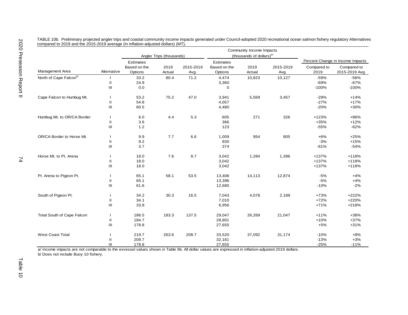|                            |                          |                         |                          |                   |                         | Community Income Impacts             |                   |                     |                                  |
|----------------------------|--------------------------|-------------------------|--------------------------|-------------------|-------------------------|--------------------------------------|-------------------|---------------------|----------------------------------|
|                            |                          |                         | Angler Trips (thousands) |                   |                         | (thousands of dollars) <sup>a/</sup> |                   |                     |                                  |
|                            |                          | <b>Estimates</b>        |                          |                   | <b>Estimates</b>        |                                      |                   |                     | Percent Change in Income Impacts |
| Management Area            | Alternative              | Based on the<br>Options | 2019<br>Actual           | 2015-2019<br>Avg. | Based on the<br>Options | 2019<br>Actual                       | 2015-2019<br>Avg. | Compared to<br>2019 | Compared to<br>2015-2019 Avg.    |
| North of Cape Falconb/     |                          | 33.2                    | 80.4                     | 71.2              | 4,474                   | 10,823                               | 10,127            | $-59%$              | $-56%$                           |
|                            | $\mathbf{H}$             | 24.9                    |                          |                   | 3,360                   |                                      |                   | $-69%$              | $-67%$                           |
|                            | Ш                        | 0.0                     |                          |                   | $\mathbf 0$             |                                      |                   | $-100%$             | $-100%$                          |
| Cape Falcon to Humbug Mt.  |                          | 53.2                    | 75.2                     | 47.0              | 3,941                   | 5,569                                | 3,457             | $-29%$              | $+14%$                           |
|                            | Ш                        | 54.8                    |                          |                   | 4,057                   |                                      |                   | $-27%$              | $+17%$                           |
|                            | Ш                        | 60.5                    |                          |                   | 4,480                   |                                      |                   | $-20%$              | +30%                             |
| Humbug Mt. to OR/CA Border | $\overline{\phantom{a}}$ | 6.0                     | 4.4                      | 5.3               | 605                     | 271                                  | 326               | $+123%$             | +86%                             |
|                            | $\mathbf{H}$             | 3.6                     |                          |                   | 366                     |                                      |                   | $+35%$              | $+12%$                           |
|                            | Ш                        | $1.2$                   |                          |                   | 123                     |                                      |                   | $-55%$              | $-62%$                           |
| OR/CA Border to Horse Mt.  | $\mathbf{I}$             | 9.9                     | 7.7                      | 6.6               | 1,009                   | 954                                  | 805               | $+6%$               | $+25%$                           |
|                            | $\mathbf{H}$             | 9.2                     |                          |                   | 930                     |                                      |                   | $-3%$               | $+15%$                           |
|                            | Ш                        | 3.7                     |                          |                   | 374                     |                                      |                   | $-61%$              | $-54%$                           |
| Horse Mt. to Pt. Arena     |                          | 18.0                    | 7.6                      | 8.7               | 3,042                   | 1,284                                | 1,396             | +137%               | +118%                            |
|                            | Ш                        | 18.0                    |                          |                   | 3,042                   |                                      |                   | +137%               | $+118%$                          |
|                            | Ш                        | 18.0                    |                          |                   | 3,042                   |                                      |                   | +137%               | $+118%$                          |
| Pt. Arena to Pigeon Pt.    | $\mathbf{I}$             | 65.1                    | 58.1                     | 53.5              | 13,406                  | 14,113                               | 12,874            | $-5%$               | $+4%$                            |
|                            | $\mathbf{H}$             | 65.1                    |                          |                   | 13,396                  |                                      |                   | $-5%$               | $+4%$                            |
|                            | Ш                        | 61.6                    |                          |                   | 12,680                  |                                      |                   | $-10%$              | $-2%$                            |
| South of Pigeon Pt.        |                          | 34.2                    | 30.3                     | 16.5              | 7,043                   | 4,078                                | 2,189             | $+73%$              | +222%                            |
|                            | Ш                        | 34.1                    |                          |                   | 7,010                   |                                      |                   | $+72%$              | +220%                            |
|                            | III                      | 33.8                    |                          |                   | 6,956                   |                                      |                   | $+71%$              | +218%                            |
| Total South of Cape Falcon |                          | 186.5                   | 183.3                    | 137.5             | 29,047                  | 26,269                               | 21,047            | $+11%$              | +38%                             |
|                            | $\mathbf{H}$             | 184.7                   |                          |                   | 28,801                  |                                      |                   | $+10%$              | +37%                             |
|                            | Ш                        | 178.8                   |                          |                   | 27,655                  |                                      |                   | $+5%$               | $+31%$                           |
| <b>West Coast Total</b>    |                          | 219.7                   | 263.6                    | 208.7             | 33,520                  | 37,092                               | 31,174            | $-10%$              | $+8%$                            |
|                            | Ш                        | 209.7                   |                          |                   | 32,161                  |                                      |                   | $-13%$              | $+3%$                            |
|                            | Ш                        | 178.8                   |                          |                   | 27,655                  |                                      |                   | $-25%$              | $-11%$                           |

TABLE 10b. Preliminary projected angler trips and coastal community income impacts generated under Council-adopted 2020 recreational ocean salmon fishery regulatory Alternatives compared to 2019 and the 2015-2019 average (in inflation-adjusted dollars) (MT)**.**

a/ Income impacts are not comparable to the exvessel values shown in Table 9b. All dollar values are expressed in inflation-adjusted 2019 dollars.

b/ Does not include Buoy 10 fishery.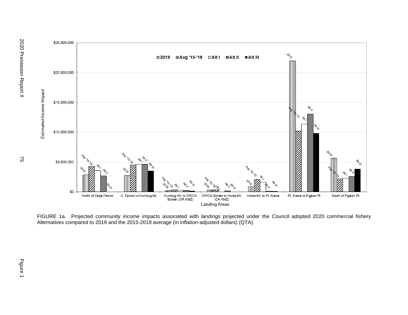



FIGURE 1a. Projected community income impacts associated with landings projected under the Council adopted 2020 commercial fishery Alternatives compared to 2019 and the 2015-2019 average (in inflation-adjusted dollars) (QTA).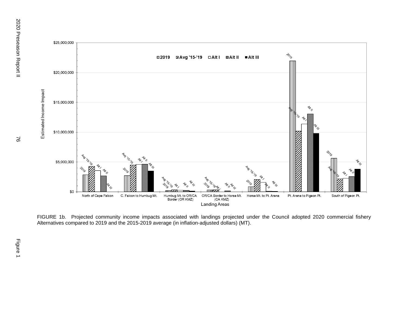

FIGURE 1b. Projected community income impacts associated with landings projected under the Council adopted 2020 commercial fishery Alternatives compared to 2019 and the 2015-2019 average (in inflation-adjusted dollars) (MT).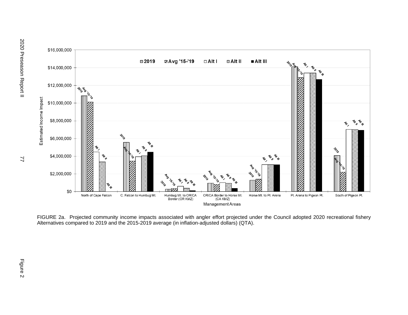

FIGURE 2a. Projected community income impacts associated with angler effort projected under the Council adopted 2020 recreational fishery Alternatives compared to 2019 and the 2015-2019 average (in inflation-adjusted dollars) (QTA).

77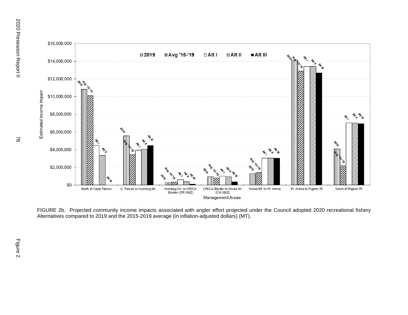

FIGURE 2b. Projected community income impacts associated with angler effort projected under the Council adopted 2020 recreational fishery Alternatives compared to 2019 and the 2015-2019 average (in inflation-adjusted dollars) (MT).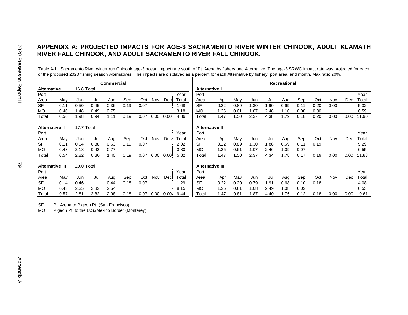# **APPENDIX A: PROJECTED IMPACTS FOR AGE-3 SACRAMENTO RIVER WINTER CHINOOK, ADULT KLAMATH RIVER FALL CHINOOK, AND ADULT SACRAMENTO RIVER FALL CHINOOK.**

Table A-1. Sacramento River winter run Chinook age-3 ocean impact rate south of Pt. Arena by fishery and Alternative. The age-3 SRWC impact rate was projected for each of the proposed 2020 fishing season Alternatives. The impacts are displayed as a percent for each Alternative by fishery, port area, and month. Max rate: 20%.

|                        | Commercial |            |      |      |      |      |            |      |       |                        |      |      |      | <b>Recreational</b> |      |      |      |      |       |       |
|------------------------|------------|------------|------|------|------|------|------------|------|-------|------------------------|------|------|------|---------------------|------|------|------|------|-------|-------|
| Alternative I          |            | 16.8 Total |      |      |      |      |            |      |       | Alternative I          |      |      |      |                     |      |      |      |      |       |       |
| Port                   |            |            |      |      |      |      |            |      | Year  | Port                   |      |      |      |                     |      |      |      |      |       | Year  |
| Area                   | May        | Jun        | Jul  | Aug  | Sep  | Oct  | <b>Nov</b> | Dec: | Total | Area                   | Apr  | May  | Jun  | Jul                 | Aug  | Sep  | Oct  | Nov  | Deci  | Total |
| <b>SF</b>              | 0.11       | 0.50       | 0.45 | 0.36 | 0.19 | 0.07 |            |      | 1.68  | <b>SF</b>              | 0.22 | 0.89 | 1.30 | .90                 | 0.69 | 0.11 | 0.20 | 0.00 |       | 5.32  |
| <b>MO</b>              | 0.46       | 1.48       | 0.49 | 0.75 |      |      |            |      | 3.18  | <b>MO</b>              | 1.25 | 0.61 | 1.07 | 2.48                | 1.10 | 0.08 | 0.00 |      |       | 6.59  |
| Total                  | 0.56       | 1.98       | 0.94 | 1.11 | 0.19 | 0.07 | 0.00       | 0.00 | 4.86  | Total                  | 1.47 | 1.50 | 2.37 | 4.38                | 1.79 | 0.18 | 0.20 | 0.00 | 0.00  | 11.90 |
|                        |            |            |      |      |      |      |            |      |       |                        |      |      |      |                     |      |      |      |      |       |       |
| <b>Alternative II</b>  |            | 17.7 Total |      |      |      |      |            |      |       | <b>Alternative II</b>  |      |      |      |                     |      |      |      |      |       |       |
| Port                   |            |            |      |      |      |      |            |      | Year  | Port                   |      |      |      |                     |      |      |      |      |       | Year  |
| Area                   | May        | Jun        | Jul  | Aug  | Sep  | Oct  | Nov        | Dec: | Total | Area                   | Apr  | May  | Jun  | Jul                 | Aug  | Sep  | Oct  | Nov  | Dec   | Total |
| <b>SF</b>              | 0.11       | 0.64       | 0.38 | 0.63 | 0.19 | 0.07 |            |      | 2.02  | <b>SF</b>              | 0.22 | 0.89 | 1.30 | .88                 | 0.69 | 0.11 | 0.19 |      |       | 5.29  |
| <b>MO</b>              | 0.43       | 2.18       | 0.42 | 0.77 |      |      |            |      | 3.80  | МO                     | 1.25 | 0.61 | 1.07 | 2.46                | 1.09 | 0.07 |      |      |       | 6.55  |
| Total                  | 0.54       | 2.82       | 0.80 | 1.40 | 0.19 | 0.07 | 0.00       | 0.00 | 5.82  | Total                  | 1.47 | .50  | 2.37 | 4.34                | 1.78 | 0.17 | 0.19 | 0.00 | 0.00  | 11.83 |
|                        |            |            |      |      |      |      |            |      |       |                        |      |      |      |                     |      |      |      |      |       |       |
| <b>Alternative III</b> |            | 20.0 Total |      |      |      |      |            |      |       | <b>Alternative III</b> |      |      |      |                     |      |      |      |      |       |       |
| Port                   |            |            |      |      |      |      |            |      | Year  | Port                   |      |      |      |                     |      |      |      |      |       | Year  |
| Area                   | May        | Jun        | Jul  | Aug  | Sep  | Oct  | <b>Nov</b> | Dec: | Total | Area                   | Apr  | May  | Jun  | Jul                 | Aug  | Sep  | Oct  | Nov  | Deci  | Total |
| <b>SF</b>              | 0.14       | 0.46       |      | 0.44 | 0.18 | 0.07 |            |      | 1.29  | <b>SF</b>              | 0.22 | 0.20 | 0.79 | 91. ا               | 0.68 | 0.10 | 0.18 |      |       | 4.08  |
| МO                     | 0.43       | 2.35       | 2.82 | 2.54 |      |      |            |      | 8.15  | MO                     | 1.25 | 0.61 | 1.08 | 2.49                | 1.08 | 0.02 |      |      |       | 6.53  |
| Total                  | 0.57       | 2.81       | 2.82 | 2.98 | 0.18 | 0.07 | 0.00       | 0.00 | 9.44  | Total                  | 1.47 | 0.81 | 1.87 | 4.40                | 1.76 | 0.12 | 0.18 | 0.00 | 0.001 | 10.61 |

SF Pt. Arena to Pigeon Pt. (San Francisco)

MO Pigeon Pt. to the U.S./Mexico Border (Monterey)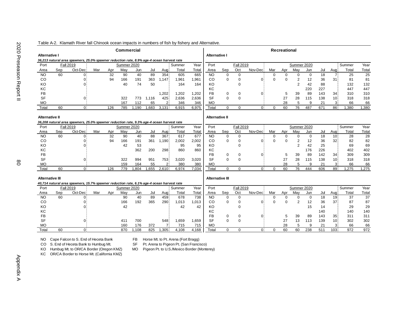| Commercial                                                                                |                        |                                                                                           |     |     |             |            |       |           |                       |              |                        |                      |                  |              |             | Recreational |                         |             |           |                       |           |           |
|-------------------------------------------------------------------------------------------|------------------------|-------------------------------------------------------------------------------------------|-----|-----|-------------|------------|-------|-----------|-----------------------|--------------|------------------------|----------------------|------------------|--------------|-------------|--------------|-------------------------|-------------|-----------|-----------------------|-----------|-----------|
| <b>Alternative I</b>                                                                      |                        |                                                                                           |     |     |             |            |       |           |                       |              |                        | <b>Alternative I</b> |                  |              |             |              |                         |             |           |                       |           |           |
|                                                                                           |                        | 36,213 natural area spawners, 25.0% spawner reduction rate, 8.9% age-4 ocean harvest rate |     |     |             |            |       |           |                       |              |                        |                      |                  |              |             |              |                         |             |           |                       |           |           |
| Port                                                                                      |                        | <b>Fall 2019</b>                                                                          |     |     | Summer 2020 |            |       |           | Summer                | Year         | Port                   |                      | <b>Fall 2019</b> |              |             |              | Summer 2020             |             |           |                       | Summer    | Year      |
| Area                                                                                      | Sep                    | Oct-Dec                                                                                   | Mar | Apr | May         | Jun        | Jul   | Aug       | Total                 | Total        | Area                   | Sep                  | Oct              | Nov-Dec      | Mar         | Apr          | May                     | Jun         | Jul       | Aug                   | Total     | Total     |
| <b>NO</b>                                                                                 | 60                     | O.                                                                                        |     | 32  | 90          | 40         | 89    | 354       | 605                   | 665          | <b>NO</b>              | 0                    | $\mathbf 0$      |              | $\Omega$    | $\Omega$     | 0                       | $\mathbf 0$ | 18        |                       | 25        | 25        |
| CO                                                                                        |                        | 03                                                                                        |     | 94  | 166         | 191        | 363   | 1,147     | 1,961                 | 1,961        | CO                     | $\mathbf 0$          | 0                | Ωİ           | $\Omega$    | $\Omega$     | 2                       | 12          | 36        | 31                    | 81        | 81        |
| KO                                                                                        |                        |                                                                                           |     |     | 40          | 74         | 50    |           | 164                   | 164          | KO                     |                      | $\Omega$         |              |             |              | $\overline{2}$          | 42          | 88        |                       | 132       | 132       |
| KC                                                                                        |                        |                                                                                           |     |     |             |            |       |           |                       |              | KC                     |                      |                  |              |             |              |                         | 220         | 227       |                       | 447       | 447       |
| <b>FB</b>                                                                                 |                        |                                                                                           |     |     |             |            |       | 1,202     | 1,202                 | 1,202        | <b>FB</b>              | 0                    | 0                | 0            |             | 5            | 39                      | 89          | 143       | 34                    | 310       | 310       |
| SF                                                                                        |                        | $\Omega$                                                                                  |     |     | 322         | 773        | 1,116 | 425       | 2,636                 | 2,636        | <b>SF</b>              | $\Omega$             | $\Omega$         |              |             | 27           | 28                      | 115         | 138       | 10 <sup>1</sup>       | 318       | 318       |
| <b>MO</b>                                                                                 |                        |                                                                                           |     |     | 167         | 112        | 65    | 21        | 346                   | 346          | <b>MO</b>              |                      |                  |              |             | 28           | 5                       | 9           | 21        | 3                     | 66        | 66        |
| Total                                                                                     | 60                     | 0                                                                                         |     | 126 | 785         | 1,190      | .683  | 3,131     | 6,915                 | 6,975        | Total                  | $\Omega$             | $\Omega$         | $\Omega$     | 0           | 60           | 76                      | 487         | 671       | 86 <sup>1</sup>       | 1,380     | 1,380     |
|                                                                                           |                        |                                                                                           |     |     |             |            |       |           |                       |              |                        |                      |                  |              |             |              |                         |             |           |                       |           |           |
| <b>Alternative II</b>                                                                     |                        |                                                                                           |     |     |             |            |       |           | <b>Alternative II</b> |              |                        |                      |                  |              |             |              |                         |             |           |                       |           |           |
|                                                                                           |                        | 36,208 natural area spawners, 25.0% spawner reduction rate, 9.3% age-4 ocean harvest rate |     |     |             |            |       |           |                       |              |                        |                      |                  |              |             |              |                         |             |           |                       |           |           |
| Port                                                                                      |                        | <b>Fall 2019</b>                                                                          |     |     | Summer 2020 |            |       |           | Summer                | Year         | Port                   |                      | <b>Fall 2019</b> |              |             |              | Summer 2020             |             |           |                       | Summer    | Year      |
| Area                                                                                      | Sep                    | Oct-Dec                                                                                   | Mar | Apr | May         | Jun        | Jul   | Aug       | Total                 | Total        | Area                   | Sep                  | Oct              | Nov-Dec      | Mar         | Apr          | May                     | Jun         | Jul       | Aug                   | Total     | Total     |
| <b>NO</b>                                                                                 | 60                     | 0                                                                                         |     | 32  | 90          | 40         | 88    | 367       | 617                   | 677          | <b>NO</b>              | $\mathbf 0$          | $\mathbf 0$      |              | $\mathbf 0$ | $\Omega$     | $\mathbf 0$             | $\mathbf 0$ | 18        | 10 <sup>1</sup>       | 28        | 28        |
| CO                                                                                        |                        | 0                                                                                         |     | 94  | 166         | 191        | 361   | 1,190     | 2,002                 | 2,002        | CO                     | $\mathbf 0$          | $\Omega$         | 0i           | $\Omega$    | $\Omega$     | $\overline{\mathbf{c}}$ | 12          | 36        | 32                    | 82        | 82        |
| KO                                                                                        |                        |                                                                                           |     |     | 42          | 53         |       |           | 95                    | 95           | KO                     |                      | ∩                |              |             |              | $\overline{2}$          | 42          | 25        |                       | 69        | 69        |
| KC                                                                                        |                        |                                                                                           |     |     |             | 362        | 200   | 298       | 860                   | 860          | KC                     |                      |                  |              |             |              |                         | 176         | 226       |                       | 402       | 402       |
| <b>FB</b>                                                                                 |                        |                                                                                           |     |     |             |            |       |           |                       |              | <b>FB</b>              | 0                    | 0                | 0            |             | 5            | 39                      | 89          | 142       | 34                    | 309       | 309       |
| <b>SF</b>                                                                                 |                        | $\Omega$                                                                                  |     |     | 322         | 994        | 951   | 753       | 3,020                 | 3.020        | <b>SF</b>              | $\Omega$             | $\Omega$         |              |             | 27           | 28                      | 115         | 138       | 10 <sup>1</sup>       | 318       | 318       |
| <b>MO</b>                                                                                 |                        |                                                                                           |     |     | 159         | 164        | 55    | 21        | 380                   | 380          | <b>MO</b>              |                      |                  |              |             | 28           | 5                       | 9           | 21        | 3                     | 66        | 66        |
| Total                                                                                     | 60                     | 0                                                                                         |     | 126 | 779         | 1,804      | 1,655 | 2,610     | 6,974                 | 7,034        | Total                  | $\mathbf 0$          | $\mathbf 0$      | 0            | $\mathbf 0$ | 60           | 76                      | 444         | 606       | 89                    | 1,275     | 1,275     |
|                                                                                           |                        |                                                                                           |     |     |             |            |       |           |                       |              |                        |                      |                  |              |             |              |                         |             |           |                       |           |           |
|                                                                                           | <b>Alternative III</b> |                                                                                           |     |     |             |            |       |           |                       |              |                        |                      |                  |              |             |              |                         |             |           |                       |           |           |
| 40,714 natural area spawners, 15.7% spawner reduction rate, 6.1% age-4 ocean harvest rate |                        |                                                                                           |     |     |             |            |       |           |                       |              |                        |                      |                  |              |             |              |                         |             |           |                       |           |           |
| Port                                                                                      |                        | <b>Fall 2019</b>                                                                          |     |     | Summer 2020 |            |       |           | Summer                | Year         | Port                   |                      | <b>Fall 2019</b> |              |             |              | Summer 2020             |             |           |                       | Summer    | Year      |
| Area                                                                                      | Sep                    | Oct-Dec                                                                                   | Mar | Apr | May         | Jun        | Jul   | Aug       | Total                 | Total        | Area                   | Sep                  | Oct              | Nov-Dec      | Mar         | Apr          | May                     | Jun         | Jul       | Aug                   | Total     | Total     |
| <b>NO</b>                                                                                 | 60                     | 0                                                                                         |     |     | 90          | 40         | 89    | 459       | 678                   | 738          | <b>NO</b>              | $\mathbf 0$          | $\mathbf 0$      |              | 0           | $\Omega$     | 0                       | $\mathbf 0$ | 18        | 19 <sub>1</sub>       | 37        | 37        |
| CO                                                                                        |                        |                                                                                           |     |     | 166         | 192        | 365   | 290       | 1,013                 | 1,013        | CO                     | 0                    | $\Omega$         | 0            | $\Omega$    | $\Omega$     | $\overline{2}$          | 12          | 36        | 37                    | 87        | 87        |
| KO                                                                                        |                        |                                                                                           |     |     | 42          |            |       |           | 42                    | 42           | KO                     |                      | $\Omega$         |              |             |              |                         | 15          | 14        |                       | 29        | 29        |
| KC                                                                                        |                        |                                                                                           |     |     |             |            |       |           |                       |              | KC                     |                      |                  |              |             |              |                         |             | 140       |                       | 140       | 140       |
| <b>FB</b><br><b>SF</b>                                                                    |                        |                                                                                           |     |     |             |            |       |           |                       |              | <b>FB</b><br><b>SF</b> | 0<br>$\Omega$        | 0<br>$\Omega$    | 0            |             | 5            | 39                      | 89          | 143       | 35<br>10 <sup>1</sup> | 311       | 311       |
| <b>MO</b>                                                                                 |                        |                                                                                           |     |     | 411<br>160  | 700<br>176 | 372   | 548<br>71 | 1,659<br>715          | 1,659<br>715 | <b>MO</b>              |                      |                  |              |             | 27<br>28     | 13<br>5                 | 113<br>9    | 139<br>21 | 31                    | 302<br>66 | 302<br>66 |
| Tota                                                                                      | 60                     | 03                                                                                        |     |     | 870         | 1,108      | 825   | ,305      | 4.108                 | 4,168        | Tota                   | $\Omega$             | $\Omega$         | $\mathbf{0}$ | $\Omega$    | 60           | 60                      | 238         | 511       | 103                   | 972       | 972       |
|                                                                                           |                        |                                                                                           |     |     |             |            |       |           |                       |              |                        |                      |                  |              |             |              |                         |             |           |                       |           |           |

#### Table A-2. Klamath River fall Chinook ocean impacts in numbers of fish by fishery and Alternative.

NO Cape Falcon to S. End of Heceta Bank FB Horse Mt. to Pt. Arena (Fort Bragg)<br>CO S. End of Heceta Bank to Humbug Mt. SF Pt. Arena to Pigeon Pt. (San Francis

SF Pt. Arena to Pigeon Pt. (San Francisco)

KO Humbug Mt. to OR/CA Border (Oregon KMZ)<br>KC OR/CA Border to Horse Mt. (California KMZ)

MO Pigeon Pt. to U.S./Mexico Border (Monterey)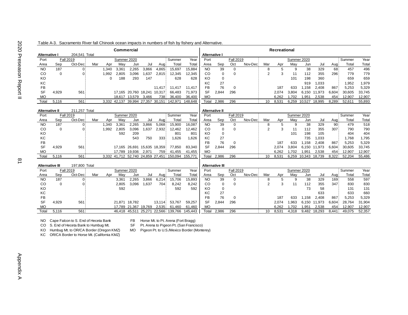| Table A-3. Sacramento River fall Chinook ocean impacts in numbers of fish by fishery and Alternative. |  |  |
|-------------------------------------------------------------------------------------------------------|--|--|
|-------------------------------------------------------------------------------------------------------|--|--|

| Commercial                                     |       |                  |     |             |             |                      |               |                |                |         |                |                       | <b>Recreational</b> |         |                |       |       |             |        |       |        |        |  |  |
|------------------------------------------------|-------|------------------|-----|-------------|-------------|----------------------|---------------|----------------|----------------|---------|----------------|-----------------------|---------------------|---------|----------------|-------|-------|-------------|--------|-------|--------|--------|--|--|
| 204.541 Total<br><b>Alternative I</b>          |       |                  |     |             |             |                      |               |                | Alternative I  |         |                |                       |                     |         |                |       |       |             |        |       |        |        |  |  |
| Port                                           |       | <b>Fall 2019</b> |     | Summer 2020 |             |                      |               |                | Summer         | Year    | Port           |                       | <b>Fall 2019</b>    |         | Summer 2020    |       |       |             |        |       | Summer |        |  |  |
| Area                                           | Sep   | Oct-Dec:         | Mar | Apr         | Mav         | Jun                  | Jul           | Aug:           | Total          | Total   | Area           | Sep                   | Oct                 | Nov-Dec | Mar            | Apr   | May   | Jun         | Jul    | Aug   | Total  | Total  |  |  |
| N <sub>O</sub>                                 | 187   | $\overline{0}$   |     | 1,340       | 3,361       | 2,265                | 3,866         | 4,865          | 15,697         | 15,884  | <b>NO</b>      | 39                    | 0                   |         | 8              | 5     | 9     | 38          | 329    | 68    | 457    | 496    |  |  |
| <sub>CO</sub>                                  | 0     | 0.               |     | 1,992       | 2.805       | 3,096                | 1,637         | 2,815          | 12.345         | 12,345  | CO             | 0                     | 0                   |         | $\overline{2}$ | 3     | 11    | 112         | 355    | 296   | 779    | 779    |  |  |
| KO                                             |       |                  |     | 0           | 188         | 293                  | 147           |                | 628            | 628     | KO             | $\mathbf 0$           |                     |         |                |       | 101   | 198         | 360    |       | 659    | 659    |  |  |
| КC                                             |       |                  |     |             |             |                      |               |                |                |         | KC             | 27                    |                     |         |                |       |       | 919         | 1,033  |       | 1,952  | 1,979  |  |  |
| <b>FB</b>                                      |       |                  |     |             |             |                      |               | 11.417         | 11.417         | 11.417  | FB             | 76                    | 0                   |         |                | 187   | 633   | 1.158       | 2.408  | 867   | 5,253  | 5,329  |  |  |
| <b>SF</b>                                      | 4,929 | 561              |     |             |             | 17,165 20,760 18,241 |               | 10,317         | 66,483         | 71,973  | SF             | 2,844                 | 296                 |         |                | 2,074 | 3.804 | 6.150       | 11.973 | 6,604 | 30,605 | 33,745 |  |  |
| <b>MO</b>                                      |       |                  |     |             | 18.617      | 13.579               | 3,466         | 738            | 36,400         | 36,400  | MO             |                       |                     |         |                | 6.262 | .702  | 1.951       | 2,538  | 454   | 12,907 | 12,907 |  |  |
| Total                                          | 5,116 | 561              |     | 3.332       | 42,137      | 39,994 27,357        |               | 30,151         | 142,971        | 148.648 | Total          | 2,986                 | 296                 |         | 10             | 8,531 | 6,259 | 10,527      | 18,995 | 8,289 | 52,611 | 55,893 |  |  |
|                                                |       |                  |     |             |             |                      |               |                |                |         |                |                       |                     |         |                |       |       |             |        |       |        |        |  |  |
| <b>Alternative II</b>                          |       | 211,257 Total    |     |             |             |                      |               |                |                |         |                | <b>Alternative II</b> |                     |         |                |       |       |             |        |       |        |        |  |  |
| Port                                           |       | <b>Fall 2019</b> |     |             | Summer 2020 |                      |               | Summer<br>Year |                |         | Port           |                       | <b>Fall 2019</b>    |         |                |       |       | Summer 2020 |        |       | Summer | Year   |  |  |
| Area                                           | Sep   | Oct-Dec          | Mar | Apr         | May         | Jun                  | Jul           | Aua:           | Total          | Total   | Area           | Sep                   | Oct                 | Nov-Dec | Mar            | Apr   | May   | Jun         | Jul    | Aug   | Total  | Total  |  |  |
| <b>NO</b>                                      | 187   | 0                |     | 340         | 3,361       | 2,265                | 3,866         | 5,068          | 15,900         | 16,087  | N <sub>O</sub> | 39                    | 0                   |         | 8              | 5     | 9     | 38          | 329    | 90    | 479    | 518    |  |  |
| <sub>CO</sub>                                  | 0     | 0:               |     | 1.992       | 2.805       | 3,096                | 1.637         | 2,932          | 12,462         | 12,462  | CO             | 0                     | 0                   |         | $\overline{2}$ | 3     | 11    | 112         | 355    | 307   | 790    | 790    |  |  |
| KO                                             |       |                  |     |             | 592         | 209                  |               |                | 801            | 801     | KO             | 0                     |                     |         |                |       | 101   | 198         | 105    |       | 404    | 404    |  |  |
| KC                                             |       |                  |     |             |             | 543                  | 750           | 333            | 1.626          | 1,626   | КC             | 27                    |                     |         |                |       |       | 735         | 1.033  |       | 1,768  | 1,795  |  |  |
| FB                                             |       |                  |     |             |             |                      |               |                |                |         | FB             | 76                    | 0                   |         |                | 187   | 633   | 1,158       | 2.408  | 867   | 5,253  | 5,329  |  |  |
| <b>SF</b>                                      | 4,929 | 561              |     |             |             | 17.165 26.691        | 15,635 18,359 |                | 77,850         | 83,340  | SF             | 2,844                 | 296                 |         |                | 2,074 | 3.804 | 6,150       | 11,973 | 6,604 | 30,605 | 33,745 |  |  |
| <b>MO</b>                                      |       |                  |     |             | 17.789      | 19.936               | 2,971         | 759            | 41,455         | 41,455  | <b>MO</b>      |                       |                     |         |                | 6,262 | .702  | 1,951       | 2,538  | 454   | 12,907 | 12,907 |  |  |
| Total                                          | 5,116 | 561              |     | 3,332       |             | 41,712 52,740        | 24,859        |                | 27,451 150,094 | 155,771 | Total          | 2,986                 | 296                 |         | 10             | 8,531 | 6,259 | 10,343      | 18,739 | 8,322 | 52,204 | 55,486 |  |  |
| $107.900$ T <sub>otal</sub><br>Altornativa III |       |                  |     |             |             |                      |               |                |                |         |                | Altornativo III       |                     |         |                |       |       |             |        |       |        |        |  |  |

|       | <b>Alternative III</b><br>197,800 Total<br><b>Alternative III</b> |          |     |             |        |                      |       |          |                                     |         |                  |       |     |         |     |       |        |       |        |       |        |        |
|-------|-------------------------------------------------------------------|----------|-----|-------------|--------|----------------------|-------|----------|-------------------------------------|---------|------------------|-------|-----|---------|-----|-------|--------|-------|--------|-------|--------|--------|
| Port  | <b>Fall 2019</b>                                                  |          |     | Summer 2020 |        |                      |       | : Summer | Year                                | Port    | <b>Fall 2019</b> |       |     |         |     |       | Summer | Year  |        |       |        |        |
| Area  | Sep                                                               | Oct-Dec: | Mar | Apr         | Mav    | Jun                  | Jul   | Aug:     | Total                               | Total   | Area             | Sep   | Oct | Nov-Dec | Mar | Apr   | Mav    | Jur   | Jul    | Aua   | Total  | Total  |
| NO    | 187                                                               |          |     |             | 3,361  | 2.265                | 3,866 | 6.214    | 15,706                              | 15,893  | NO               | 39    |     |         |     |       | 9      | 38    | 329    | 169   | 558    | 597    |
| CO    |                                                                   |          |     |             | 2,805  | 3.096                | .637  | 704      | 8,242                               | 8,242   | CО               |       |     |         |     |       |        | 112   | 355    | 347   | 830    | 830    |
| KO    |                                                                   |          |     |             | 592    |                      |       |          | 592                                 | 592     | KO               |       |     |         |     |       |        | 73    | 58     |       | 131    | 131    |
| КC    |                                                                   |          |     |             |        |                      |       |          |                                     |         | КC               | 27    |     |         |     |       |        |       | 633    |       | 633    | 660    |
| FB    |                                                                   |          |     |             |        |                      |       |          |                                     |         | FB               | 76    |     |         |     | 187   | 633    | .158  | 2.408  | 867   | 5,253  | 5,329  |
| SF    | 4.929                                                             | 561      |     |             | 21.871 | 18.782               |       | 13.114   | 53.767                              | 59,257  | SF               | 2.844 | 296 |         |     | 2.074 | Ⅰ.963  | 6,150 | 11,973 | 6,604 | 28.764 | 31,904 |
| МO    |                                                                   |          |     |             |        | 17.789 21.367 19.769 |       | 2,535    | 61.460                              | 61.460  | <b>MO</b>        |       |     |         |     | 6.262 | .702   | 1.951 | 2.538  | 454   | 12.907 | 12,907 |
| Total | 5.116                                                             | 561      |     |             |        |                      |       |          | 46,418 45,511 25,271 22,566 139,766 | 145.443 | Total            | 2.986 | 296 |         | 10  | 8.531 | 4.318  | 9.482 | 18.293 | 8.441 | 49.075 | 52,357 |

NO Cape Falcon to S. End of Heceta Bank FB Horse Mt. to Pt. Arena (Fort Bragg)<br>CO S. End of Heceta Bank to Humbug Mt. SF Pt. Arena to Pigeon Pt. (San Francis

SF Pt. Arena to Pigeon Pt. (San Francisco)

MO Pigeon Pt. to U.S./Mexico Border (Monterey)

KO Humbug Mt. to OR/CA Border (Oregon KMZ)<br>KC OR/CA Border to Horse Mt. (California KMZ)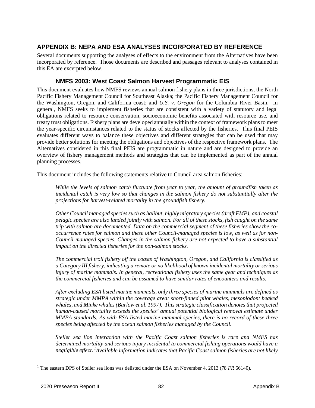# **APPENDIX B: NEPA AND ESA ANALYSES INCORPORATED BY REFERENCE**

Several documents supporting the analyses of effects to the environment from the Alternatives have been incorporated by reference. Those documents are described and passages relevant to analyses contained in this EA are excerpted below.

### **NMFS 2003: West Coast Salmon Harvest Programmatic EIS**

This document evaluates how NMFS reviews annual salmon fishery plans in three jurisdictions, the North Pacific Fishery Management Council for Southeast Alaska; the Pacific Fishery Management Council for the Washington, Oregon, and California coast; and *U.S. v. Oregon* for the Columbia River Basin. In general, NMFS seeks to implement fisheries that are consistent with a variety of statutory and legal obligations related to resource conservation, socioeconomic benefits associated with resource use, and treaty trust obligations. Fishery plans are developed annually within the context of framework plans to meet the year-specific circumstances related to the status of stocks affected by the fisheries. This final PEIS evaluates different ways to balance these objectives and different strategies that can be used that may provide better solutions for meeting the obligations and objectives of the respective framework plans. The Alternatives considered in this final PEIS are programmatic in nature and are designed to provide an overview of fishery management methods and strategies that can be implemented as part of the annual planning processes.

This document includes the following statements relative to Council area salmon fisheries:

*While the levels of salmon catch fluctuate from year to year, the amount of groundfish taken as*  incidental catch is very low so that changes in the salmon fishery do not substantially alter the *projections for harvest-related mortality in the groundfish fishery.*

*Other Council managed species such as halibut, highly migratory species (draft FMP), and coastal pelagic species are also landed jointly with salmon. For all of these stocks, fish caught on the same trip with salmon are documented. Data on the commercial segment of these fisheries show the cooccurrence rates for salmon and these other Council-managed species is low, as well as for non-Council-managed species. Changes in the salmon fishery are not expected to have a substantial impact on the directed fisheries for the non-salmon stocks.*

*The commercial troll fishery off the coasts of Washington, Oregon, and California is classified as a Category III fishery, indicating a remote or no likelihood of known incidental mortality or serious injury of marine mammals. In general, recreational fishery uses the same gear and techniques as the commercial fisheries and can be assumed to have similar rates of encounters and results.* 

*After excluding ESA listed marine mammals, only three species of marine mammals are defined as strategic under MMPA within the coverage area: short-finned pilot whales, mesoplodont beaked whales, and Minke whales (Barlow et al. 1997). This strategic classification denotes that projected human-caused mortality exceeds the species' annual potential biological removal estimate under MMPA standards. As with ESA listed marine mammal species, there is no record of these three species being affected by the ocean salmon fisheries managed by the Council.* 

*Steller sea lion interaction with the Pacific Coast salmon fisheries is rare and NMFS has determined mortality and serious injury incidental to commercial fishing operations would have a negligible effect. [1](#page-88-0) Available information indicates that Pacific Coast salmon fisheries are not likely* 

<span id="page-88-0"></span><sup>&</sup>lt;sup>1</sup> The eastern DPS of Steller sea lions was delisted under the ESA on November 4, 2013 (78 *FR* 66140).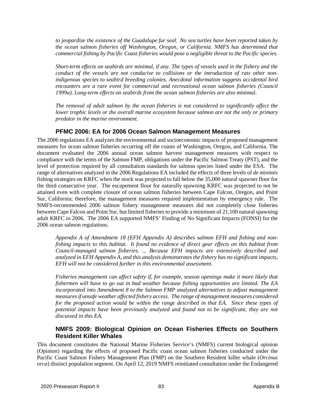*to jeopardize the existence of the Guadalupe fur seal. No sea turtles have been reported taken by the ocean salmon fisheries off Washington, Oregon, or California. NMFS has determined that commercial fishing by Pacific Coast fisheries would pose a negligible threat to the Pacific species.*

*Short-term effects on seabirds are minimal, if any. The types of vessels used in the fishery and the conduct of the vessels are not conducive to collisions or the introduction of rats other nonindigenous species to seabird breeding colonies. Anecdotal information suggests accidental bird encounters are a rare event for commercial and recreational ocean salmon fisheries (Council 1999a). Long-term effects on seabirds from the ocean salmon fisheries are also minimal.*

*The removal of adult salmon by the ocean fisheries is not considered to significantly affect the lower trophic levels or the overall marine ecosystem because salmon are not the only or primary predator in the marine environment.*

## **PFMC 2006: EA for 2006 Ocean Salmon Management Measures**

The 2006 regulations EA analyzes the environmental and socioeconomic impacts of proposed management measures for ocean salmon fisheries occurring off the coasts of Washington, Oregon, and California. The document evaluated the 2006 annual ocean salmon harvest management measures with respect to compliance with the terms of the Salmon FMP, obligations under the Pacific Salmon Treaty (PST), and the level of protection required by all consultation standards for salmon species listed under the ESA. The range of alternatives analyzed in the 2006 Regulations EA included the effects of three levels of *de minimis* fishing strategies on KRFC when the stock was projected to fall below the 35,000 natural spawner floor for the third consecutive year. The escapement floor for naturally spawning KRFC was projected to not be attained even with complete closure of ocean salmon fisheries between Cape Falcon, Oregon, and Point Sur, California; therefore, the management measures required implementation by emergency rule. The NMFS-recommended 2006 salmon fishery management measures did not completely close fisheries between Cape Falcon and Point Sur, but limited fisheries to provide a minimum of 21,100 natural spawning adult KRFC in 2006. The 2006 EA supported NMFS' Finding of No Significant Impacts (FONSI) for the 2006 ocean salmon regulations.

*Appendix A of Amendment 18 (EFH Appendix A) describes salmon EFH and fishing and nonfishing impacts to this habitat. It found no evidence of direct gear effects on this habitat from Council-managed salmon fisheries. ... Because EFH impacts are extensively described and analyzed in EFH Appendix A, and this analysis demonstrates the fishery has no significant impacts, EFH will not be considered further in this environmental assessment.*

*Fisheries management can affect safety if, for example, season openings make it more likely that fishermen will have to go out in bad weather because fishing opportunities are limited. The EA incorporated into Amendment 8 to the Salmon FMP analyzed alternatives to adjust management measures if unsafe weather affected fishery access. The range of management measures considered for the proposed action would be within the range described in that EA. Since these types of potential impacts have been previously analyzed and found not to be significant, they are not discussed in this EA.*

## **NMFS 2009: Biological Opinion on Ocean Fisheries Effects on Southern Resident Killer Whales**

This document constitutes the National Marine Fisheries Service's (NMFS) current biological opinion (Opinion) regarding the effects of proposed Pacific coast ocean salmon fisheries conducted under the Pacific Coast Salmon Fishery Management Plan (FMP) on the Southern Resident killer whale (*Orcinus orca*) distinct population segment. On April 12, 2019 NMFS reinitiated consultation under the Endangered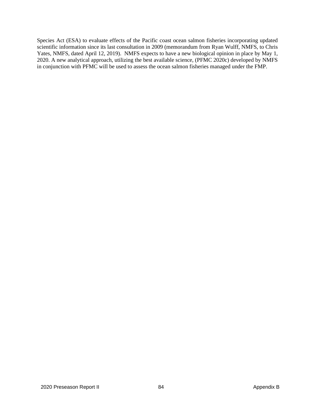Species Act (ESA) to evaluate effects of the Pacific coast ocean salmon fisheries incorporating updated scientific information since its last consultation in 2009 (memorandum from Ryan Wulff, NMFS, to Chris Yates, NMFS, dated April 12, 2019). NMFS expects to have a new biological opinion in place by May 1, 2020. A new analytical approach, utilizing the best available science, (PFMC 2020c) developed by NMFS in conjunction with PFMC will be used to assess the ocean salmon fisheries managed under the FMP.